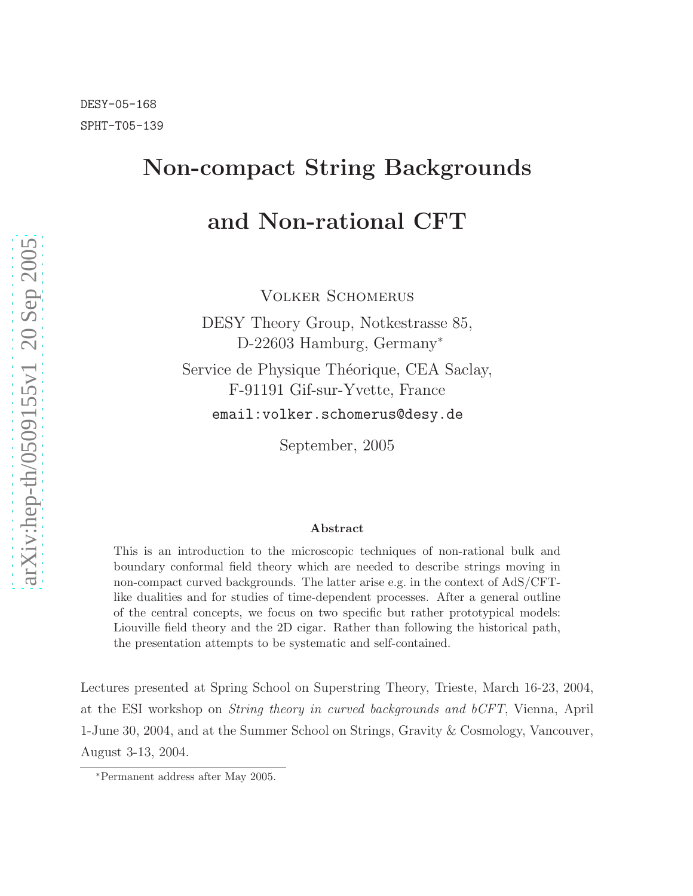# Non-compact String Backgrounds and Non-rational CFT

Volker Schomerus

DESY Theory Group, Notkestrasse 85, D-22603 Hamburg, Germany<sup>∗</sup>

Service de Physique Théorique, CEA Saclay, F-91191 Gif-sur-Yvette, France email:volker.schomerus@desy.de

September, 2005

#### Abstract

This is an introduction to the microscopic techniques of non-rational bulk and boundary conformal field theory which are needed to describe strings moving in non-compact curved backgrounds. The latter arise e.g. in the context of AdS/CFTlike dualities and for studies of time-dependent processes. After a general outline of the central concepts, we focus on two specific but rather prototypical models: Liouville field theory and the 2D cigar. Rather than following the historical path, the presentation attempts to be systematic and self-contained.

Lectures presented at Spring School on Superstring Theory, Trieste, March 16-23, 2004, at the ESI workshop on String theory in curved backgrounds and bCFT, Vienna, April 1-June 30, 2004, and at the Summer School on Strings, Gravity & Cosmology, Vancouver, August 3-13, 2004.

<sup>∗</sup>Permanent address after May 2005.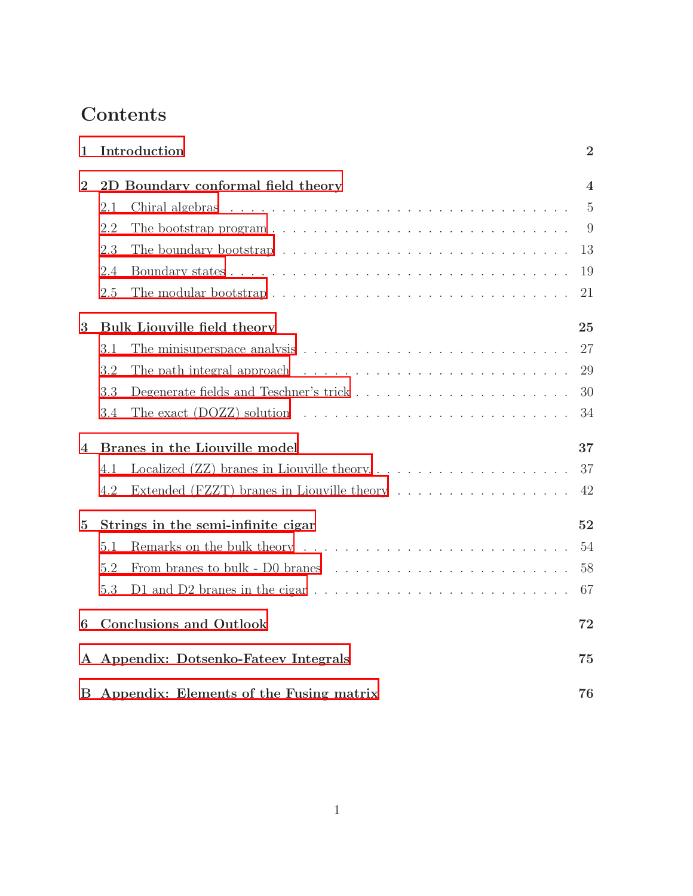# Contents

| 1              | Introduction                                                                                         | $\overline{2}$ |
|----------------|------------------------------------------------------------------------------------------------------|----------------|
| $\overline{2}$ | 2D Boundary conformal field theory                                                                   | $\overline{4}$ |
|                | 2.1                                                                                                  | $\overline{5}$ |
|                | The bootstrap program $\ldots \ldots \ldots \ldots \ldots \ldots \ldots \ldots \ldots \ldots$<br>2.2 | 9              |
|                | 2.3                                                                                                  | 13             |
|                | 2.4                                                                                                  | 19             |
|                | 2.5                                                                                                  | 21             |
| 3              | Bulk Liouville field theory                                                                          | 25             |
|                | 3.1                                                                                                  | 27             |
|                | The path integral approach $\ldots \ldots \ldots \ldots \ldots \ldots \ldots \ldots$<br>3.2          | 29             |
|                | 3.3                                                                                                  | 30             |
|                | 3.4                                                                                                  | 34             |
| 4              | Branes in the Liouville model                                                                        | 37             |
|                | 4.1                                                                                                  | 37             |
|                | Extended (FZZT) branes in Liouville theory<br>4.2                                                    | 42             |
| $\overline{5}$ | Strings in the semi-infinite cigar                                                                   | 52             |
|                | 5.1                                                                                                  | 54             |
|                | 5.2                                                                                                  | 58             |
|                | D1 and D2 branes in the cigar $\dots \dots \dots \dots \dots \dots \dots \dots \dots \dots$<br>5.3   | 67             |
| 6              | <b>Conclusions and Outlook</b>                                                                       | 72             |
| $\mathbf{A}$   | Appendix: Dotsenko-Fateev Integrals                                                                  | 75             |
|                | B Appendix: Elements of the Fusing matrix                                                            | 76             |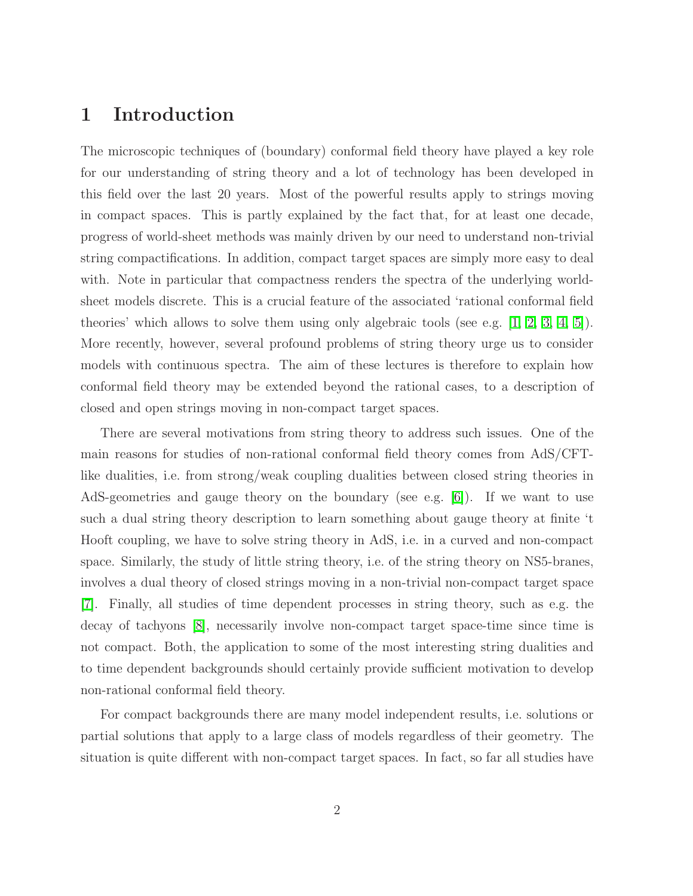# <span id="page-2-0"></span>1 Introduction

The microscopic techniques of (boundary) conformal field theory have played a key role for our understanding of string theory and a lot of technology has been developed in this field over the last 20 years. Most of the powerful results apply to strings moving in compact spaces. This is partly explained by the fact that, for at least one decade, progress of world-sheet methods was mainly driven by our need to understand non-trivial string compactifications. In addition, compact target spaces are simply more easy to deal with. Note in particular that compactness renders the spectra of the underlying worldsheet models discrete. This is a crucial feature of the associated 'rational conformal field theories' which allows to solve them using only algebraic tools (see e.g. [\[1,](#page-78-0) [2,](#page-78-1) [3,](#page-78-2) [4,](#page-78-3) [5\]](#page-78-4)). More recently, however, several profound problems of string theory urge us to consider models with continuous spectra. The aim of these lectures is therefore to explain how conformal field theory may be extended beyond the rational cases, to a description of closed and open strings moving in non-compact target spaces.

There are several motivations from string theory to address such issues. One of the main reasons for studies of non-rational conformal field theory comes from AdS/CFTlike dualities, i.e. from strong/weak coupling dualities between closed string theories in AdS-geometries and gauge theory on the boundary (see e.g. [\[6\]](#page-78-5)). If we want to use such a dual string theory description to learn something about gauge theory at finite 't Hooft coupling, we have to solve string theory in AdS, i.e. in a curved and non-compact space. Similarly, the study of little string theory, i.e. of the string theory on NS5-branes, involves a dual theory of closed strings moving in a non-trivial non-compact target space [\[7\]](#page-78-6). Finally, all studies of time dependent processes in string theory, such as e.g. the decay of tachyons [\[8\]](#page-78-7), necessarily involve non-compact target space-time since time is not compact. Both, the application to some of the most interesting string dualities and to time dependent backgrounds should certainly provide sufficient motivation to develop non-rational conformal field theory.

For compact backgrounds there are many model independent results, i.e. solutions or partial solutions that apply to a large class of models regardless of their geometry. The situation is quite different with non-compact target spaces. In fact, so far all studies have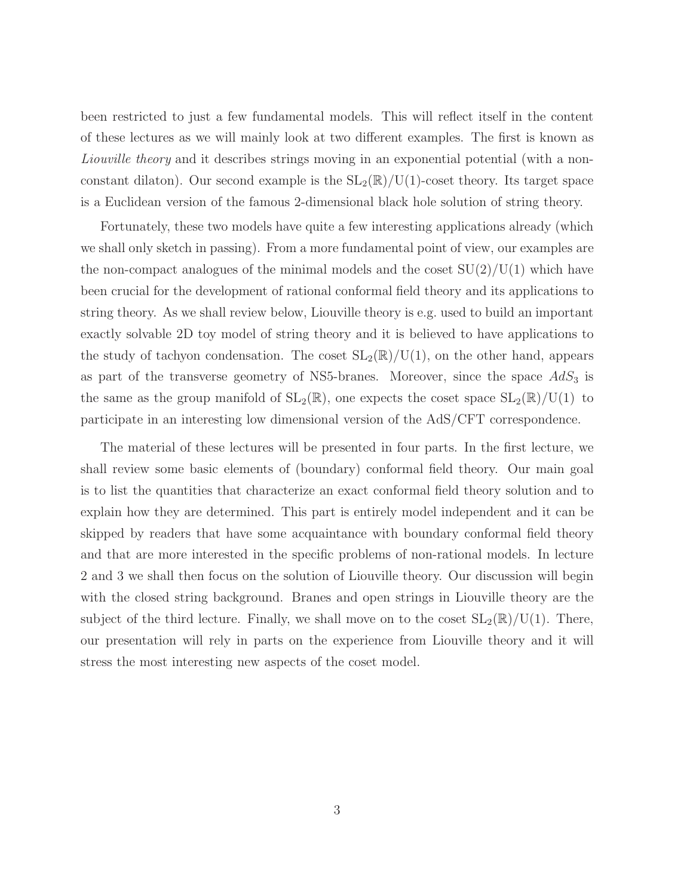been restricted to just a few fundamental models. This will reflect itself in the content of these lectures as we will mainly look at two different examples. The first is known as Liouville theory and it describes strings moving in an exponential potential (with a nonconstant dilaton). Our second example is the  $SL_2(\mathbb{R})/U(1)$ -coset theory. Its target space is a Euclidean version of the famous 2-dimensional black hole solution of string theory.

Fortunately, these two models have quite a few interesting applications already (which we shall only sketch in passing). From a more fundamental point of view, our examples are the non-compact analogues of the minimal models and the coset  $SU(2)/U(1)$  which have been crucial for the development of rational conformal field theory and its applications to string theory. As we shall review below, Liouville theory is e.g. used to build an important exactly solvable 2D toy model of string theory and it is believed to have applications to the study of tachyon condensation. The coset  $SL_2(\mathbb{R})/U(1)$ , on the other hand, appears as part of the transverse geometry of NS5-branes. Moreover, since the space  $AdS_3$  is the same as the group manifold of  $SL_2(\mathbb{R})$ , one expects the coset space  $SL_2(\mathbb{R})/U(1)$  to participate in an interesting low dimensional version of the AdS/CFT correspondence.

The material of these lectures will be presented in four parts. In the first lecture, we shall review some basic elements of (boundary) conformal field theory. Our main goal is to list the quantities that characterize an exact conformal field theory solution and to explain how they are determined. This part is entirely model independent and it can be skipped by readers that have some acquaintance with boundary conformal field theory and that are more interested in the specific problems of non-rational models. In lecture 2 and 3 we shall then focus on the solution of Liouville theory. Our discussion will begin with the closed string background. Branes and open strings in Liouville theory are the subject of the third lecture. Finally, we shall move on to the coset  $SL_2(\mathbb{R})/U(1)$ . There, our presentation will rely in parts on the experience from Liouville theory and it will stress the most interesting new aspects of the coset model.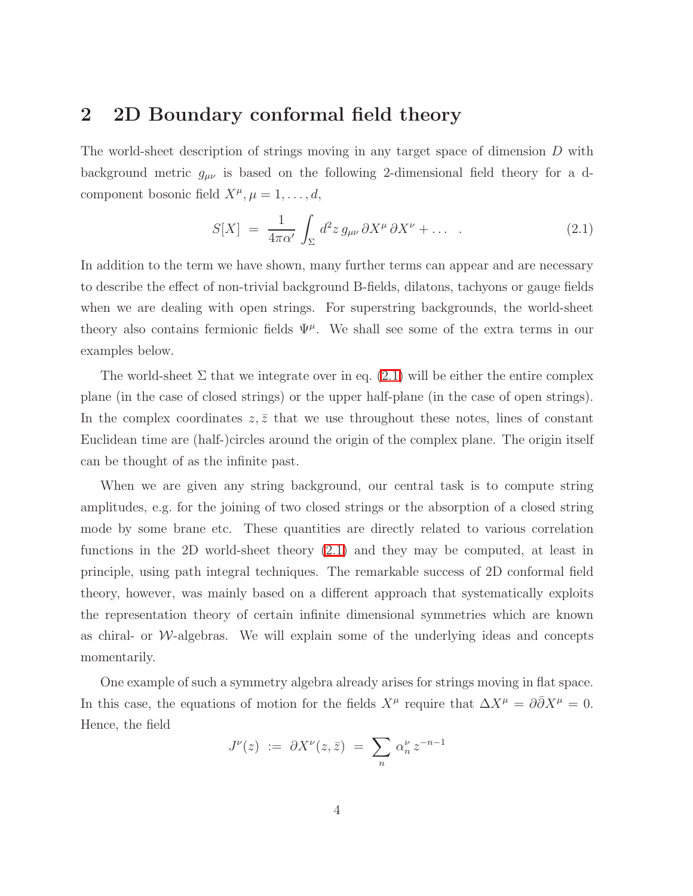### <span id="page-4-0"></span>2 2D Boundary conformal field theory

<span id="page-4-1"></span>The world-sheet description of strings moving in any target space of dimension D with background metric  $g_{\mu\nu}$  is based on the following 2-dimensional field theory for a dcomponent bosonic field  $X^{\mu}, \mu = 1, \ldots, d$ ,

$$
S[X] = \frac{1}{4\pi\alpha'} \int_{\Sigma} d^2 z \, g_{\mu\nu} \, \partial X^{\mu} \, \partial X^{\nu} + \dots \quad . \tag{2.1}
$$

In addition to the term we have shown, many further terms can appear and are necessary to describe the effect of non-trivial background B-fields, dilatons, tachyons or gauge fields when we are dealing with open strings. For superstring backgrounds, the world-sheet theory also contains fermionic fields  $\Psi^{\mu}$ . We shall see some of the extra terms in our examples below.

The world-sheet  $\Sigma$  that we integrate over in eq. [\(2.1\)](#page-4-1) will be either the entire complex plane (in the case of closed strings) or the upper half-plane (in the case of open strings). In the complex coordinates  $z, \bar{z}$  that we use throughout these notes, lines of constant Euclidean time are (half-)circles around the origin of the complex plane. The origin itself can be thought of as the infinite past.

When we are given any string background, our central task is to compute string amplitudes, e.g. for the joining of two closed strings or the absorption of a closed string mode by some brane etc. These quantities are directly related to various correlation functions in the 2D world-sheet theory [\(2.1\)](#page-4-1) and they may be computed, at least in principle, using path integral techniques. The remarkable success of 2D conformal field theory, however, was mainly based on a different approach that systematically exploits the representation theory of certain infinite dimensional symmetries which are known as chiral- or  $W$ -algebras. We will explain some of the underlying ideas and concepts momentarily.

One example of such a symmetry algebra already arises for strings moving in flat space. In this case, the equations of motion for the fields  $X^{\mu}$  require that  $\Delta X^{\mu} = \partial \overline{\partial} X^{\mu} = 0$ . Hence, the field

$$
J^{\nu}(z) \ := \ \partial X^{\nu}(z, \bar{z}) \ = \ \sum_{n} \alpha_n^{\nu} \, z^{-n-1}
$$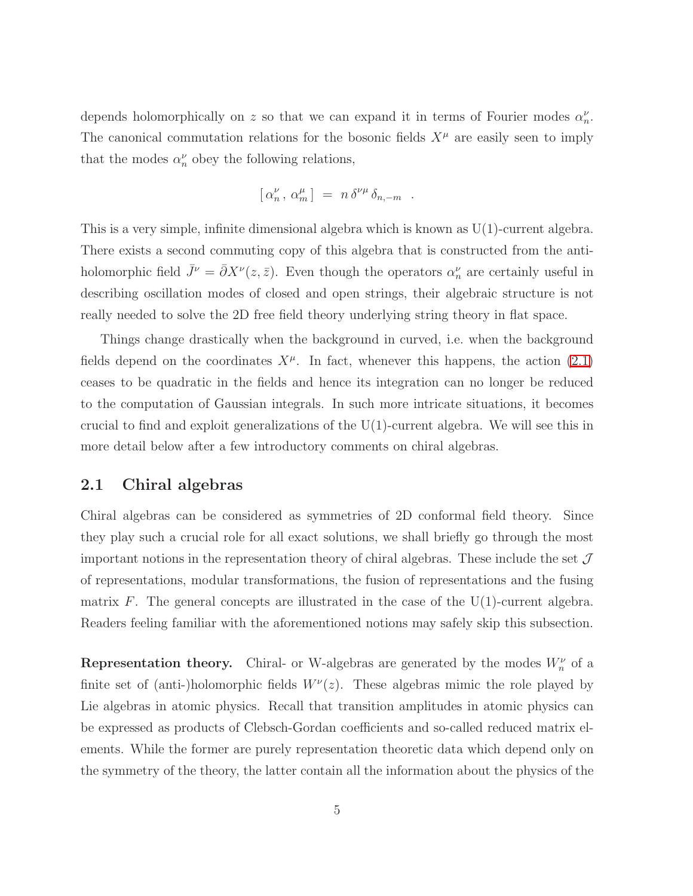depends holomorphically on z so that we can expand it in terms of Fourier modes  $\alpha_n^{\nu}$ . The canonical commutation relations for the bosonic fields  $X^{\mu}$  are easily seen to imply that the modes  $\alpha_n^{\nu}$  obey the following relations,

$$
[\,\alpha_n^{\nu}\,,\,\alpha_m^{\mu}\,]\ =\ n\,\delta^{\nu\mu}\,\delta_{n,-m}\ .
$$

This is a very simple, infinite dimensional algebra which is known as U(1)-current algebra. There exists a second commuting copy of this algebra that is constructed from the antiholomorphic field  $\bar{J}^{\nu} = \bar{\partial}X^{\nu}(z,\bar{z})$ . Even though the operators  $\alpha_n^{\nu}$  are certainly useful in describing oscillation modes of closed and open strings, their algebraic structure is not really needed to solve the 2D free field theory underlying string theory in flat space.

Things change drastically when the background in curved, i.e. when the background fields depend on the coordinates  $X^{\mu}$ . In fact, whenever this happens, the action [\(2.1\)](#page-4-1) ceases to be quadratic in the fields and hence its integration can no longer be reduced to the computation of Gaussian integrals. In such more intricate situations, it becomes crucial to find and exploit generalizations of the  $U(1)$ -current algebra. We will see this in more detail below after a few introductory comments on chiral algebras.

#### <span id="page-5-0"></span>2.1 Chiral algebras

Chiral algebras can be considered as symmetries of 2D conformal field theory. Since they play such a crucial role for all exact solutions, we shall briefly go through the most important notions in the representation theory of chiral algebras. These include the set  $\mathcal J$ of representations, modular transformations, the fusion of representations and the fusing matrix F. The general concepts are illustrated in the case of the  $U(1)$ -current algebra. Readers feeling familiar with the aforementioned notions may safely skip this subsection.

**Representation theory.** Chiral- or W-algebras are generated by the modes  $W_n^{\nu}$  of a finite set of (anti-)holomorphic fields  $W^{\nu}(z)$ . These algebras mimic the role played by Lie algebras in atomic physics. Recall that transition amplitudes in atomic physics can be expressed as products of Clebsch-Gordan coefficients and so-called reduced matrix elements. While the former are purely representation theoretic data which depend only on the symmetry of the theory, the latter contain all the information about the physics of the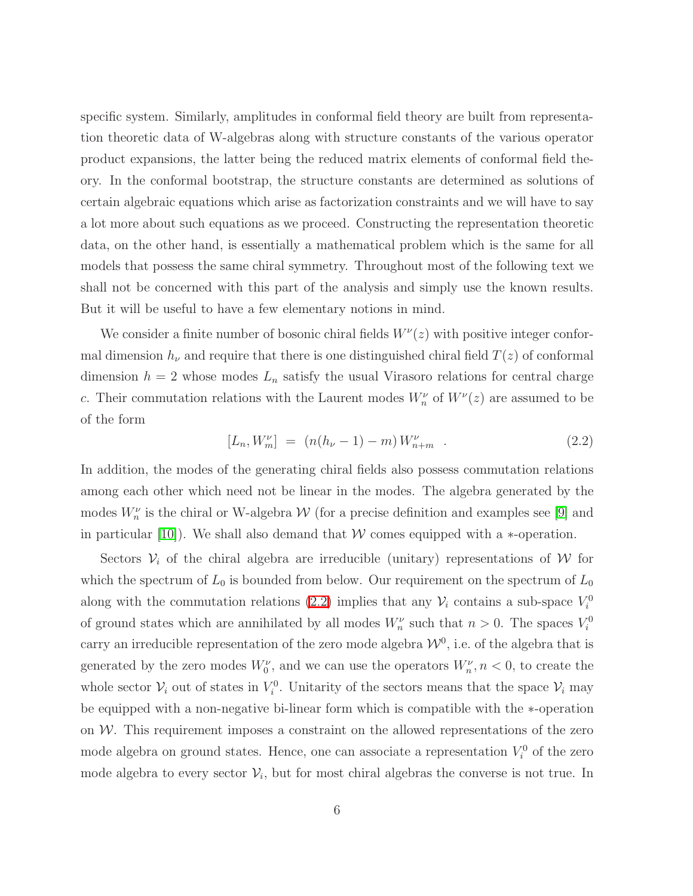specific system. Similarly, amplitudes in conformal field theory are built from representation theoretic data of W-algebras along with structure constants of the various operator product expansions, the latter being the reduced matrix elements of conformal field theory. In the conformal bootstrap, the structure constants are determined as solutions of certain algebraic equations which arise as factorization constraints and we will have to say a lot more about such equations as we proceed. Constructing the representation theoretic data, on the other hand, is essentially a mathematical problem which is the same for all models that possess the same chiral symmetry. Throughout most of the following text we shall not be concerned with this part of the analysis and simply use the known results. But it will be useful to have a few elementary notions in mind.

We consider a finite number of bosonic chiral fields  $W^{\nu}(z)$  with positive integer conformal dimension  $h_{\nu}$  and require that there is one distinguished chiral field  $T(z)$  of conformal dimension  $h = 2$  whose modes  $L_n$  satisfy the usual Virasoro relations for central charge c. Their commutation relations with the Laurent modes  $W_n^{\nu}$  of  $W^{\nu}(z)$  are assumed to be of the form

<span id="page-6-0"></span>
$$
[L_n, W_m^{\nu}] = (n(h_{\nu} - 1) - m) W_{n+m}^{\nu} . \tag{2.2}
$$

In addition, the modes of the generating chiral fields also possess commutation relations among each other which need not be linear in the modes. The algebra generated by the modes  $W_n^{\nu}$  is the chiral or W-algebra  $\mathcal W$  (for a precise definition and examples see [\[9\]](#page-78-8) and in particular [\[10\]](#page-78-9)). We shall also demand that  $W$  comes equipped with a  $*$ -operation.

Sectors  $V_i$  of the chiral algebra are irreducible (unitary) representations of W for which the spectrum of  $L_0$  is bounded from below. Our requirement on the spectrum of  $L_0$ along with the commutation relations [\(2.2\)](#page-6-0) implies that any  $\mathcal{V}_i$  contains a sub-space  $V_i^0$ of ground states which are annihilated by all modes  $W_n^{\nu}$  such that  $n > 0$ . The spaces  $V_i^0$ carry an irreducible representation of the zero mode algebra  $\mathcal{W}^0$ , i.e. of the algebra that is generated by the zero modes  $W_0^{\nu}$ , and we can use the operators  $W_n^{\nu}$ ,  $n < 0$ , to create the whole sector  $V_i$  out of states in  $V_i^0$ . Unitarity of the sectors means that the space  $V_i$  may be equipped with a non-negative bi-linear form which is compatible with the ∗-operation on  $W$ . This requirement imposes a constraint on the allowed representations of the zero mode algebra on ground states. Hence, one can associate a representation  $V_i^0$  of the zero mode algebra to every sector  $\mathcal{V}_i$ , but for most chiral algebras the converse is not true. In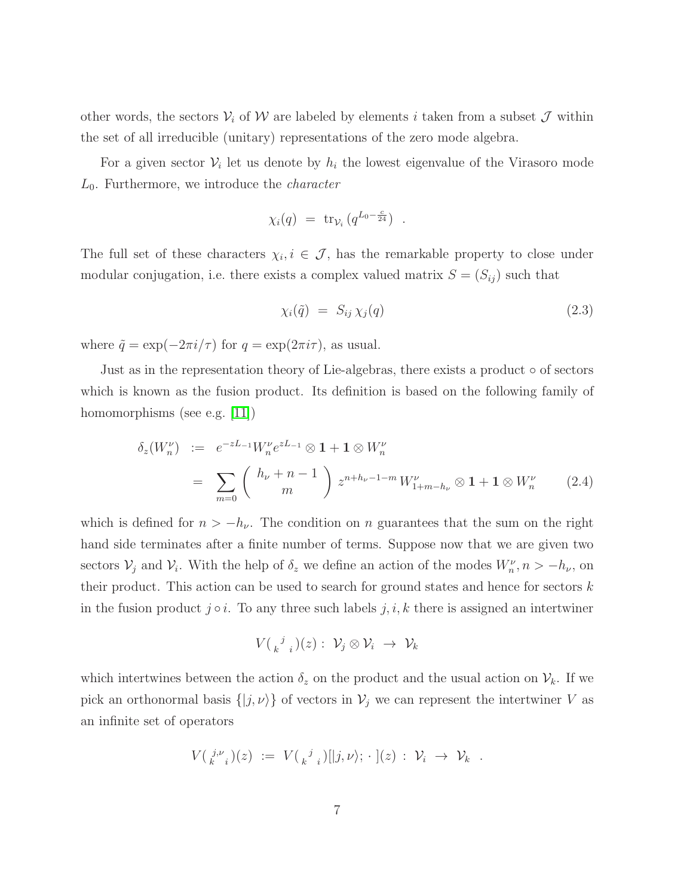other words, the sectors  $V_i$  of W are labeled by elements i taken from a subset  $\mathcal J$  within the set of all irreducible (unitary) representations of the zero mode algebra.

For a given sector  $V_i$  let us denote by  $h_i$  the lowest eigenvalue of the Virasoro mode  $L_0$ . Furthermore, we introduce the *character* 

$$
\chi_i(q) = \operatorname{tr}_{\mathcal{V}_i} (q^{L_0 - \frac{c}{24}}) .
$$

The full set of these characters  $\chi_i, i \in \mathcal{J}$ , has the remarkable property to close under modular conjugation, i.e. there exists a complex valued matrix  $S = (S_{ij})$  such that

<span id="page-7-0"></span>
$$
\chi_i(\tilde{q}) = S_{ij} \chi_j(q) \tag{2.3}
$$

where  $\tilde{q} = \exp(-2\pi i/\tau)$  for  $q = \exp(2\pi i\tau)$ , as usual.

Just as in the representation theory of Lie-algebras, there exists a product ◦ of sectors which is known as the fusion product. Its definition is based on the following family of homomorphisms (see e.g. [\[11\]](#page-78-10))

$$
\delta_z(W_n^{\nu}) := e^{-zL_{-1}} W_n^{\nu} e^{zL_{-1}} \otimes 1 + 1 \otimes W_n^{\nu}
$$
  
= 
$$
\sum_{m=0}^{\infty} {h_{\nu} + n - 1 \choose m} z^{n + h_{\nu} - 1 - m} W_{1 + m - h_{\nu}}^{\nu} \otimes 1 + 1 \otimes W_n^{\nu}
$$
 (2.4)

which is defined for  $n > -h_{\nu}$ . The condition on n guarantees that the sum on the right hand side terminates after a finite number of terms. Suppose now that we are given two sectors  $\mathcal{V}_j$  and  $\mathcal{V}_i$ . With the help of  $\delta_z$  we define an action of the modes  $W_n^{\nu}, n > -h_{\nu}$ , on their product. This action can be used to search for ground states and hence for sectors  $k$ in the fusion product  $j \circ i$ . To any three such labels  $j, i, k$  there is assigned an intertwiner

$$
V(\begin{array}{cc}j\\k^{j}\end{array})(z): \mathcal{V}_j\otimes\mathcal{V}_i\ \rightarrow\ \mathcal{V}_k
$$

which intertwines between the action  $\delta_z$  on the product and the usual action on  $\mathcal{V}_k$ . If we pick an orthonormal basis  $\{|j,\nu\rangle\}$  of vectors in  $\mathcal{V}_j$  we can represent the intertwiner V as an infinite set of operators

$$
V(\begin{array}{c}\n j.\nu \\
k.\n \end{array})(z) := V(\begin{array}{c}\n j \\
k.\n \end{array})([j,\nu); \cdot](z) : \mathcal{V}_i \to \mathcal{V}_k .
$$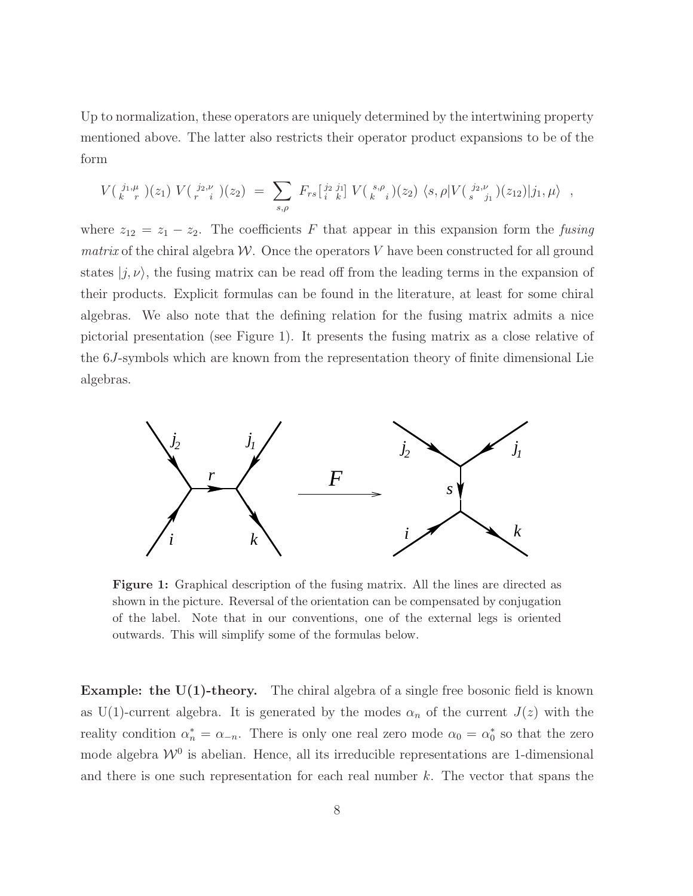Up to normalization, these operators are uniquely determined by the intertwining property mentioned above. The latter also restricts their operator product expansions to be of the form

$$
V(\begin{array}{c}j_1,\mu \\ k-r\end{array})(z_1) V(\begin{array}{c}j_2,\nu \\ r-i\end{array})(z_2) = \sum_{s,\rho} F_{rs}[\begin{array}{c}j_2 \ j_1 \\ k\end{array}] V(\begin{array}{c}s,\rho \\ k-i\end{array})(z_2) \langle s,\rho|V(\begin{array}{c}j_2,\nu \\ s-j_1\end{array})(z_{12})|j_1,\mu\rangle ,
$$

where  $z_{12} = z_1 - z_2$ . The coefficients F that appear in this expansion form the fusing matrix of the chiral algebra  $W$ . Once the operators V have been constructed for all ground states  $|j, \nu\rangle$ , the fusing matrix can be read off from the leading terms in the expansion of their products. Explicit formulas can be found in the literature, at least for some chiral algebras. We also note that the defining relation for the fusing matrix admits a nice pictorial presentation (see Figure 1). It presents the fusing matrix as a close relative of the 6J-symbols which are known from the representation theory of finite dimensional Lie algebras.



Figure 1: Graphical description of the fusing matrix. All the lines are directed as shown in the picture. Reversal of the orientation can be compensated by conjugation of the label. Note that in our conventions, one of the external legs is oriented outwards. This will simplify some of the formulas below.

**Example: the U(1)-theory.** The chiral algebra of a single free bosonic field is known as U(1)-current algebra. It is generated by the modes  $\alpha_n$  of the current  $J(z)$  with the reality condition  $\alpha_n^* = \alpha_{-n}$ . There is only one real zero mode  $\alpha_0 = \alpha_0^*$  so that the zero mode algebra  $\mathcal{W}^0$  is abelian. Hence, all its irreducible representations are 1-dimensional and there is one such representation for each real number  $k$ . The vector that spans the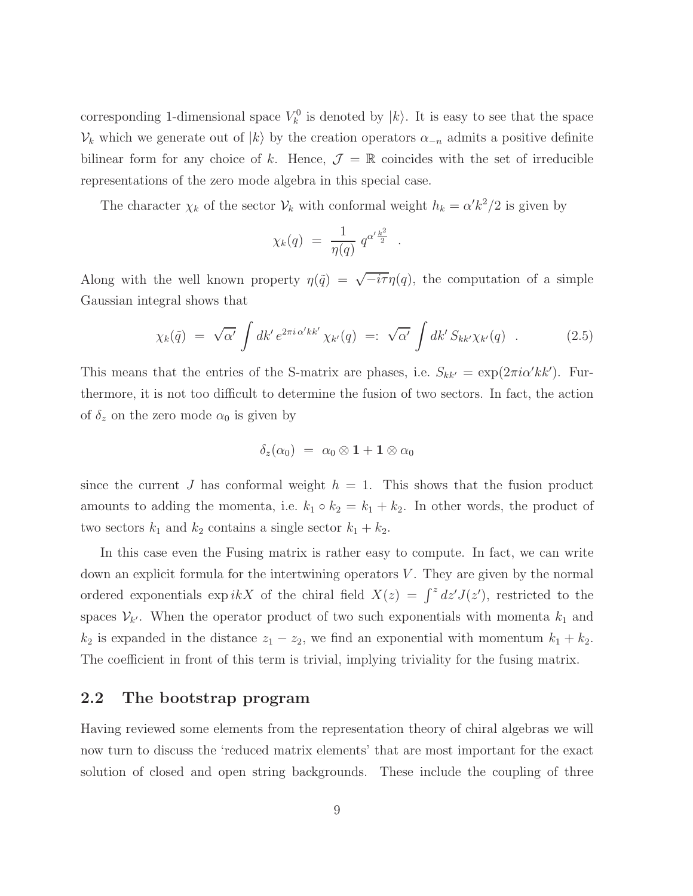corresponding 1-dimensional space  $V_k^0$  is denoted by  $|k\rangle$ . It is easy to see that the space  $V_k$  which we generate out of  $|k\rangle$  by the creation operators  $\alpha_{-n}$  admits a positive definite bilinear form for any choice of k. Hence,  $\mathcal{J} = \mathbb{R}$  coincides with the set of irreducible representations of the zero mode algebra in this special case.

The character  $\chi_k$  of the sector  $\mathcal{V}_k$  with conformal weight  $h_k = \alpha' k^2/2$  is given by

$$
\chi_k(q) \; = \; \frac{1}{\eta(q)} \; q^{\alpha' \frac{k^2}{2}} \;\; .
$$

Along with the well known property  $\eta(\tilde{q}) = \sqrt{-i\tau}\eta(q)$ , the computation of a simple Gaussian integral shows that

$$
\chi_k(\tilde{q}) = \sqrt{\alpha'} \int dk' e^{2\pi i \alpha' k k'} \chi_{k'}(q) =: \sqrt{\alpha'} \int dk' S_{k k'} \chi_{k'}(q) . \qquad (2.5)
$$

This means that the entries of the S-matrix are phases, i.e.  $S_{kk'} = \exp(2\pi i \alpha' k k')$ . Furthermore, it is not too difficult to determine the fusion of two sectors. In fact, the action of  $\delta_z$  on the zero mode  $\alpha_0$  is given by

$$
\delta_z(\alpha_0) = \alpha_0 \otimes \mathbf{1} + \mathbf{1} \otimes \alpha_0
$$

since the current J has conformal weight  $h = 1$ . This shows that the fusion product amounts to adding the momenta, i.e.  $k_1 \circ k_2 = k_1 + k_2$ . In other words, the product of two sectors  $k_1$  and  $k_2$  contains a single sector  $k_1 + k_2$ .

In this case even the Fusing matrix is rather easy to compute. In fact, we can write down an explicit formula for the intertwining operators  $V$ . They are given by the normal ordered exponentials  $\exp ikX$  of the chiral field  $X(z) = \int^z dz' J(z')$ , restricted to the spaces  $\mathcal{V}_{k'}$ . When the operator product of two such exponentials with momenta  $k_1$  and  $k_2$  is expanded in the distance  $z_1 - z_2$ , we find an exponential with momentum  $k_1 + k_2$ . The coefficient in front of this term is trivial, implying triviality for the fusing matrix.

#### <span id="page-9-0"></span>2.2 The bootstrap program

Having reviewed some elements from the representation theory of chiral algebras we will now turn to discuss the 'reduced matrix elements' that are most important for the exact solution of closed and open string backgrounds. These include the coupling of three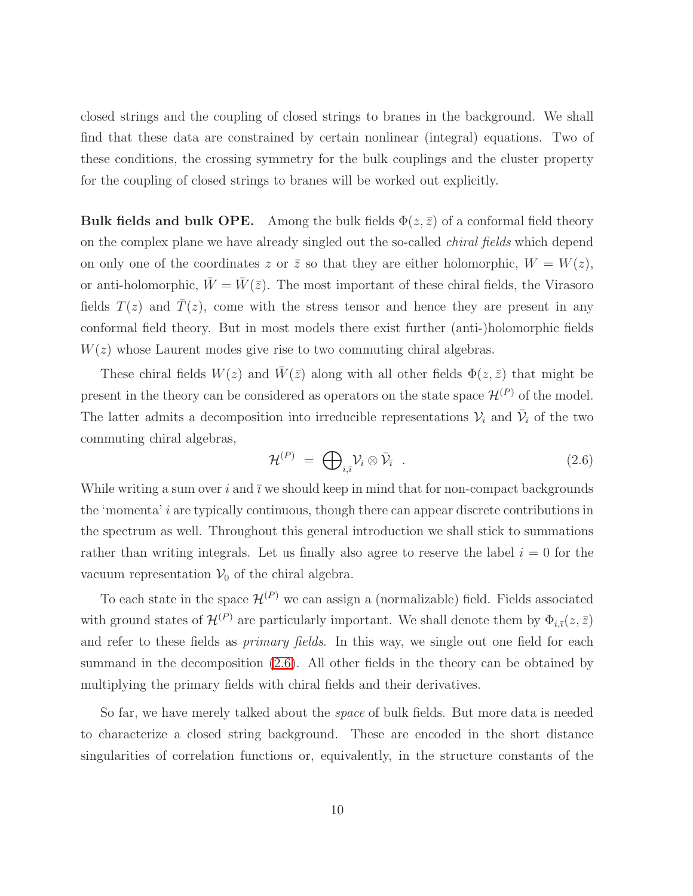closed strings and the coupling of closed strings to branes in the background. We shall find that these data are constrained by certain nonlinear (integral) equations. Two of these conditions, the crossing symmetry for the bulk couplings and the cluster property for the coupling of closed strings to branes will be worked out explicitly.

**Bulk fields and bulk OPE.** Among the bulk fields  $\Phi(z,\bar{z})$  of a conformal field theory on the complex plane we have already singled out the so-called chiral fields which depend on only one of the coordinates z or  $\overline{z}$  so that they are either holomorphic,  $W = W(z)$ , or anti-holomorphic,  $\bar{W} = \bar{W}(\bar{z})$ . The most important of these chiral fields, the Virasoro fields  $T(z)$  and  $\overline{T}(z)$ , come with the stress tensor and hence they are present in any conformal field theory. But in most models there exist further (anti-)holomorphic fields  $W(z)$  whose Laurent modes give rise to two commuting chiral algebras.

These chiral fields  $W(z)$  and  $\bar{W}(\bar{z})$  along with all other fields  $\Phi(z,\bar{z})$  that might be present in the theory can be considered as operators on the state space  $\mathcal{H}^{(P)}$  of the model. The latter admits a decomposition into irreducible representations  $\mathcal{V}_i$  and  $\bar{\mathcal{V}}_i$  of the two commuting chiral algebras,

<span id="page-10-0"></span>
$$
\mathcal{H}^{(P)} = \bigoplus_{i,\bar{i}} \mathcal{V}_i \otimes \bar{\mathcal{V}}_{\bar{i}} \qquad (2.6)
$$

While writing a sum over i and  $\bar{\imath}$  we should keep in mind that for non-compact backgrounds the 'momenta' i are typically continuous, though there can appear discrete contributions in the spectrum as well. Throughout this general introduction we shall stick to summations rather than writing integrals. Let us finally also agree to reserve the label  $i = 0$  for the vacuum representation  $V_0$  of the chiral algebra.

To each state in the space  $\mathcal{H}^{(P)}$  we can assign a (normalizable) field. Fields associated with ground states of  $\mathcal{H}^{(P)}$  are particularly important. We shall denote them by  $\Phi_{i,\bar{i}}(z,\bar{z})$ and refer to these fields as *primary fields*. In this way, we single out one field for each summand in the decomposition [\(2.6\)](#page-10-0). All other fields in the theory can be obtained by multiplying the primary fields with chiral fields and their derivatives.

So far, we have merely talked about the space of bulk fields. But more data is needed to characterize a closed string background. These are encoded in the short distance singularities of correlation functions or, equivalently, in the structure constants of the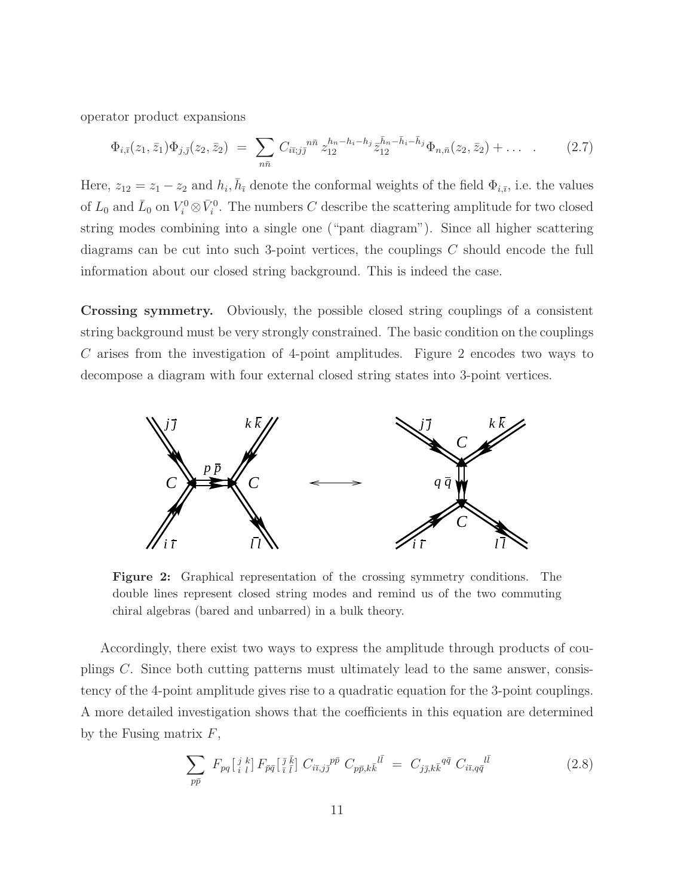<span id="page-11-1"></span>operator product expansions

$$
\Phi_{i,\bar{i}}(z_1,\bar{z}_1)\Phi_{j,\bar{j}}(z_2,\bar{z}_2) = \sum_{n\bar{n}} C_{i\bar{i};j\bar{j}}^{n\bar{n}} z_{12}^{h_n-h_i-h_j} \bar{z}_{12}^{\bar{h}_n-\bar{h}_i-\bar{h}_j} \Phi_{n,\bar{n}}(z_2,\bar{z}_2) + \dots \quad . \tag{2.7}
$$

Here,  $z_{12} = z_1 - z_2$  and  $h_i$ ,  $\bar{h}_{\bar{i}}$  denote the conformal weights of the field  $\Phi_{i,\bar{i}}$ , i.e. the values of  $L_0$  and  $\bar{L}_0$  on  $V_i^0 \otimes \bar{V}_i^0$ . The numbers C describe the scattering amplitude for two closed string modes combining into a single one ("pant diagram"). Since all higher scattering diagrams can be cut into such 3-point vertices, the couplings C should encode the full information about our closed string background. This is indeed the case.

Crossing symmetry. Obviously, the possible closed string couplings of a consistent string background must be very strongly constrained. The basic condition on the couplings C arises from the investigation of 4-point amplitudes. Figure 2 encodes two ways to decompose a diagram with four external closed string states into 3-point vertices.



Figure 2: Graphical representation of the crossing symmetry conditions. The double lines represent closed string modes and remind us of the two commuting chiral algebras (bared and unbarred) in a bulk theory.

Accordingly, there exist two ways to express the amplitude through products of couplings C. Since both cutting patterns must ultimately lead to the same answer, consistency of the 4-point amplitude gives rise to a quadratic equation for the 3-point couplings. A more detailed investigation shows that the coefficients in this equation are determined by the Fusing matrix  $F$ ,

<span id="page-11-0"></span>
$$
\sum_{p\bar{p}} F_{pq} \left[ \begin{array}{c} i \\ i \end{array} \right] F_{\bar{p}\bar{q}} \left[ \begin{array}{c} \bar{j} \\ \bar{i} \end{array} \right] C_{i\bar{i},j\bar{j}} \,^{\bar{p}} C_{p\bar{p},k\bar{k}} \,^{\bar{l}\bar{l}} = C_{j\bar{j},k\bar{k}} \,^{q\bar{q}} C_{i\bar{i},q\bar{q}} \,^{\bar{l}\bar{l}} \tag{2.8}
$$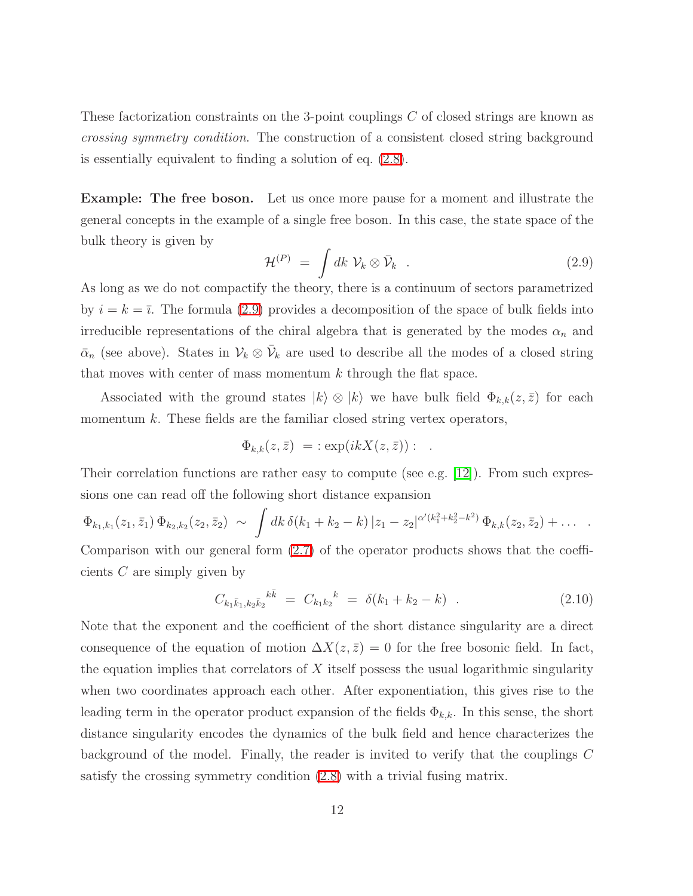These factorization constraints on the 3-point couplings C of closed strings are known as crossing symmetry condition. The construction of a consistent closed string background is essentially equivalent to finding a solution of eq. [\(2.8\)](#page-11-0).

Example: The free boson. Let us once more pause for a moment and illustrate the general concepts in the example of a single free boson. In this case, the state space of the bulk theory is given by

<span id="page-12-0"></span>
$$
\mathcal{H}^{(P)} = \int dk \; \mathcal{V}_k \otimes \bar{\mathcal{V}}_k \quad . \tag{2.9}
$$

As long as we do not compactify the theory, there is a continuum of sectors parametrized by  $i = k = \overline{i}$ . The formula [\(2.9\)](#page-12-0) provides a decomposition of the space of bulk fields into irreducible representations of the chiral algebra that is generated by the modes  $\alpha_n$  and  $\bar{\alpha}_n$  (see above). States in  $\mathcal{V}_k \otimes \bar{\mathcal{V}}_k$  are used to describe all the modes of a closed string that moves with center of mass momentum  $k$  through the flat space.

Associated with the ground states  $|k\rangle \otimes |k\rangle$  we have bulk field  $\Phi_{k,k}(z,\bar{z})$  for each momentum  $k$ . These fields are the familiar closed string vertex operators,

$$
\Phi_{k,k}(z,\bar{z}) = \exp(ikX(z,\bar{z})) : .
$$

Their correlation functions are rather easy to compute (see e.g. [\[12\]](#page-79-0)). From such expressions one can read off the following short distance expansion

$$
\Phi_{k_1,k_1}(z_1,\bar{z}_1)\,\Phi_{k_2,k_2}(z_2,\bar{z}_2)\,\sim\,\int dk\,\delta(k_1+k_2-k)\,|z_1-z_2|^{\alpha'(k_1^2+k_2^2-k^2)}\,\Phi_{k,k}(z_2,\bar{z}_2)+\ldots
$$

<span id="page-12-1"></span>Comparison with our general form [\(2.7\)](#page-11-1) of the operator products shows that the coefficients C are simply given by

$$
C_{k_1\bar{k}_1,k_2\bar{k}_2}^{k\bar{k}} = C_{k_1k_2}^{k} = \delta(k_1 + k_2 - k) \quad . \tag{2.10}
$$

Note that the exponent and the coefficient of the short distance singularity are a direct consequence of the equation of motion  $\Delta X(z,\bar{z}) = 0$  for the free bosonic field. In fact, the equation implies that correlators of  $X$  itself possess the usual logarithmic singularity when two coordinates approach each other. After exponentiation, this gives rise to the leading term in the operator product expansion of the fields  $\Phi_{k,k}$ . In this sense, the short distance singularity encodes the dynamics of the bulk field and hence characterizes the background of the model. Finally, the reader is invited to verify that the couplings C satisfy the crossing symmetry condition [\(2.8\)](#page-11-0) with a trivial fusing matrix.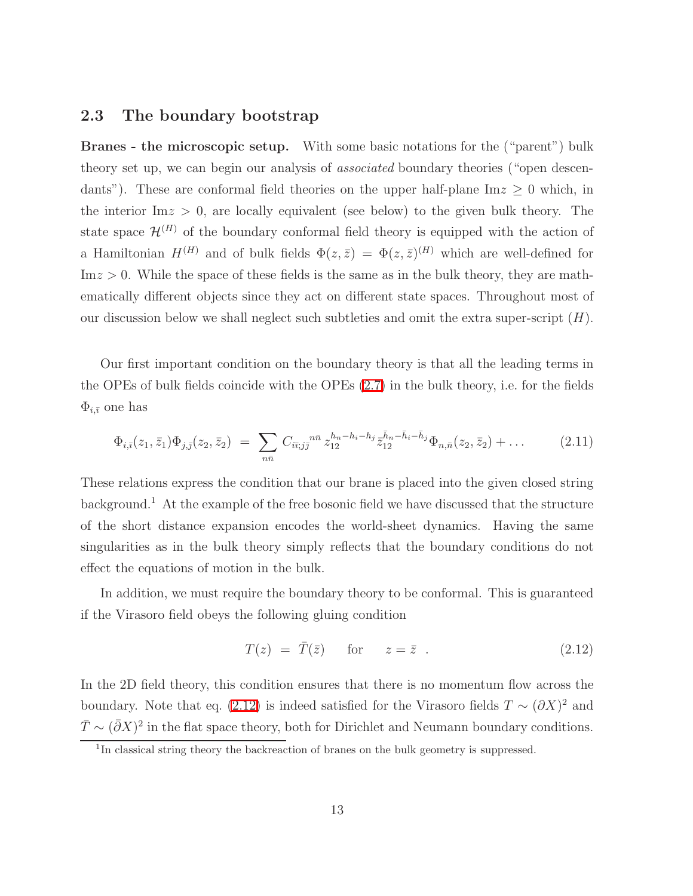#### <span id="page-13-0"></span>2.3 The boundary bootstrap

Branes - the microscopic setup. With some basic notations for the ("parent") bulk theory set up, we can begin our analysis of *associated* boundary theories ("open descendants"). These are conformal field theories on the upper half-plane  $\text{Im} z \geq 0$  which, in the interior  $\text{Im} z > 0$ , are locally equivalent (see below) to the given bulk theory. The state space  $\mathcal{H}^{(H)}$  of the boundary conformal field theory is equipped with the action of a Hamiltonian  $H^{(H)}$  and of bulk fields  $\Phi(z,\bar{z}) = \Phi(z,\bar{z})^{(H)}$  which are well-defined for  $Im z > 0$ . While the space of these fields is the same as in the bulk theory, they are mathematically different objects since they act on different state spaces. Throughout most of our discussion below we shall neglect such subtleties and omit the extra super-script  $(H)$ .

<span id="page-13-2"></span>Our first important condition on the boundary theory is that all the leading terms in the OPEs of bulk fields coincide with the OPEs [\(2.7\)](#page-11-1) in the bulk theory, i.e. for the fields  $\Phi_{i,\bar{i}}$  one has

$$
\Phi_{i,\bar{i}}(z_1,\bar{z}_1)\Phi_{j,\bar{j}}(z_2,\bar{z}_2) = \sum_{n\bar{n}} C_{i\bar{i},j\bar{j}}^{n\bar{n}} z_{12}^{h_n-h_i-h_j} \bar{z}_{12}^{\bar{h}_n-\bar{h}_i-\bar{h}_j} \Phi_{n,\bar{n}}(z_2,\bar{z}_2) + \dots \qquad (2.11)
$$

These relations express the condition that our brane is placed into the given closed string background.<sup>1</sup> At the example of the free bosonic field we have discussed that the structure of the short distance expansion encodes the world-sheet dynamics. Having the same singularities as in the bulk theory simply reflects that the boundary conditions do not effect the equations of motion in the bulk.

In addition, we must require the boundary theory to be conformal. This is guaranteed if the Virasoro field obeys the following gluing condition

<span id="page-13-1"></span>
$$
T(z) = \overline{T}(\overline{z}) \quad \text{for} \quad z = \overline{z} \tag{2.12}
$$

In the 2D field theory, this condition ensures that there is no momentum flow across the boundary. Note that eq. [\(2.12\)](#page-13-1) is indeed satisfied for the Virasoro fields  $T \sim (\partial X)^2$  and  $\bar{T} \sim (\bar{\partial}X)^2$  in the flat space theory, both for Dirichlet and Neumann boundary conditions.

<sup>&</sup>lt;sup>1</sup>In classical string theory the backreaction of branes on the bulk geometry is suppressed.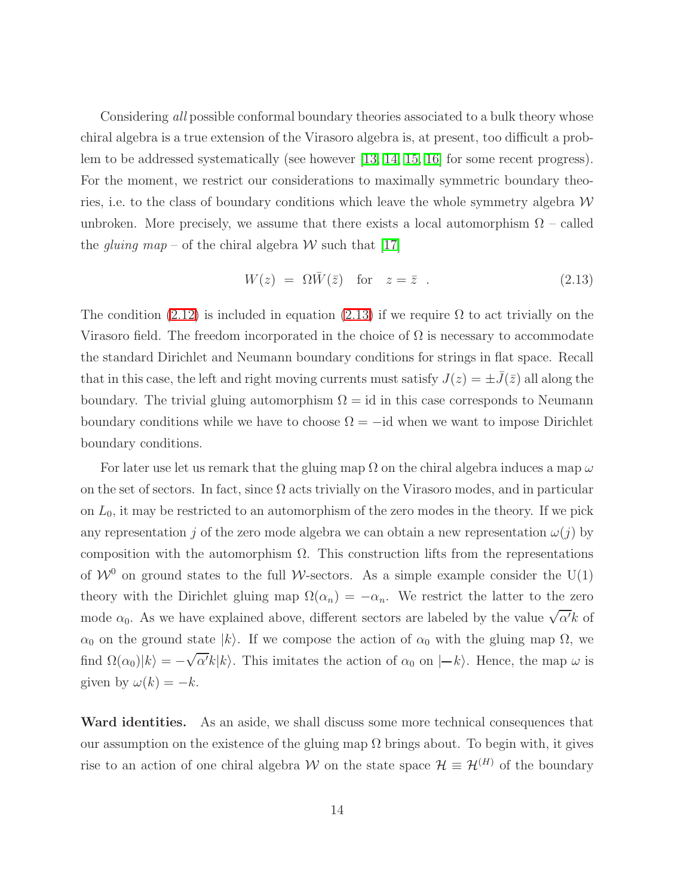Considering all possible conformal boundary theories associated to a bulk theory whose chiral algebra is a true extension of the Virasoro algebra is, at present, too difficult a problem to be addressed systematically (see however [\[13,](#page-79-1) [14,](#page-79-2) [15,](#page-79-3) [16\]](#page-79-4) for some recent progress). For the moment, we restrict our considerations to maximally symmetric boundary theories, i.e. to the class of boundary conditions which leave the whole symmetry algebra  $W$ unbroken. More precisely, we assume that there exists a local automorphism  $\Omega$  – called the gluing map – of the chiral algebra W such that [\[17\]](#page-79-5)

<span id="page-14-0"></span>
$$
W(z) = \Omega \bar{W}(\bar{z}) \quad \text{for} \quad z = \bar{z} \quad . \tag{2.13}
$$

The condition [\(2.12\)](#page-13-1) is included in equation [\(2.13\)](#page-14-0) if we require  $\Omega$  to act trivially on the Virasoro field. The freedom incorporated in the choice of  $\Omega$  is necessary to accommodate the standard Dirichlet and Neumann boundary conditions for strings in flat space. Recall that in this case, the left and right moving currents must satisfy  $J(z) = \pm J(\bar{z})$  all along the boundary. The trivial gluing automorphism  $\Omega = id$  in this case corresponds to Neumann boundary conditions while we have to choose  $\Omega = -id$  when we want to impose Dirichlet boundary conditions.

For later use let us remark that the gluing map  $\Omega$  on the chiral algebra induces a map  $\omega$ on the set of sectors. In fact, since  $\Omega$  acts trivially on the Virasoro modes, and in particular on  $L_0$ , it may be restricted to an automorphism of the zero modes in the theory. If we pick any representation j of the zero mode algebra we can obtain a new representation  $\omega(j)$  by composition with the automorphism  $\Omega$ . This construction lifts from the representations of  $W^0$  on ground states to the full W-sectors. As a simple example consider the U(1) theory with the Dirichlet gluing map  $\Omega(\alpha_n) = -\alpha_n$ . We restrict the latter to the zero mode  $\alpha_0$ . As we have explained above, different sectors are labeled by the value  $\sqrt{\alpha'}k$  of  $\alpha_0$  on the ground state  $|k\rangle$ . If we compose the action of  $\alpha_0$  with the gluing map  $\Omega$ , we find  $\Omega(\alpha_0)|k\rangle = -\sqrt{\alpha'}k|k\rangle$ . This imitates the action of  $\alpha_0$  on  $|-k\rangle$ . Hence, the map  $\omega$  is given by  $\omega(k) = -k$ .

Ward identities. As an aside, we shall discuss some more technical consequences that our assumption on the existence of the gluing map  $\Omega$  brings about. To begin with, it gives rise to an action of one chiral algebra W on the state space  $\mathcal{H} \equiv \mathcal{H}^{(H)}$  of the boundary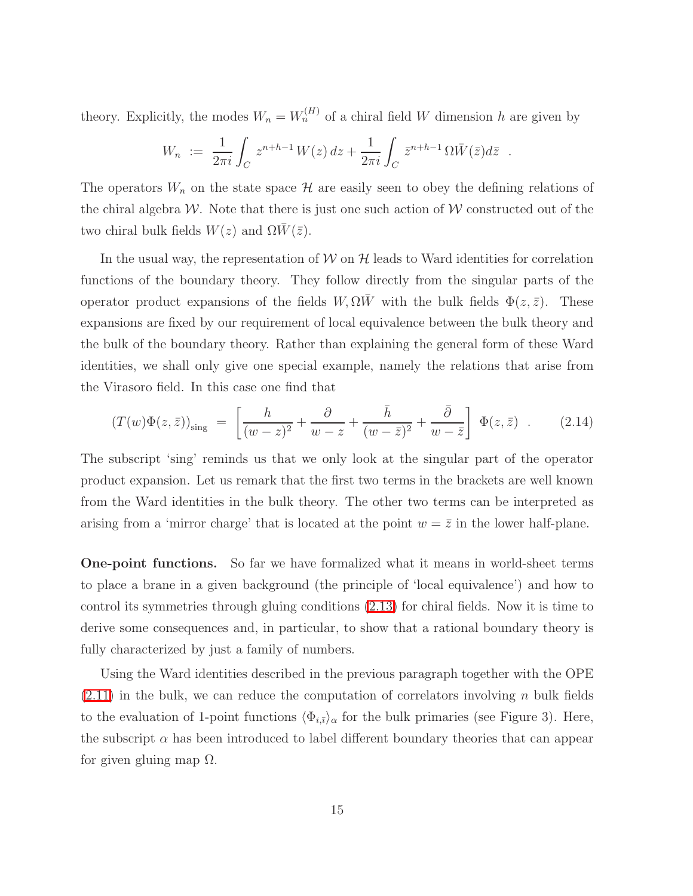theory. Explicitly, the modes  $W_n = W_n^{(H)}$  of a chiral field W dimension h are given by

$$
W_n := \frac{1}{2\pi i} \int_C z^{n+h-1} W(z) dz + \frac{1}{2\pi i} \int_C \bar{z}^{n+h-1} \Omega \bar{W}(\bar{z}) d\bar{z} .
$$

The operators  $W_n$  on the state space  $\mathcal H$  are easily seen to obey the defining relations of the chiral algebra W. Note that there is just one such action of W constructed out of the two chiral bulk fields  $W(z)$  and  $\Omega \overline{W}(\overline{z})$ .

In the usual way, the representation of  $W$  on  $H$  leads to Ward identities for correlation functions of the boundary theory. They follow directly from the singular parts of the operator product expansions of the fields  $W, \Omega \overline{W}$  with the bulk fields  $\Phi(z, \overline{z})$ . These expansions are fixed by our requirement of local equivalence between the bulk theory and the bulk of the boundary theory. Rather than explaining the general form of these Ward identities, we shall only give one special example, namely the relations that arise from the Virasoro field. In this case one find that

$$
(T(w)\Phi(z,\bar{z}))_{\text{sing}} = \left[\frac{h}{(w-z)^2} + \frac{\partial}{w-z} + \frac{\bar{h}}{(w-\bar{z})^2} + \frac{\bar{\partial}}{w-\bar{z}}\right] \Phi(z,\bar{z}) . \quad (2.14)
$$

The subscript 'sing' reminds us that we only look at the singular part of the operator product expansion. Let us remark that the first two terms in the brackets are well known from the Ward identities in the bulk theory. The other two terms can be interpreted as arising from a 'mirror charge' that is located at the point  $w = \overline{z}$  in the lower half-plane.

One-point functions. So far we have formalized what it means in world-sheet terms to place a brane in a given background (the principle of 'local equivalence') and how to control its symmetries through gluing conditions [\(2.13\)](#page-14-0) for chiral fields. Now it is time to derive some consequences and, in particular, to show that a rational boundary theory is fully characterized by just a family of numbers.

Using the Ward identities described in the previous paragraph together with the OPE  $(2.11)$  in the bulk, we can reduce the computation of correlators involving n bulk fields to the evaluation of 1-point functions  $\langle \Phi_{i,\bar{\imath}} \rangle_\alpha$  for the bulk primaries (see Figure 3). Here, the subscript  $\alpha$  has been introduced to label different boundary theories that can appear for given gluing map  $\Omega$ .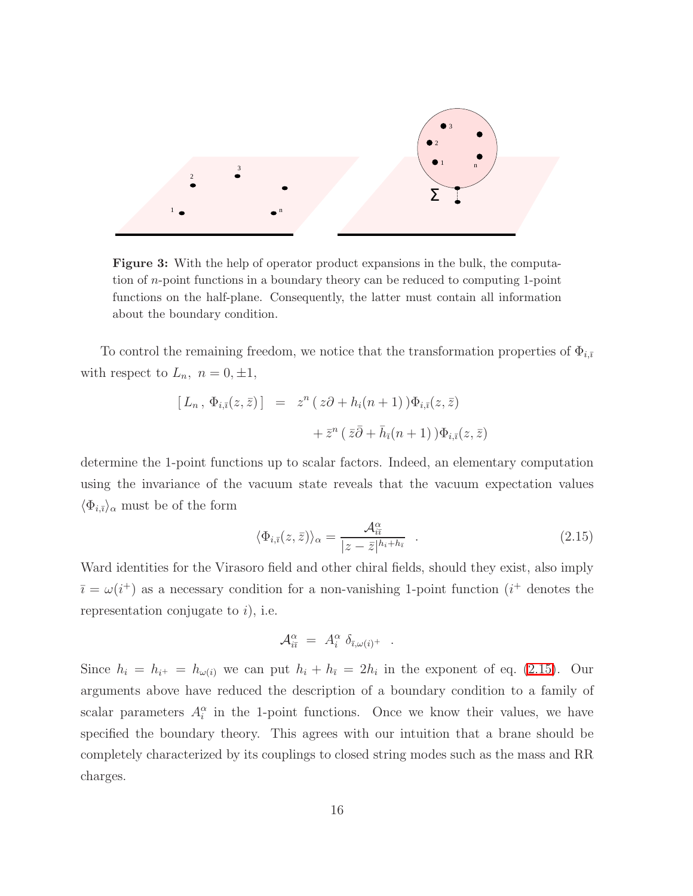

Figure 3: With the help of operator product expansions in the bulk, the computation of n-point functions in a boundary theory can be reduced to computing 1-point functions on the half-plane. Consequently, the latter must contain all information about the boundary condition.

To control the remaining freedom, we notice that the transformation properties of  $\Phi_{i,\bar{i}}$ with respect to  $L_n$ ,  $n = 0, \pm 1$ ,

$$
[L_n, \Phi_{i,\bar{i}}(z,\bar{z})] = z^n (z\partial + h_i(n+1))\Phi_{i,\bar{i}}(z,\bar{z})
$$
  
+  $\bar{z}^n (\bar{z}\bar{\partial} + \bar{h}_{\bar{i}}(n+1))\Phi_{i,\bar{i}}(z,\bar{z})$ 

determine the 1-point functions up to scalar factors. Indeed, an elementary computation using the invariance of the vacuum state reveals that the vacuum expectation values  $\langle \Phi_{i,\bar{\imath}} \rangle_{\alpha}$  must be of the form

<span id="page-16-0"></span>
$$
\langle \Phi_{i,\bar{\imath}}(z,\bar{z}) \rangle_{\alpha} = \frac{\mathcal{A}_{i\bar{\imath}}^{\alpha}}{|z-\bar{z}|^{h_i+h_{\bar{\imath}}}} \quad . \tag{2.15}
$$

Ward identities for the Virasoro field and other chiral fields, should they exist, also imply  $\bar{i} = \omega(i^+)$  as a necessary condition for a non-vanishing 1-point function  $(i^+$  denotes the representation conjugate to  $i$ , i.e.

$$
\mathcal{A}_{i\bar{\imath}}^{\alpha} = A_i^{\alpha} \; \delta_{\bar{\imath}, \omega(i)^+} \; .
$$

Since  $h_i = h_{i^+} = h_{\omega(i)}$  we can put  $h_i + h_{\overline{i}} = 2h_i$  in the exponent of eq. [\(2.15\)](#page-16-0). Our arguments above have reduced the description of a boundary condition to a family of scalar parameters  $A_i^{\alpha}$  in the 1-point functions. Once we know their values, we have specified the boundary theory. This agrees with our intuition that a brane should be completely characterized by its couplings to closed string modes such as the mass and RR charges.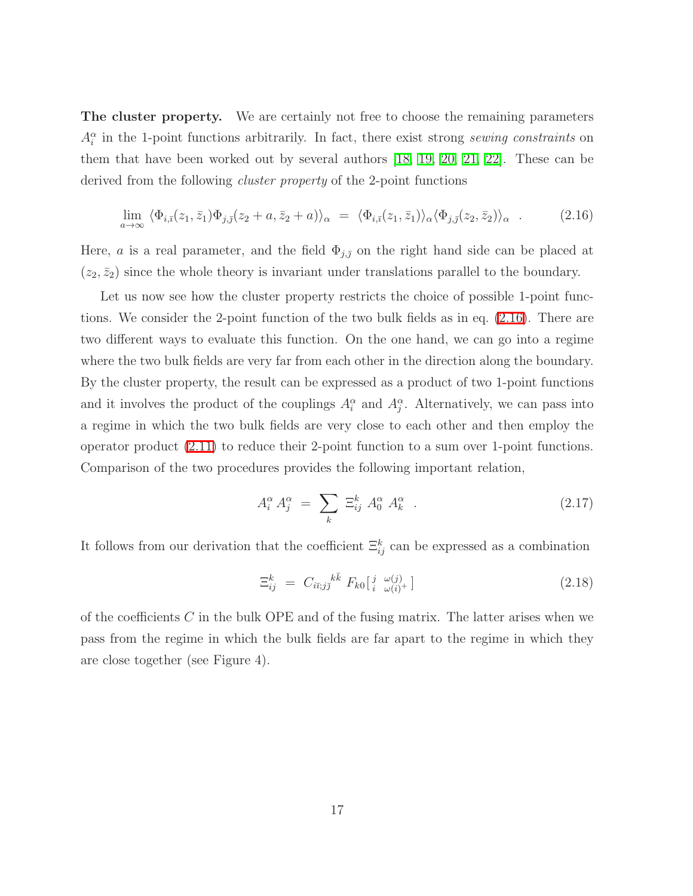The cluster property. We are certainly not free to choose the remaining parameters  $A_i^{\alpha}$  in the 1-point functions arbitrarily. In fact, there exist strong sewing constraints on them that have been worked out by several authors [\[18,](#page-79-6) [19,](#page-79-7) [20,](#page-79-8) [21,](#page-79-9) [22\]](#page-79-10). These can be derived from the following *cluster property* of the 2-point functions

$$
\lim_{a \to \infty} \langle \Phi_{i,\bar{\imath}}(z_1, \bar{z}_1) \Phi_{j,\bar{\jmath}}(z_2 + a, \bar{z}_2 + a) \rangle_{\alpha} = \langle \Phi_{i,\bar{\imath}}(z_1, \bar{z}_1) \rangle_{\alpha} \langle \Phi_{j,\bar{\jmath}}(z_2, \bar{z}_2) \rangle_{\alpha} . \tag{2.16}
$$

<span id="page-17-0"></span>Here, a is a real parameter, and the field  $\Phi_{j,\bar{j}}$  on the right hand side can be placed at  $(z_2, \bar{z}_2)$  since the whole theory is invariant under translations parallel to the boundary.

Let us now see how the cluster property restricts the choice of possible 1-point functions. We consider the 2-point function of the two bulk fields as in eq. [\(2.16\)](#page-17-0). There are two different ways to evaluate this function. On the one hand, we can go into a regime where the two bulk fields are very far from each other in the direction along the boundary. By the cluster property, the result can be expressed as a product of two 1-point functions and it involves the product of the couplings  $A_i^{\alpha}$  and  $A_j^{\alpha}$ . Alternatively, we can pass into a regime in which the two bulk fields are very close to each other and then employ the operator product [\(2.11\)](#page-13-2) to reduce their 2-point function to a sum over 1-point functions. Comparison of the two procedures provides the following important relation,

<span id="page-17-1"></span>
$$
A_i^{\alpha} A_j^{\alpha} = \sum_k \Xi_{ij}^k A_0^{\alpha} A_k^{\alpha} . \qquad (2.17)
$$

It follows from our derivation that the coefficient  $\Xi_{ij}^k$  can be expressed as a combination

<span id="page-17-2"></span>
$$
\Xi_{ij}^k = C_{i\bar{i};j\bar{j}}{}^{k\bar{k}} F_{k0} \left[ \begin{array}{cc} j & \omega(j) \\ i & \omega(i)^+ \end{array} \right] \tag{2.18}
$$

of the coefficients  $C$  in the bulk OPE and of the fusing matrix. The latter arises when we pass from the regime in which the bulk fields are far apart to the regime in which they are close together (see Figure 4).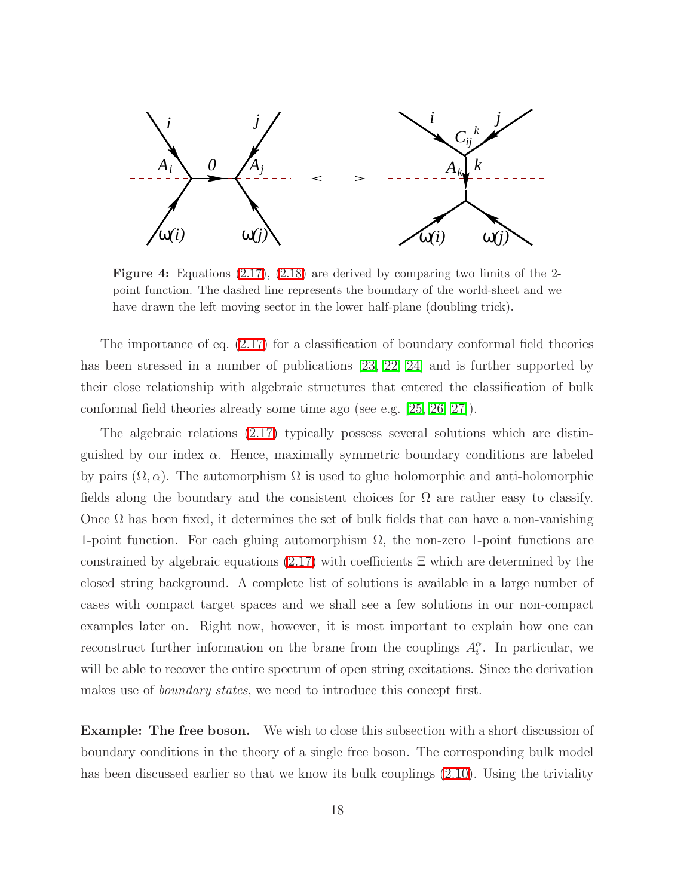

Figure 4: Equations [\(2.17\)](#page-17-1), [\(2.18\)](#page-17-2) are derived by comparing two limits of the 2 point function. The dashed line represents the boundary of the world-sheet and we have drawn the left moving sector in the lower half-plane (doubling trick).

The importance of eq. [\(2.17\)](#page-17-1) for a classification of boundary conformal field theories has been stressed in a number of publications [\[23,](#page-79-11) [22,](#page-79-10) [24\]](#page-79-12) and is further supported by their close relationship with algebraic structures that entered the classification of bulk conformal field theories already some time ago (see e.g. [\[25,](#page-79-13) [26,](#page-80-0) [27\]](#page-80-1)).

The algebraic relations [\(2.17\)](#page-17-1) typically possess several solutions which are distinguished by our index  $\alpha$ . Hence, maximally symmetric boundary conditions are labeled by pairs  $(\Omega, \alpha)$ . The automorphism  $\Omega$  is used to glue holomorphic and anti-holomorphic fields along the boundary and the consistent choices for  $\Omega$  are rather easy to classify. Once  $\Omega$  has been fixed, it determines the set of bulk fields that can have a non-vanishing 1-point function. For each gluing automorphism  $\Omega$ , the non-zero 1-point functions are constrained by algebraic equations  $(2.17)$  with coefficients  $\Xi$  which are determined by the closed string background. A complete list of solutions is available in a large number of cases with compact target spaces and we shall see a few solutions in our non-compact examples later on. Right now, however, it is most important to explain how one can reconstruct further information on the brane from the couplings  $A_i^{\alpha}$ . In particular, we will be able to recover the entire spectrum of open string excitations. Since the derivation makes use of *boundary states*, we need to introduce this concept first.

**Example: The free boson.** We wish to close this subsection with a short discussion of boundary conditions in the theory of a single free boson. The corresponding bulk model has been discussed earlier so that we know its bulk couplings [\(2.10\)](#page-12-1). Using the triviality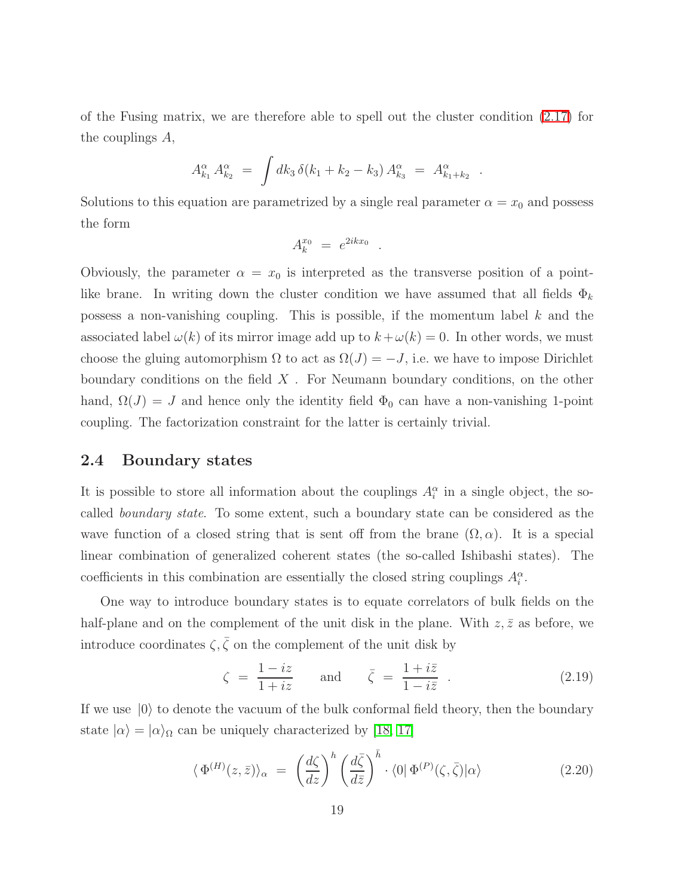of the Fusing matrix, we are therefore able to spell out the cluster condition [\(2.17\)](#page-17-1) for the couplings A,

$$
A_{k_1}^{\alpha} A_{k_2}^{\alpha} = \int dk_3 \, \delta(k_1 + k_2 - k_3) \, A_{k_3}^{\alpha} = A_{k_1 + k_2}^{\alpha}
$$

.

Solutions to this equation are parametrized by a single real parameter  $\alpha = x_0$  and possess the form

$$
A_k^{x_0} = e^{2ikx_0}
$$

.

Obviously, the parameter  $\alpha = x_0$  is interpreted as the transverse position of a pointlike brane. In writing down the cluster condition we have assumed that all fields  $\Phi_k$ possess a non-vanishing coupling. This is possible, if the momentum label k and the associated label  $\omega(k)$  of its mirror image add up to  $k + \omega(k) = 0$ . In other words, we must choose the gluing automorphism  $\Omega$  to act as  $\Omega(J) = -J$ , i.e. we have to impose Dirichlet boundary conditions on the field  $X$ . For Neumann boundary conditions, on the other hand,  $\Omega(J) = J$  and hence only the identity field  $\Phi_0$  can have a non-vanishing 1-point coupling. The factorization constraint for the latter is certainly trivial.

#### <span id="page-19-0"></span>2.4 Boundary states

It is possible to store all information about the couplings  $A_i^{\alpha}$  in a single object, the socalled boundary state. To some extent, such a boundary state can be considered as the wave function of a closed string that is sent off from the brane  $(\Omega, \alpha)$ . It is a special linear combination of generalized coherent states (the so-called Ishibashi states). The coefficients in this combination are essentially the closed string couplings  $A_i^{\alpha}$ .

One way to introduce boundary states is to equate correlators of bulk fields on the half-plane and on the complement of the unit disk in the plane. With  $z, \bar{z}$  as before, we introduce coordinates  $\zeta, \bar{\zeta}$  on the complement of the unit disk by

$$
\zeta = \frac{1 - iz}{1 + iz} \quad \text{and} \quad \bar{\zeta} = \frac{1 + i\bar{z}}{1 - i\bar{z}} \quad . \tag{2.19}
$$

<span id="page-19-1"></span>If we use  $|0\rangle$  to denote the vacuum of the bulk conformal field theory, then the boundary state  $|\alpha\rangle = |\alpha\rangle_{\Omega}$  can be uniquely characterized by [\[18,](#page-79-6) [17\]](#page-79-5)

$$
\langle \Phi^{(H)}(z,\bar{z}) \rangle_{\alpha} = \left( \frac{d\zeta}{dz} \right)^h \left( \frac{d\bar{\zeta}}{d\bar{z}} \right)^{\bar{h}} \cdot \langle 0 | \Phi^{(P)}(\zeta,\bar{\zeta}) | \alpha \rangle \tag{2.20}
$$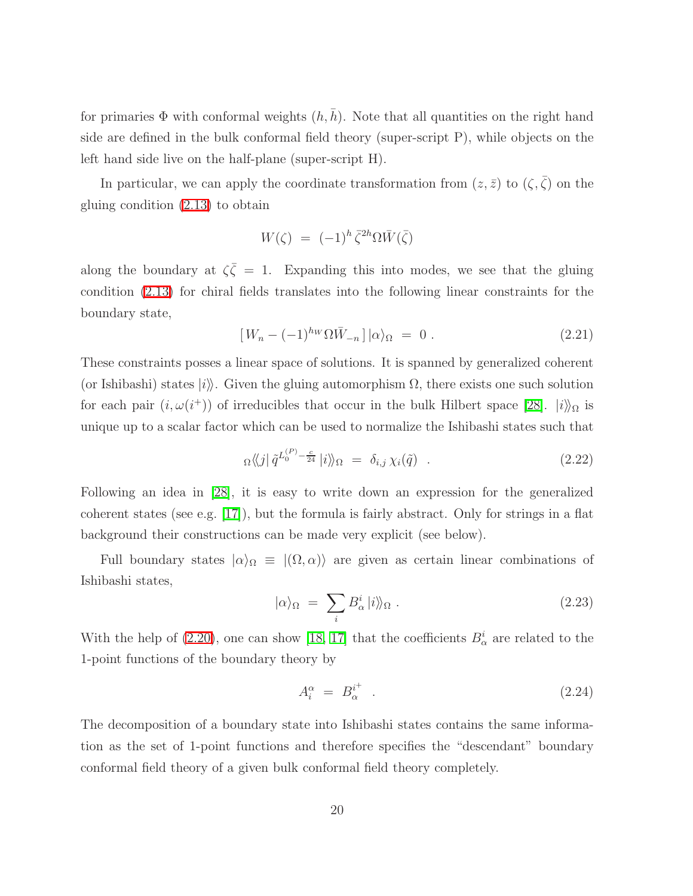for primaries  $\Phi$  with conformal weights  $(h, \bar{h})$ . Note that all quantities on the right hand side are defined in the bulk conformal field theory (super-script P), while objects on the left hand side live on the half-plane (super-script H).

In particular, we can apply the coordinate transformation from  $(z, \bar{z})$  to  $(\zeta, \bar{\zeta})$  on the gluing condition [\(2.13\)](#page-14-0) to obtain

$$
W(\zeta) = (-1)^h \bar{\zeta}^{2h} \Omega \bar{W}(\bar{\zeta})
$$

along the boundary at  $\zeta \overline{\zeta} = 1$ . Expanding this into modes, we see that the gluing condition [\(2.13\)](#page-14-0) for chiral fields translates into the following linear constraints for the boundary state,

<span id="page-20-0"></span>
$$
[W_n - (-1)^{h_W} \Omega \bar{W}_{-n}] |\alpha\rangle_{\Omega} = 0.
$$
 (2.21)

These constraints posses a linear space of solutions. It is spanned by generalized coherent (or Ishibashi) states  $|i\rangle$ . Given the gluing automorphism  $\Omega$ , there exists one such solution for each pair  $(i, \omega(i^+))$  of irreducibles that occur in the bulk Hilbert space [\[28\]](#page-80-2).  $|i\rangle\!\rangle_{\Omega}$  is unique up to a scalar factor which can be used to normalize the Ishibashi states such that

<span id="page-20-3"></span>
$$
\alpha \langle j | \tilde{q}^{L_0^{(P)} - \frac{c}{24}} | i \rangle\!\rangle_{\Omega} = \delta_{i,j} \chi_i(\tilde{q}) \quad . \tag{2.22}
$$

Following an idea in [\[28\]](#page-80-2), it is easy to write down an expression for the generalized coherent states (see e.g. [\[17\]](#page-79-5)), but the formula is fairly abstract. Only for strings in a flat background their constructions can be made very explicit (see below).

Full boundary states  $|\alpha\rangle_{\Omega} \equiv |(\Omega, \alpha)\rangle$  are given as certain linear combinations of Ishibashi states,

<span id="page-20-1"></span>
$$
|\alpha\rangle_{\Omega} = \sum_{i} B_{\alpha}^{i} |i\rangle_{\Omega} . \qquad (2.23)
$$

With the help of [\(2.20\)](#page-19-1), one can show [\[18,](#page-79-6) [17\]](#page-79-5) that the coefficients  $B^i_\alpha$  are related to the 1-point functions of the boundary theory by

<span id="page-20-2"></span>
$$
A_i^{\alpha} = B_{\alpha}^{i^+} \tag{2.24}
$$

The decomposition of a boundary state into Ishibashi states contains the same information as the set of 1-point functions and therefore specifies the "descendant" boundary conformal field theory of a given bulk conformal field theory completely.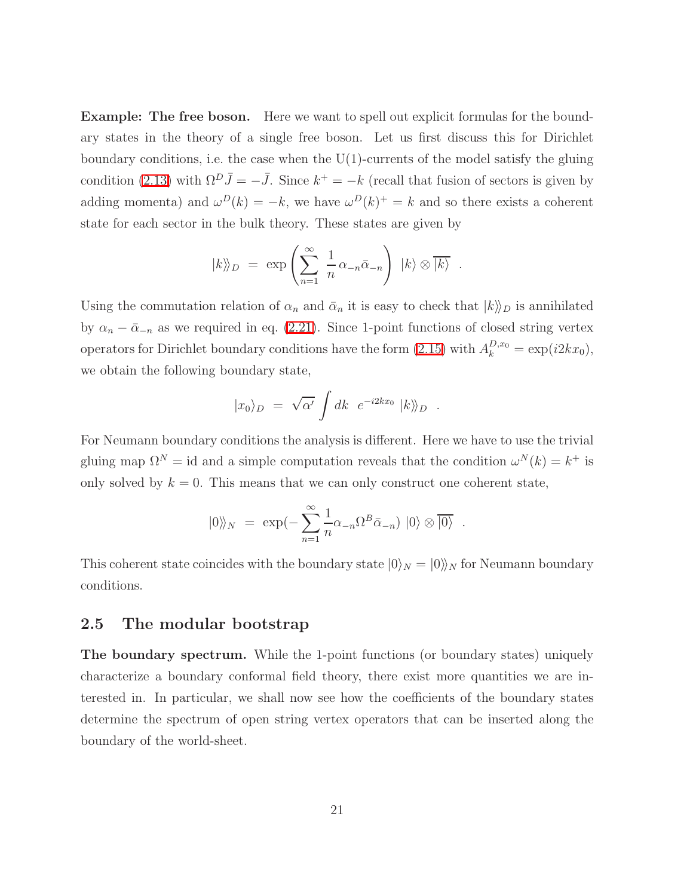**Example: The free boson.** Here we want to spell out explicit formulas for the boundary states in the theory of a single free boson. Let us first discuss this for Dirichlet boundary conditions, i.e. the case when the U(1)-currents of the model satisfy the gluing condition [\(2.13\)](#page-14-0) with  $\Omega^D \bar{J} = -\bar{J}$ . Since  $k^+ = -k$  (recall that fusion of sectors is given by adding momenta) and  $\omega^{D}(k) = -k$ , we have  $\omega^{D}(k)^{+} = k$  and so there exists a coherent state for each sector in the bulk theory. These states are given by

$$
|k\rangle\!\rangle_D = \exp\left(\sum_{n=1}^{\infty} \frac{1}{n} \alpha_{-n} \bar{\alpha}_{-n}\right) |k\rangle \otimes \overline{|k\rangle} .
$$

Using the commutation relation of  $\alpha_n$  and  $\bar{\alpha}_n$  it is easy to check that  $|k\rangle_D$  is annihilated by  $\alpha_n - \bar{\alpha}_{-n}$  as we required in eq. [\(2.21\)](#page-20-0). Since 1-point functions of closed string vertex operators for Dirichlet boundary conditions have the form  $(2.15)$  with  $A_k^{D,x_0} = \exp(i2kx_0)$ , we obtain the following boundary state,

$$
|x_0\rangle_D = \sqrt{\alpha'} \int dk \ e^{-i2kx_0} |k\rangle_D .
$$

For Neumann boundary conditions the analysis is different. Here we have to use the trivial gluing map  $\Omega^N = id$  and a simple computation reveals that the condition  $\omega^N(k) = k^+$  is only solved by  $k = 0$ . This means that we can only construct one coherent state,

$$
|0\rangle\!\rangle_N = \exp(-\sum_{n=1}^{\infty} \frac{1}{n} \alpha_{-n} \Omega^B \bar{\alpha}_{-n}) |0\rangle \otimes |\overline{0}\rangle .
$$

This coherent state coincides with the boundary state  $|0\rangle_N = |0\rangle_N$  for Neumann boundary conditions.

#### <span id="page-21-0"></span>2.5 The modular bootstrap

The boundary spectrum. While the 1-point functions (or boundary states) uniquely characterize a boundary conformal field theory, there exist more quantities we are interested in. In particular, we shall now see how the coefficients of the boundary states determine the spectrum of open string vertex operators that can be inserted along the boundary of the world-sheet.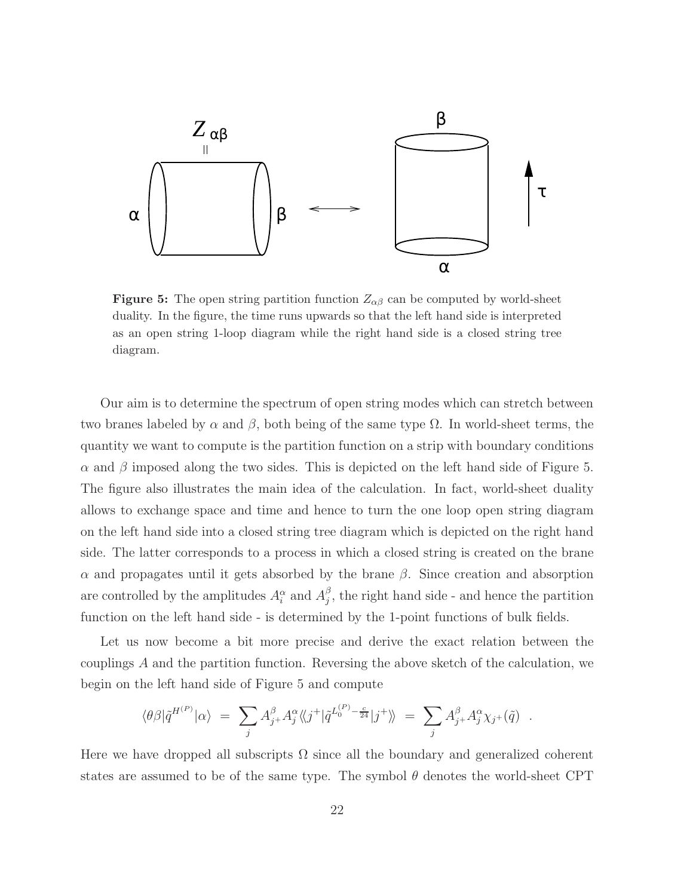

**Figure 5:** The open string partition function  $Z_{\alpha\beta}$  can be computed by world-sheet duality. In the figure, the time runs upwards so that the left hand side is interpreted as an open string 1-loop diagram while the right hand side is a closed string tree diagram.

Our aim is to determine the spectrum of open string modes which can stretch between two branes labeled by  $\alpha$  and  $\beta$ , both being of the same type  $\Omega$ . In world-sheet terms, the quantity we want to compute is the partition function on a strip with boundary conditions  $\alpha$  and  $\beta$  imposed along the two sides. This is depicted on the left hand side of Figure 5. The figure also illustrates the main idea of the calculation. In fact, world-sheet duality allows to exchange space and time and hence to turn the one loop open string diagram on the left hand side into a closed string tree diagram which is depicted on the right hand side. The latter corresponds to a process in which a closed string is created on the brane α and propagates until it gets absorbed by the brane β. Since creation and absorption are controlled by the amplitudes  $A_i^{\alpha}$  and  $A_j^{\beta}$  $j$ , the right hand side - and hence the partition function on the left hand side - is determined by the 1-point functions of bulk fields.

Let us now become a bit more precise and derive the exact relation between the couplings A and the partition function. Reversing the above sketch of the calculation, we begin on the left hand side of Figure 5 and compute

$$
\langle \theta \beta | \tilde{q}^{H^{(P)}} | \alpha \rangle = \sum_j A_{j+}^{\beta} A_j^{\alpha} \langle \langle j^+ | \tilde{q}^{L_0^{(P)} - \frac{c}{24}} | j^+ \rangle \rangle = \sum_j A_{j+}^{\beta} A_j^{\alpha} \chi_{j+}(\tilde{q}) .
$$

Here we have dropped all subscripts  $\Omega$  since all the boundary and generalized coherent states are assumed to be of the same type. The symbol  $\theta$  denotes the world-sheet CPT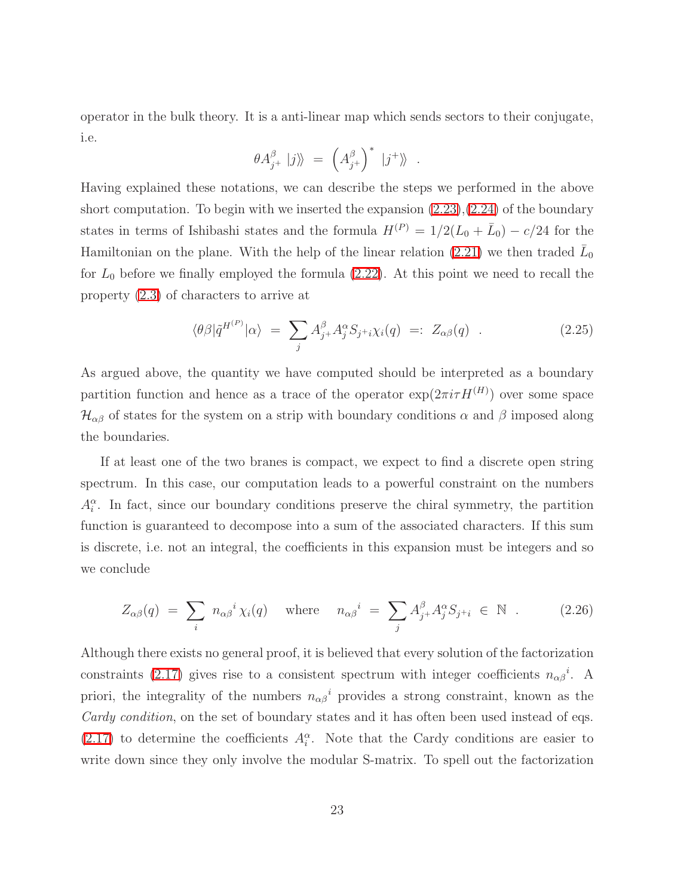operator in the bulk theory. It is a anti-linear map which sends sectors to their conjugate, i.e.

$$
\theta A_{j^+}^{\beta} \left|j\right\rangle = \left(A_{j^+}^{\beta}\right)^* \left|j^+\right\rangle \ .
$$

Having explained these notations, we can describe the steps we performed in the above short computation. To begin with we inserted the expansion  $(2.23),(2.24)$  $(2.23),(2.24)$  of the boundary states in terms of Ishibashi states and the formula  $H^{(P)} = 1/2(L_0 + \bar{L}_0) - c/24$  for the Hamiltonian on the plane. With the help of the linear relation [\(2.21\)](#page-20-0) we then traded  $\bar{L}_0$ for  $L_0$  before we finally employed the formula  $(2.22)$ . At this point we need to recall the property [\(2.3\)](#page-7-0) of characters to arrive at

$$
\langle \theta \beta | \tilde{q}^{H^{(P)}} | \alpha \rangle = \sum_{j} A_{j+}^{\beta} A_{j}^{\alpha} S_{j+i} \chi_i(q) =: Z_{\alpha \beta}(q) . \qquad (2.25)
$$

As argued above, the quantity we have computed should be interpreted as a boundary partition function and hence as a trace of the operator  $\exp(2\pi i \tau H^{(H)})$  over some space  $\mathcal{H}_{\alpha\beta}$  of states for the system on a strip with boundary conditions  $\alpha$  and  $\beta$  imposed along the boundaries.

If at least one of the two branes is compact, we expect to find a discrete open string spectrum. In this case, our computation leads to a powerful constraint on the numbers  $A_i^{\alpha}$ . In fact, since our boundary conditions preserve the chiral symmetry, the partition function is guaranteed to decompose into a sum of the associated characters. If this sum is discrete, i.e. not an integral, the coefficients in this expansion must be integers and so we conclude

$$
Z_{\alpha\beta}(q) = \sum_{i} n_{\alpha\beta}^{i} \chi_{i}(q) \quad \text{where} \quad n_{\alpha\beta}^{i} = \sum_{j} A_{j+}^{\beta} A_{j}^{\alpha} S_{j+i} \in \mathbb{N} \quad . \tag{2.26}
$$

<span id="page-23-0"></span>Although there exists no general proof, it is believed that every solution of the factorization constraints [\(2.17\)](#page-17-1) gives rise to a consistent spectrum with integer coefficients  $n_{\alpha\beta}^i$ . A priori, the integrality of the numbers  $n_{\alpha\beta}{}^{i}$  provides a strong constraint, known as the Cardy condition, on the set of boundary states and it has often been used instead of eqs.  $(2.17)$  to determine the coefficients  $A_i^{\alpha}$ . Note that the Cardy conditions are easier to write down since they only involve the modular S-matrix. To spell out the factorization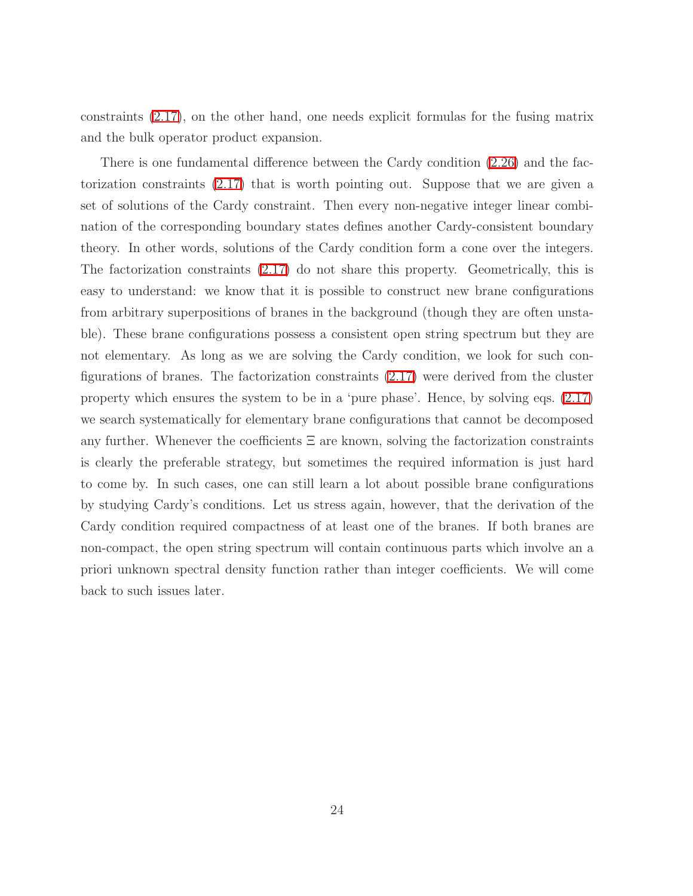constraints [\(2.17\)](#page-17-1), on the other hand, one needs explicit formulas for the fusing matrix and the bulk operator product expansion.

There is one fundamental difference between the Cardy condition [\(2.26\)](#page-23-0) and the factorization constraints [\(2.17\)](#page-17-1) that is worth pointing out. Suppose that we are given a set of solutions of the Cardy constraint. Then every non-negative integer linear combination of the corresponding boundary states defines another Cardy-consistent boundary theory. In other words, solutions of the Cardy condition form a cone over the integers. The factorization constraints [\(2.17\)](#page-17-1) do not share this property. Geometrically, this is easy to understand: we know that it is possible to construct new brane configurations from arbitrary superpositions of branes in the background (though they are often unstable). These brane configurations possess a consistent open string spectrum but they are not elementary. As long as we are solving the Cardy condition, we look for such configurations of branes. The factorization constraints [\(2.17\)](#page-17-1) were derived from the cluster property which ensures the system to be in a 'pure phase'. Hence, by solving eqs. [\(2.17\)](#page-17-1) we search systematically for elementary brane configurations that cannot be decomposed any further. Whenever the coefficients  $\Xi$  are known, solving the factorization constraints is clearly the preferable strategy, but sometimes the required information is just hard to come by. In such cases, one can still learn a lot about possible brane configurations by studying Cardy's conditions. Let us stress again, however, that the derivation of the Cardy condition required compactness of at least one of the branes. If both branes are non-compact, the open string spectrum will contain continuous parts which involve an a priori unknown spectral density function rather than integer coefficients. We will come back to such issues later.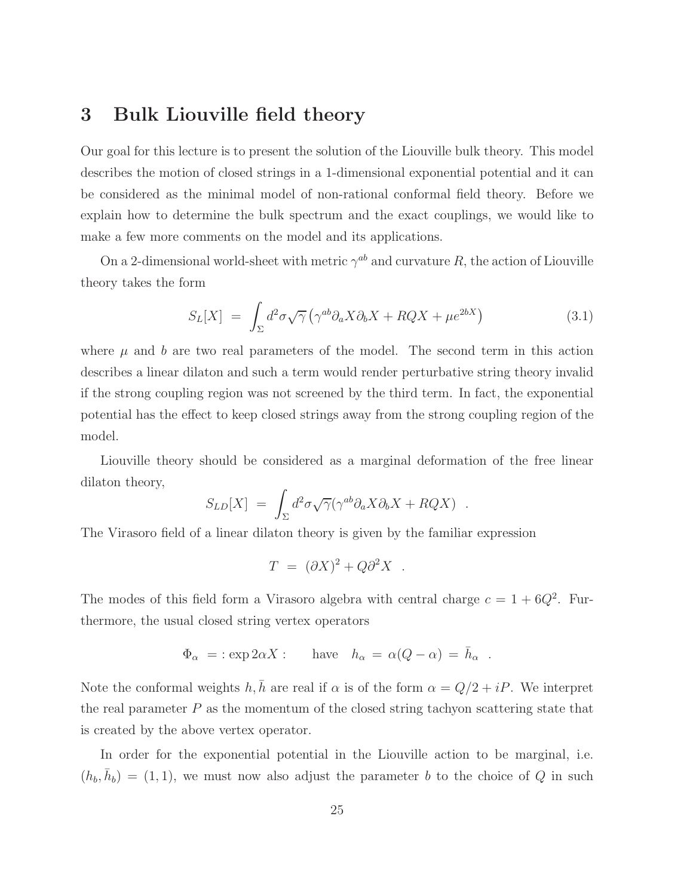## <span id="page-25-0"></span>3 Bulk Liouville field theory

Our goal for this lecture is to present the solution of the Liouville bulk theory. This model describes the motion of closed strings in a 1-dimensional exponential potential and it can be considered as the minimal model of non-rational conformal field theory. Before we explain how to determine the bulk spectrum and the exact couplings, we would like to make a few more comments on the model and its applications.

On a 2-dimensional world-sheet with metric  $\gamma^{ab}$  and curvature R, the action of Liouville theory takes the form

$$
S_L[X] = \int_{\Sigma} d^2 \sigma \sqrt{\gamma} \left( \gamma^{ab} \partial_a X \partial_b X + RQX + \mu e^{2bX} \right) \tag{3.1}
$$

where  $\mu$  and b are two real parameters of the model. The second term in this action describes a linear dilaton and such a term would render perturbative string theory invalid if the strong coupling region was not screened by the third term. In fact, the exponential potential has the effect to keep closed strings away from the strong coupling region of the model.

Liouville theory should be considered as a marginal deformation of the free linear dilaton theory,

$$
S_{LD}[X] = \int_{\Sigma} d^2 \sigma \sqrt{\gamma} (\gamma^{ab} \partial_a X \partial_b X + RQX) .
$$

The Virasoro field of a linear dilaton theory is given by the familiar expression

$$
T = (\partial X)^2 + Q\partial^2 X .
$$

The modes of this field form a Virasoro algebra with central charge  $c = 1 + 6Q^2$ . Furthermore, the usual closed string vertex operators

$$
\Phi_{\alpha} = : \exp 2\alpha X :
$$
 have  $h_{\alpha} = \alpha(Q - \alpha) = \bar{h}_{\alpha}$ .

Note the conformal weights  $h, \bar{h}$  are real if  $\alpha$  is of the form  $\alpha = Q/2 + iP$ . We interpret the real parameter  $P$  as the momentum of the closed string tachyon scattering state that is created by the above vertex operator.

In order for the exponential potential in the Liouville action to be marginal, i.e.  $(h_b, \bar{h}_b) = (1, 1)$ , we must now also adjust the parameter b to the choice of Q in such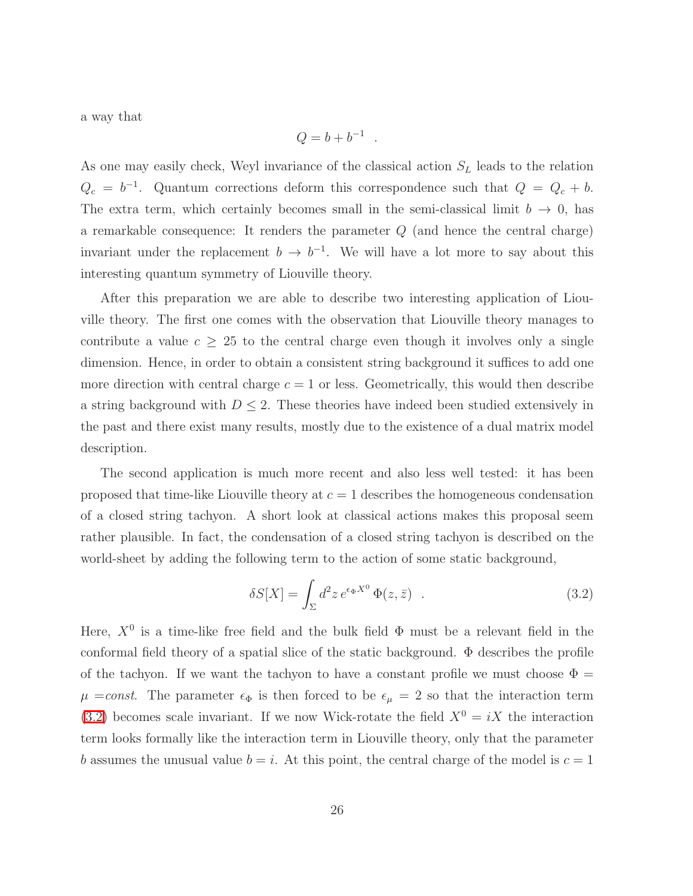a way that

$$
Q=b+b^{-1}
$$

.

As one may easily check, Weyl invariance of the classical action  $S_L$  leads to the relation  $Q_c = b^{-1}$ . Quantum corrections deform this correspondence such that  $Q = Q_c + b$ . The extra term, which certainly becomes small in the semi-classical limit  $b \to 0$ , has a remarkable consequence: It renders the parameter  $Q$  (and hence the central charge) invariant under the replacement  $b \to b^{-1}$ . We will have a lot more to say about this interesting quantum symmetry of Liouville theory.

After this preparation we are able to describe two interesting application of Liouville theory. The first one comes with the observation that Liouville theory manages to contribute a value  $c \geq 25$  to the central charge even though it involves only a single dimension. Hence, in order to obtain a consistent string background it suffices to add one more direction with central charge  $c = 1$  or less. Geometrically, this would then describe a string background with  $D \leq 2$ . These theories have indeed been studied extensively in the past and there exist many results, mostly due to the existence of a dual matrix model description.

The second application is much more recent and also less well tested: it has been proposed that time-like Liouville theory at  $c = 1$  describes the homogeneous condensation of a closed string tachyon. A short look at classical actions makes this proposal seem rather plausible. In fact, the condensation of a closed string tachyon is described on the world-sheet by adding the following term to the action of some static background,

$$
\delta S[X] = \int_{\Sigma} d^2 z \, e^{\epsilon_{\Phi} X^0} \, \Phi(z, \bar{z}) \quad . \tag{3.2}
$$

Here,  $X^0$  is a time-like free field and the bulk field  $\Phi$  must be a relevant field in the conformal field theory of a spatial slice of the static background.  $\Phi$  describes the profile of the tachyon. If we want the tachyon to have a constant profile we must choose  $\Phi =$  $\mu = const.$  The parameter  $\epsilon_{\Phi}$  is then forced to be  $\epsilon_{\mu} = 2$  so that the interaction term [\(3.2\)](#page-27-1) becomes scale invariant. If we now Wick-rotate the field  $X^0 = iX$  the interaction term looks formally like the interaction term in Liouville theory, only that the parameter b assumes the unusual value  $b = i$ . At this point, the central charge of the model is  $c = 1$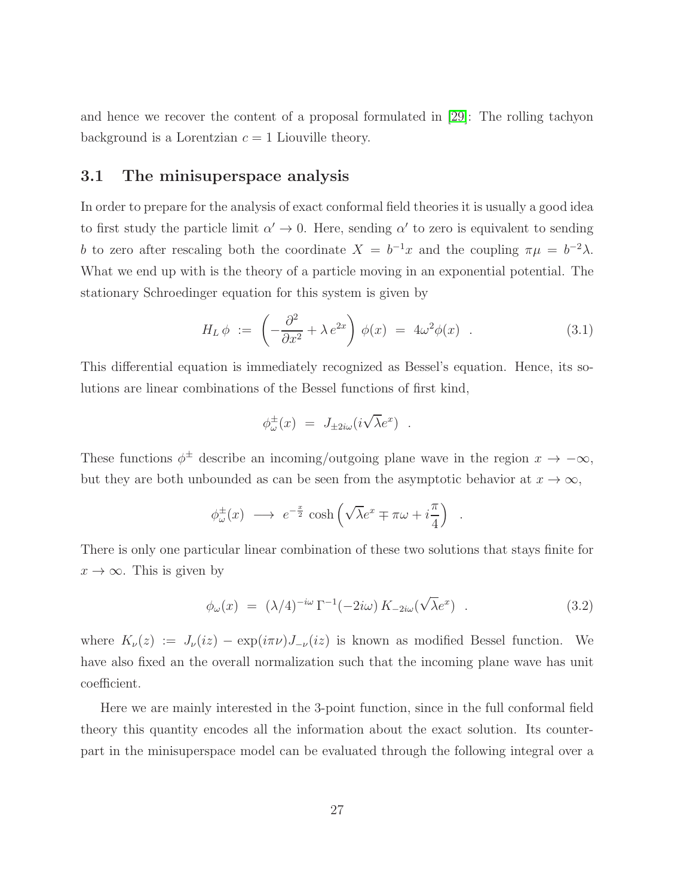and hence we recover the content of a proposal formulated in [\[29\]](#page-80-3): The rolling tachyon background is a Lorentzian  $c = 1$  Liouville theory.

#### <span id="page-27-0"></span>3.1 The minisuperspace analysis

In order to prepare for the analysis of exact conformal field theories it is usually a good idea to first study the particle limit  $\alpha' \to 0$ . Here, sending  $\alpha'$  to zero is equivalent to sending b to zero after rescaling both the coordinate  $X = b^{-1}x$  and the coupling  $\pi \mu = b^{-2}\lambda$ . What we end up with is the theory of a particle moving in an exponential potential. The stationary Schroedinger equation for this system is given by

$$
H_L \phi := \left(-\frac{\partial^2}{\partial x^2} + \lambda e^{2x}\right) \phi(x) = 4\omega^2 \phi(x) . \qquad (3.1)
$$

This differential equation is immediately recognized as Bessel's equation. Hence, its solutions are linear combinations of the Bessel functions of first kind,

$$
\phi_{\omega}^{\pm}(x) = J_{\pm 2i\omega}(i\sqrt{\lambda}e^x) .
$$

These functions  $\phi^{\pm}$  describe an incoming/outgoing plane wave in the region  $x \to -\infty$ , but they are both unbounded as can be seen from the asymptotic behavior at  $x \to \infty$ ,

$$
\phi_{\omega}^{\pm}(x) \longrightarrow e^{-\frac{x}{2}} \cosh\left(\sqrt{\lambda}e^x \mp \pi\omega + i\frac{\pi}{4}\right)
$$

<span id="page-27-1"></span>There is only one particular linear combination of these two solutions that stays finite for  $x \to \infty$ . This is given by

$$
\phi_{\omega}(x) = (\lambda/4)^{-i\omega} \Gamma^{-1}(-2i\omega) K_{-2i\omega}(\sqrt{\lambda}e^x) . \qquad (3.2)
$$

.

where  $K_{\nu}(z) := J_{\nu}(iz) - \exp(i\pi\nu)J_{-\nu}(iz)$  is known as modified Bessel function. We have also fixed an the overall normalization such that the incoming plane wave has unit coefficient.

Here we are mainly interested in the 3-point function, since in the full conformal field theory this quantity encodes all the information about the exact solution. Its counterpart in the minisuperspace model can be evaluated through the following integral over a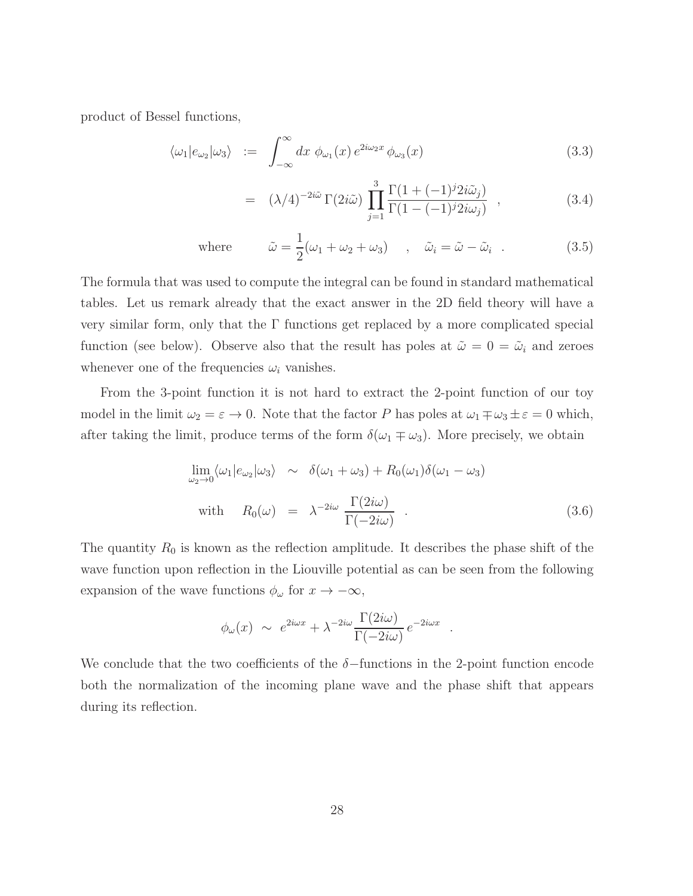<span id="page-28-0"></span>product of Bessel functions,

$$
\langle \omega_1 | e_{\omega_2} | \omega_3 \rangle \ := \ \int_{-\infty}^{\infty} dx \, \phi_{\omega_1}(x) \, e^{2i\omega_2 x} \, \phi_{\omega_3}(x) \tag{3.3}
$$

$$
= (\lambda/4)^{-2i\tilde{\omega}} \Gamma(2i\tilde{\omega}) \prod_{j=1}^{3} \frac{\Gamma(1+(-1)^{j} 2i\tilde{\omega}_{j})}{\Gamma(1-(-1)^{j} 2i\omega_{j})}, \qquad (3.4)
$$

where 
$$
\tilde{\omega} = \frac{1}{2}(\omega_1 + \omega_2 + \omega_3)
$$
,  $\tilde{\omega}_i = \tilde{\omega} - \tilde{\omega}_i$ . (3.5)

The formula that was used to compute the integral can be found in standard mathematical tables. Let us remark already that the exact answer in the 2D field theory will have a very similar form, only that the  $\Gamma$  functions get replaced by a more complicated special function (see below). Observe also that the result has poles at  $\tilde{\omega} = 0 = \tilde{\omega}_i$  and zeroes whenever one of the frequencies  $\omega_i$  vanishes.

From the 3-point function it is not hard to extract the 2-point function of our toy model in the limit  $\omega_2 = \varepsilon \to 0$ . Note that the factor P has poles at  $\omega_1 \mp \omega_3 \pm \varepsilon = 0$  which, after taking the limit, produce terms of the form  $\delta(\omega_1 \mp \omega_3)$ . More precisely, we obtain

$$
\lim_{\omega_2 \to 0} \langle \omega_1 | e_{\omega_2} | \omega_3 \rangle \sim \delta(\omega_1 + \omega_3) + R_0(\omega_1) \delta(\omega_1 - \omega_3)
$$
  
with 
$$
R_0(\omega) = \lambda^{-2i\omega} \frac{\Gamma(2i\omega)}{\Gamma(-2i\omega)}.
$$
 (3.6)

.

The quantity  $R_0$  is known as the reflection amplitude. It describes the phase shift of the wave function upon reflection in the Liouville potential as can be seen from the following expansion of the wave functions  $\phi_{\omega}$  for  $x \to -\infty$ ,

$$
\phi_{\omega}(x) \sim e^{2i\omega x} + \lambda^{-2i\omega} \frac{\Gamma(2i\omega)}{\Gamma(-2i\omega)} e^{-2i\omega x}
$$

We conclude that the two coefficients of the  $\delta$ -functions in the 2-point function encode both the normalization of the incoming plane wave and the phase shift that appears during its reflection.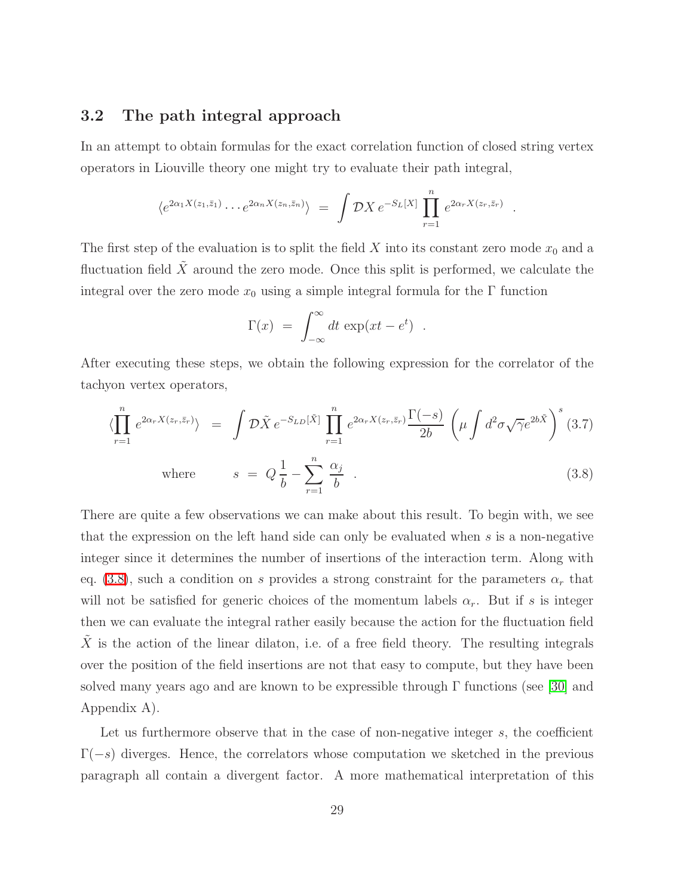#### <span id="page-29-0"></span>3.2 The path integral approach

In an attempt to obtain formulas for the exact correlation function of closed string vertex operators in Liouville theory one might try to evaluate their path integral,

$$
\langle e^{2\alpha_1 X(z_1,\bar{z}_1)} \cdots e^{2\alpha_n X(z_n,\bar{z}_n)} \rangle = \int \mathcal{D}X \, e^{-S_L[X]} \prod_{r=1}^n e^{2\alpha_r X(z_r,\bar{z}_r)}
$$

.

The first step of the evaluation is to split the field  $X$  into its constant zero mode  $x_0$  and a fluctuation field  $X$  around the zero mode. Once this split is performed, we calculate the integral over the zero mode  $x_0$  using a simple integral formula for the Γ function

$$
\Gamma(x) = \int_{-\infty}^{\infty} dt \, \exp(xt - e^t) \ .
$$

<span id="page-29-1"></span>After executing these steps, we obtain the following expression for the correlator of the tachyon vertex operators,

$$
\langle \prod_{r=1}^{n} e^{2\alpha_r X(z_r, \bar{z}_r)} \rangle = \int \mathcal{D}\tilde{X} e^{-S_{LD}[\tilde{X}]} \prod_{r=1}^{n} e^{2\alpha_r X(z_r, \bar{z}_r)} \frac{\Gamma(-s)}{2b} \left( \mu \int d^2 \sigma \sqrt{\gamma} e^{2b\tilde{X}} \right)^s (3.7)
$$
  
where  $s = Q \frac{1}{b} - \sum_{r=1}^{n} \frac{\alpha_j}{b}$ . (3.8)

There are quite a few observations we can make about this result. To begin with, we see that the expression on the left hand side can only be evaluated when  $s$  is a non-negative integer since it determines the number of insertions of the interaction term. Along with eq. [\(3.8\)](#page-29-1), such a condition on s provides a strong constraint for the parameters  $\alpha_r$  that will not be satisfied for generic choices of the momentum labels  $\alpha_r$ . But if s is integer then we can evaluate the integral rather easily because the action for the fluctuation field X is the action of the linear dilaton, i.e. of a free field theory. The resulting integrals over the position of the field insertions are not that easy to compute, but they have been solved many years ago and are known to be expressible through  $\Gamma$  functions (see [\[30\]](#page-80-4) and Appendix A).

Let us furthermore observe that in the case of non-negative integer  $s$ , the coefficient  $\Gamma(-s)$  diverges. Hence, the correlators whose computation we sketched in the previous paragraph all contain a divergent factor. A more mathematical interpretation of this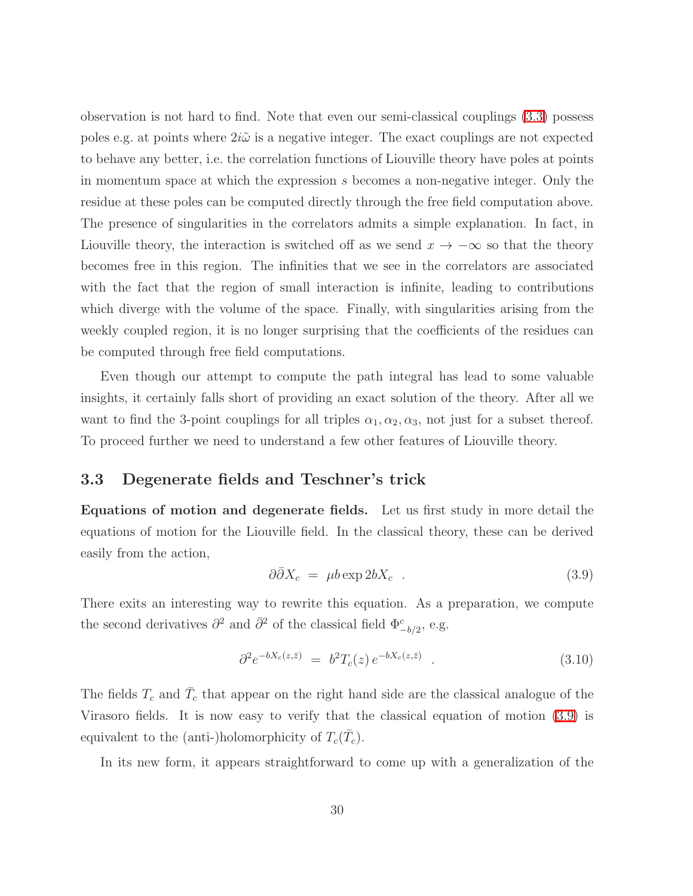observation is not hard to find. Note that even our semi-classical couplings [\(3.3\)](#page-28-0) possess poles e.g. at points where  $2i\tilde{\omega}$  is a negative integer. The exact couplings are not expected to behave any better, i.e. the correlation functions of Liouville theory have poles at points in momentum space at which the expression s becomes a non-negative integer. Only the residue at these poles can be computed directly through the free field computation above. The presence of singularities in the correlators admits a simple explanation. In fact, in Liouville theory, the interaction is switched off as we send  $x \to -\infty$  so that the theory becomes free in this region. The infinities that we see in the correlators are associated with the fact that the region of small interaction is infinite, leading to contributions which diverge with the volume of the space. Finally, with singularities arising from the weekly coupled region, it is no longer surprising that the coefficients of the residues can be computed through free field computations.

Even though our attempt to compute the path integral has lead to some valuable insights, it certainly falls short of providing an exact solution of the theory. After all we want to find the 3-point couplings for all triples  $\alpha_1, \alpha_2, \alpha_3$ , not just for a subset thereof. To proceed further we need to understand a few other features of Liouville theory.

#### <span id="page-30-0"></span>3.3 Degenerate fields and Teschner's trick

Equations of motion and degenerate fields. Let us first study in more detail the equations of motion for the Liouville field. In the classical theory, these can be derived easily from the action,

<span id="page-30-1"></span>
$$
\partial \bar{\partial} X_c = \mu b \exp 2b X_c \quad . \tag{3.9}
$$

There exits an interesting way to rewrite this equation. As a preparation, we compute the second derivatives  $\partial^2$  and  $\bar{\partial}^2$  of the classical field  $\Phi^c_{-b/2}$ , e.g.

$$
\partial^2 e^{-bX_c(z,\bar{z})} = b^2 T_c(z) e^{-bX_c(z,\bar{z})} . \tag{3.10}
$$

The fields  $T_c$  and  $\bar{T}_c$  that appear on the right hand side are the classical analogue of the Virasoro fields. It is now easy to verify that the classical equation of motion [\(3.9\)](#page-30-1) is equivalent to the (anti-)holomorphicity of  $T_c(\bar{T}_c)$ .

In its new form, it appears straightforward to come up with a generalization of the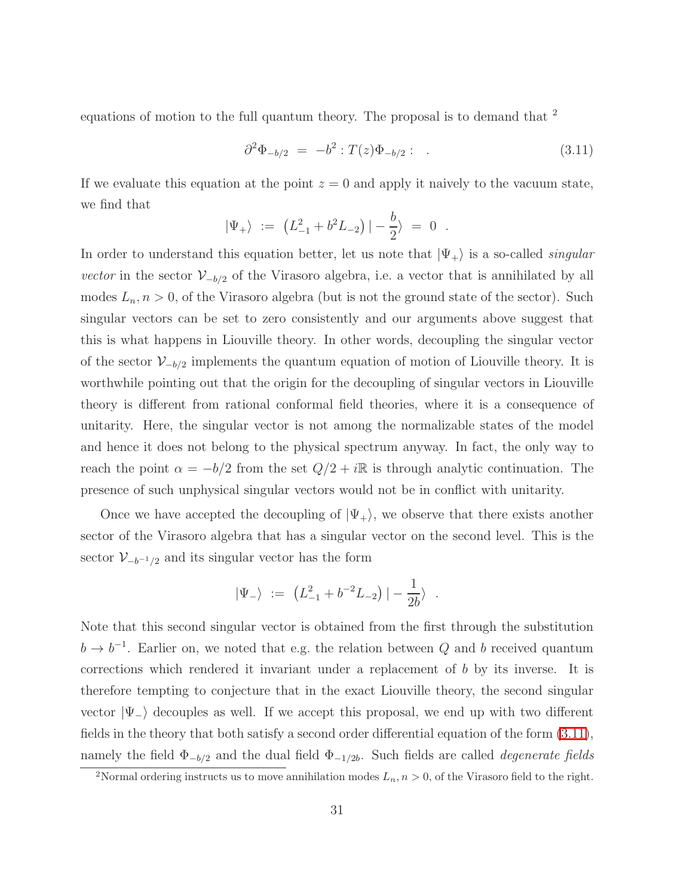<span id="page-31-0"></span>equations of motion to the full quantum theory. The proposal is to demand that <sup>2</sup>

$$
\partial^2 \Phi_{-b/2} = -b^2 : T(z) \Phi_{-b/2} : . \tag{3.11}
$$

If we evaluate this equation at the point  $z = 0$  and apply it naively to the vacuum state, we find that

$$
|\Psi_+\rangle := (L_{-1}^2 + b^2 L_{-2}) | -\frac{b}{2}\rangle = 0.
$$

In order to understand this equation better, let us note that  $|\Psi_+\rangle$  is a so-called *singular vector* in the sector  $V_{-b/2}$  of the Virasoro algebra, i.e. a vector that is annihilated by all modes  $L_n, n > 0$ , of the Virasoro algebra (but is not the ground state of the sector). Such singular vectors can be set to zero consistently and our arguments above suggest that this is what happens in Liouville theory. In other words, decoupling the singular vector of the sector  $\mathcal{V}_{-b/2}$  implements the quantum equation of motion of Liouville theory. It is worthwhile pointing out that the origin for the decoupling of singular vectors in Liouville theory is different from rational conformal field theories, where it is a consequence of unitarity. Here, the singular vector is not among the normalizable states of the model and hence it does not belong to the physical spectrum anyway. In fact, the only way to reach the point  $\alpha = -b/2$  from the set  $Q/2 + i\mathbb{R}$  is through analytic continuation. The presence of such unphysical singular vectors would not be in conflict with unitarity.

Once we have accepted the decoupling of  $|\Psi_+\rangle$ , we observe that there exists another sector of the Virasoro algebra that has a singular vector on the second level. This is the sector  $\mathcal{V}_{-b^{-1}/2}$  and its singular vector has the form

$$
|\Psi_{-}\rangle := (L_{-1}^{2} + b^{-2}L_{-2}) | - \frac{1}{2b}\rangle .
$$

Note that this second singular vector is obtained from the first through the substitution  $b \to b^{-1}$ . Earlier on, we noted that e.g. the relation between Q and b received quantum corrections which rendered it invariant under a replacement of b by its inverse. It is therefore tempting to conjecture that in the exact Liouville theory, the second singular vector  $|\Psi_-\rangle$  decouples as well. If we accept this proposal, we end up with two different fields in the theory that both satisfy a second order differential equation of the form [\(3.11\)](#page-31-0), namely the field  $\Phi_{-b/2}$  and the dual field  $\Phi_{-1/2b}$ . Such fields are called *degenerate fields* 

<sup>&</sup>lt;sup>2</sup>Normal ordering instructs us to move annihilation modes  $L_n$ ,  $n > 0$ , of the Virasoro field to the right.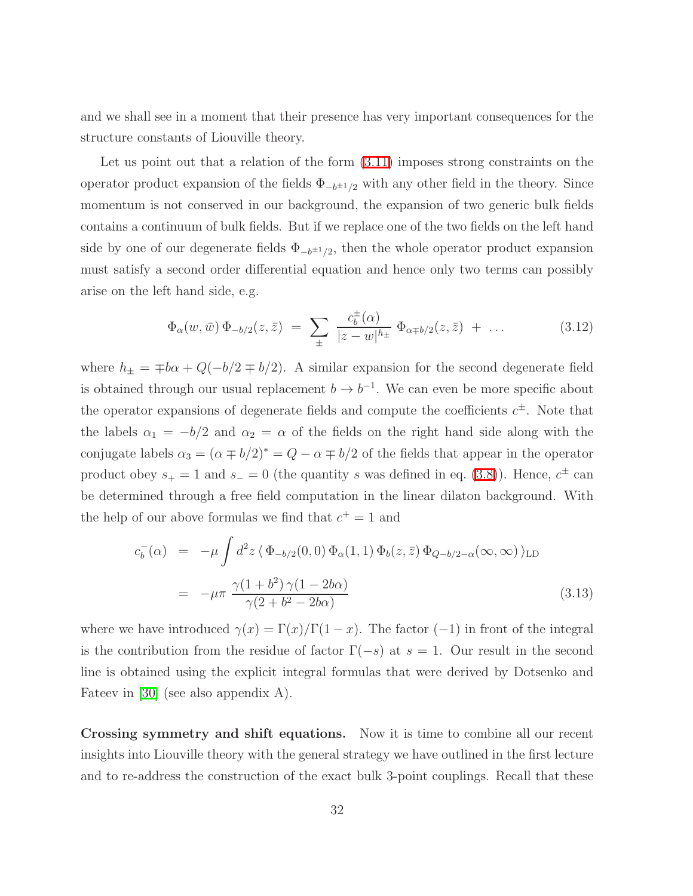and we shall see in a moment that their presence has very important consequences for the structure constants of Liouville theory.

Let us point out that a relation of the form  $(3.11)$  imposes strong constraints on the operator product expansion of the fields  $\Phi_{-b^{\pm 1}/2}$  with any other field in the theory. Since momentum is not conserved in our background, the expansion of two generic bulk fields contains a continuum of bulk fields. But if we replace one of the two fields on the left hand side by one of our degenerate fields  $\Phi_{-b^{\pm 1}/2}$ , then the whole operator product expansion must satisfy a second order differential equation and hence only two terms can possibly arise on the left hand side, e.g.

$$
\Phi_{\alpha}(w,\bar{w})\,\Phi_{-b/2}(z,\bar{z})\;=\;\sum_{\pm}\;\frac{c_{b}^{\pm}(\alpha)}{|z-w|^{h_{\pm}}}\,\,\Phi_{\alpha\mp b/2}(z,\bar{z})\;+\;\dots\qquad \qquad (3.12)
$$

where  $h_{\pm} = \pm b\alpha + Q(-b/2 \mp b/2)$ . A similar expansion for the second degenerate field is obtained through our usual replacement  $b \to b^{-1}$ . We can even be more specific about the operator expansions of degenerate fields and compute the coefficients  $c^{\pm}$ . Note that the labels  $\alpha_1 = -b/2$  and  $\alpha_2 = \alpha$  of the fields on the right hand side along with the conjugate labels  $\alpha_3 = (\alpha \mp b/2)^* = Q - \alpha \mp b/2$  of the fields that appear in the operator product obey  $s_+ = 1$  and  $s_- = 0$  (the quantity s was defined in eq. [\(3.8\)](#page-29-1)). Hence,  $c^{\pm}$  can be determined through a free field computation in the linear dilaton background. With the help of our above formulas we find that  $c^+ = 1$  and

$$
c_b^-(\alpha) = -\mu \int d^2 z \langle \Phi_{-b/2}(0,0) \Phi_\alpha(1,1) \Phi_b(z,\bar{z}) \Phi_{Q-b/2-\alpha}(\infty,\infty) \rangle_{\text{LD}}
$$
  

$$
= -\mu \pi \frac{\gamma (1+b^2) \gamma (1-2b\alpha)}{\gamma (2+b^2-2b\alpha)}
$$
(3.13)

where we have introduced  $\gamma(x) = \Gamma(x)/\Gamma(1-x)$ . The factor (-1) in front of the integral is the contribution from the residue of factor  $\Gamma(-s)$  at  $s = 1$ . Our result in the second line is obtained using the explicit integral formulas that were derived by Dotsenko and Fateev in [\[30\]](#page-80-4) (see also appendix A).

Crossing symmetry and shift equations. Now it is time to combine all our recent insights into Liouville theory with the general strategy we have outlined in the first lecture and to re-address the construction of the exact bulk 3-point couplings. Recall that these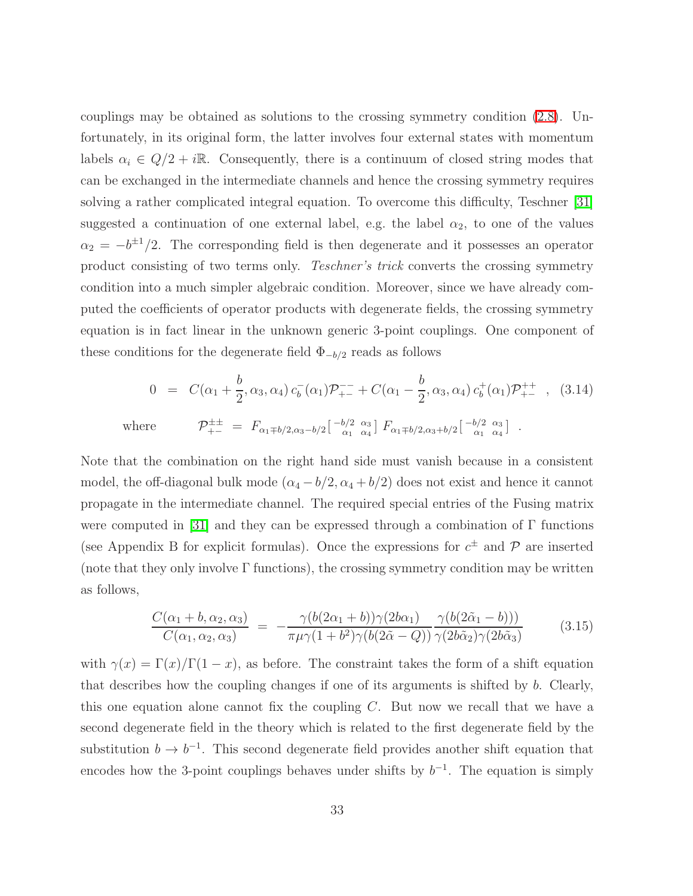couplings may be obtained as solutions to the crossing symmetry condition [\(2.8\)](#page-11-0). Unfortunately, in its original form, the latter involves four external states with momentum labels  $\alpha_i \in Q/2 + i\mathbb{R}$ . Consequently, there is a continuum of closed string modes that can be exchanged in the intermediate channels and hence the crossing symmetry requires solving a rather complicated integral equation. To overcome this difficulty, Teschner [\[31\]](#page-80-5) suggested a continuation of one external label, e.g. the label  $\alpha_2$ , to one of the values  $\alpha_2 = -b^{\pm 1}/2$ . The corresponding field is then degenerate and it possesses an operator product consisting of two terms only. Teschner's trick converts the crossing symmetry condition into a much simpler algebraic condition. Moreover, since we have already computed the coefficients of operator products with degenerate fields, the crossing symmetry equation is in fact linear in the unknown generic 3-point couplings. One component of these conditions for the degenerate field  $\Phi_{-b/2}$  reads as follows

$$
0 = C(\alpha_1 + \frac{b}{2}, \alpha_3, \alpha_4) c_b^-(\alpha_1) \mathcal{P}_{+-}^{-} + C(\alpha_1 - \frac{b}{2}, \alpha_3, \alpha_4) c_b^+(\alpha_1) \mathcal{P}_{+-}^{++} , (3.14)
$$
  
where 
$$
\mathcal{P}_{+-}^{\pm \pm} = F_{\alpha_1 \mp b/2, \alpha_3 - b/2} \begin{bmatrix} -b/2 & \alpha_3 \\ \alpha_1 & \alpha_4 \end{bmatrix} F_{\alpha_1 \mp b/2, \alpha_3 + b/2} \begin{bmatrix} -b/2 & \alpha_3 \\ \alpha_1 & \alpha_4 \end{bmatrix} .
$$

Note that the combination on the right hand side must vanish because in a consistent model, the off-diagonal bulk mode  $(\alpha_4 - b/2, \alpha_4 + b/2)$  does not exist and hence it cannot propagate in the intermediate channel. The required special entries of the Fusing matrix were computed in [\[31\]](#page-80-5) and they can be expressed through a combination of  $\Gamma$  functions (see Appendix B for explicit formulas). Once the expressions for  $c^{\pm}$  and  $\mathcal{P}$  are inserted (note that they only involve  $\Gamma$  functions), the crossing symmetry condition may be written as follows,

$$
\frac{C(\alpha_1 + b, \alpha_2, \alpha_3)}{C(\alpha_1, \alpha_2, \alpha_3)} = -\frac{\gamma(b(2\alpha_1 + b))\gamma(2b\alpha_1)}{\pi\mu\gamma(1 + b^2)\gamma(b(2\tilde{\alpha} - Q))}\frac{\gamma(b(2\tilde{\alpha}_1 - b)))}{\gamma(2b\tilde{\alpha}_2)\gamma(2b\tilde{\alpha}_3)}
$$
(3.15)

<span id="page-33-0"></span>with  $\gamma(x) = \Gamma(x)/\Gamma(1-x)$ , as before. The constraint takes the form of a shift equation that describes how the coupling changes if one of its arguments is shifted by b. Clearly, this one equation alone cannot fix the coupling  $C$ . But now we recall that we have a second degenerate field in the theory which is related to the first degenerate field by the substitution  $b \to b^{-1}$ . This second degenerate field provides another shift equation that encodes how the 3-point couplings behaves under shifts by  $b^{-1}$ . The equation is simply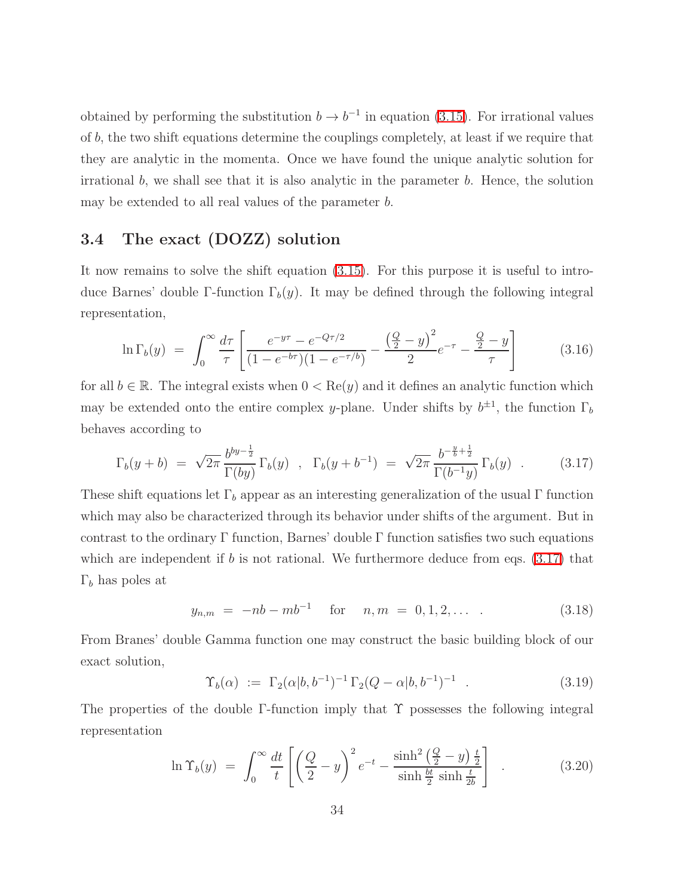obtained by performing the substitution  $b \to b^{-1}$  in equation [\(3.15\)](#page-33-0). For irrational values of b, the two shift equations determine the couplings completely, at least if we require that they are analytic in the momenta. Once we have found the unique analytic solution for irrational  $b$ , we shall see that it is also analytic in the parameter  $b$ . Hence, the solution may be extended to all real values of the parameter b.

#### <span id="page-34-0"></span>3.4 The exact (DOZZ) solution

It now remains to solve the shift equation [\(3.15\)](#page-33-0). For this purpose it is useful to introduce Barnes' double Γ-function  $\Gamma_b(y)$ . It may be defined through the following integral representation,

$$
\ln \Gamma_b(y) = \int_0^\infty \frac{d\tau}{\tau} \left[ \frac{e^{-y\tau} - e^{-Q\tau/2}}{(1 - e^{-b\tau})(1 - e^{-\tau/b})} - \frac{\left(\frac{Q}{2} - y\right)^2}{2} e^{-\tau} - \frac{\frac{Q}{2} - y}{\tau} \right] \tag{3.16}
$$

<span id="page-34-1"></span>for all  $b \in \mathbb{R}$ . The integral exists when  $0 < \text{Re}(y)$  and it defines an analytic function which may be extended onto the entire complex y-plane. Under shifts by  $b^{\pm 1}$ , the function  $\Gamma_b$ behaves according to

$$
\Gamma_b(y+b) = \sqrt{2\pi} \frac{b^{by-\frac{1}{2}}}{\Gamma(by)} \Gamma_b(y) , \quad \Gamma_b(y+b^{-1}) = \sqrt{2\pi} \frac{b^{-\frac{y}{b}+\frac{1}{2}}}{\Gamma(b^{-1}y)} \Gamma_b(y) . \tag{3.17}
$$

These shift equations let  $\Gamma_b$  appear as an interesting generalization of the usual  $\Gamma$  function which may also be characterized through its behavior under shifts of the argument. But in contrast to the ordinary Γ function, Barnes' double Γ function satisfies two such equations which are independent if  $b$  is not rational. We furthermore deduce from eqs.  $(3.17)$  that  $\Gamma_b$  has poles at

$$
y_{n,m} = -nb - mb^{-1} \quad \text{for} \quad n,m = 0,1,2,... \quad . \tag{3.18}
$$

<span id="page-34-2"></span>From Branes' double Gamma function one may construct the basic building block of our exact solution,

$$
\Upsilon_b(\alpha) := \Gamma_2(\alpha|b, b^{-1})^{-1} \Gamma_2(Q - \alpha|b, b^{-1})^{-1} . \tag{3.19}
$$

The properties of the double  $\Gamma$ -function imply that  $\Upsilon$  possesses the following integral representation

$$
\ln \Upsilon_b(y) = \int_0^\infty \frac{dt}{t} \left[ \left( \frac{Q}{2} - y \right)^2 e^{-t} - \frac{\sinh^2 \left( \frac{Q}{2} - y \right) \frac{t}{2}}{\sinh \frac{bt}{2} \sinh \frac{t}{2b}} \right] \quad . \tag{3.20}
$$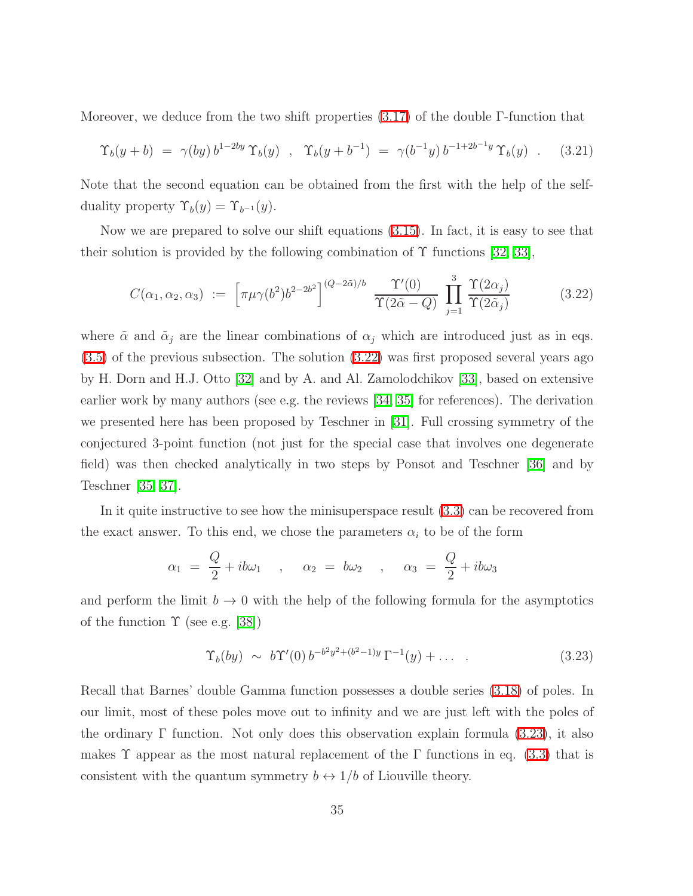Moreover, we deduce from the two shift properties [\(3.17\)](#page-34-1) of the double Γ-function that

$$
\Upsilon_b(y+b) = \gamma(by) b^{1-2by} \Upsilon_b(y) , \quad \Upsilon_b(y+b^{-1}) = \gamma(b^{-1}y) b^{-1+2b^{-1}y} \Upsilon_b(y) . \quad (3.21)
$$

Note that the second equation can be obtained from the first with the help of the selfduality property  $\Upsilon_b(y) = \Upsilon_{b^{-1}}(y)$ .

<span id="page-35-0"></span>Now we are prepared to solve our shift equations [\(3.15\)](#page-33-0). In fact, it is easy to see that their solution is provided by the following combination of  $\Upsilon$  functions [\[32,](#page-80-6) [33\]](#page-80-7),

$$
C(\alpha_1, \alpha_2, \alpha_3) := \left[ \pi \mu \gamma(b^2) b^{2-2b^2} \right]^{(Q-2\tilde{\alpha})/b} \frac{\Upsilon'(0)}{\Upsilon(2\tilde{\alpha}-Q)} \prod_{j=1}^3 \frac{\Upsilon(2\alpha_j)}{\Upsilon(2\tilde{\alpha}_j)} \tag{3.22}
$$

where  $\tilde{\alpha}$  and  $\tilde{\alpha}_j$  are the linear combinations of  $\alpha_j$  which are introduced just as in eqs. [\(3.5\)](#page-28-0) of the previous subsection. The solution [\(3.22\)](#page-35-0) was first proposed several years ago by H. Dorn and H.J. Otto [\[32\]](#page-80-6) and by A. and Al. Zamolodchikov [\[33\]](#page-80-7), based on extensive earlier work by many authors (see e.g. the reviews [\[34,](#page-80-8) [35\]](#page-80-9) for references). The derivation we presented here has been proposed by Teschner in [\[31\]](#page-80-5). Full crossing symmetry of the conjectured 3-point function (not just for the special case that involves one degenerate field) was then checked analytically in two steps by Ponsot and Teschner [\[36\]](#page-80-10) and by Teschner [\[35,](#page-80-9) [37\]](#page-80-11).

In it quite instructive to see how the minisuperspace result [\(3.3\)](#page-28-0) can be recovered from the exact answer. To this end, we chose the parameters  $\alpha_i$  to be of the form

$$
\alpha_1 = \frac{Q}{2} + ib\omega_1 \quad , \quad \alpha_2 = b\omega_2 \quad , \quad \alpha_3 = \frac{Q}{2} + ib\omega_3
$$

<span id="page-35-1"></span>and perform the limit  $b \to 0$  with the help of the following formula for the asymptotics of the function  $\Upsilon$  (see e.g. [\[38\]](#page-80-12))

$$
\Upsilon_b(by) \sim b\Upsilon'(0) b^{-b^2y^2 + (b^2 - 1)y} \Gamma^{-1}(y) + \dots \tag{3.23}
$$

Recall that Barnes' double Gamma function possesses a double series [\(3.18\)](#page-34-2) of poles. In our limit, most of these poles move out to infinity and we are just left with the poles of the ordinary Γ function. Not only does this observation explain formula [\(3.23\)](#page-35-1), it also makes T appear as the most natural replacement of the  $\Gamma$  functions in eq. [\(3.3\)](#page-28-0) that is consistent with the quantum symmetry  $b \leftrightarrow 1/b$  of Liouville theory.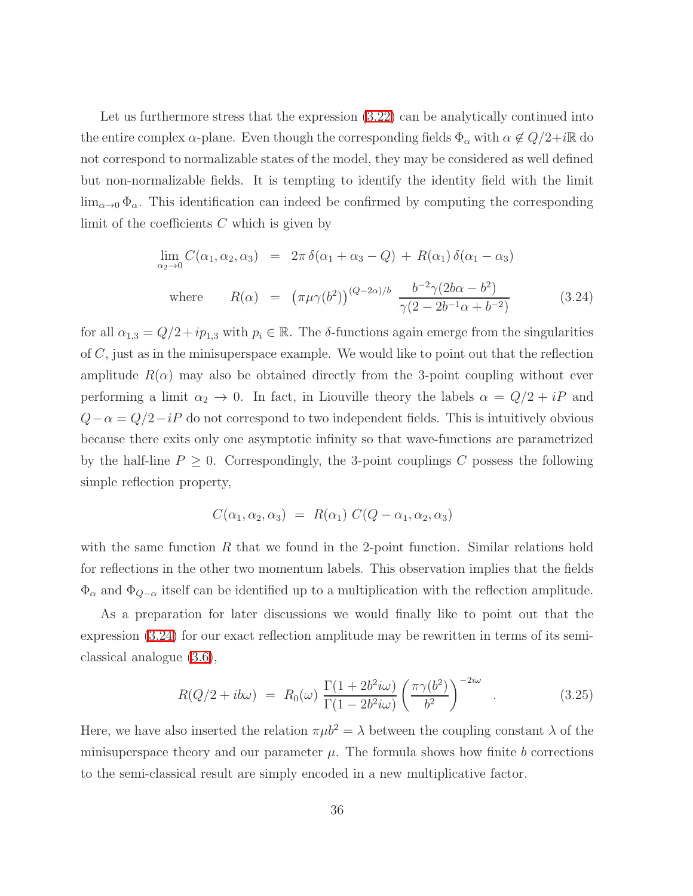Let us furthermore stress that the expression  $(3.22)$  can be analytically continued into the entire complex  $\alpha$ -plane. Even though the corresponding fields  $\Phi_{\alpha}$  with  $\alpha \notin Q/2+i\mathbb{R}$  do not correspond to normalizable states of the model, they may be considered as well defined but non-normalizable fields. It is tempting to identify the identity field with the limit  $\lim_{\alpha\to 0} \Phi_{\alpha}$ . This identification can indeed be confirmed by computing the corresponding limit of the coefficients  $C$  which is given by

<span id="page-36-0"></span>
$$
\lim_{\alpha_2 \to 0} C(\alpha_1, \alpha_2, \alpha_3) = 2\pi \delta(\alpha_1 + \alpha_3 - Q) + R(\alpha_1) \delta(\alpha_1 - \alpha_3)
$$
  
where 
$$
R(\alpha) = (\pi \mu \gamma(b^2))^{(Q-2\alpha)/b} \frac{b^{-2} \gamma(2b\alpha - b^2)}{\gamma(2 - 2b^{-1}\alpha + b^{-2})}
$$
(3.24)

for all  $\alpha_{1,3} = Q/2 + i p_{1,3}$  with  $p_i \in \mathbb{R}$ . The  $\delta$ -functions again emerge from the singularities of C, just as in the minisuperspace example. We would like to point out that the reflection amplitude  $R(\alpha)$  may also be obtained directly from the 3-point coupling without ever performing a limit  $\alpha_2 \to 0$ . In fact, in Liouville theory the labels  $\alpha = Q/2 + iP$  and  $Q-\alpha = Q/2-iP$  do not correspond to two independent fields. This is intuitively obvious because there exits only one asymptotic infinity so that wave-functions are parametrized by the half-line  $P \geq 0$ . Correspondingly, the 3-point couplings C possess the following simple reflection property,

$$
C(\alpha_1, \alpha_2, \alpha_3) = R(\alpha_1) C(Q - \alpha_1, \alpha_2, \alpha_3)
$$

with the same function  $R$  that we found in the 2-point function. Similar relations hold for reflections in the other two momentum labels. This observation implies that the fields  $\Phi_{\alpha}$  and  $\Phi_{Q-\alpha}$  itself can be identified up to a multiplication with the reflection amplitude.

<span id="page-36-1"></span>As a preparation for later discussions we would finally like to point out that the expression [\(3.24\)](#page-36-0) for our exact reflection amplitude may be rewritten in terms of its semiclassical analogue [\(3.6\)](#page-28-0),

$$
R(Q/2 + ib\omega) = R_0(\omega) \frac{\Gamma(1 + 2b^2 i\omega)}{\Gamma(1 - 2b^2 i\omega)} \left(\frac{\pi \gamma(b^2)}{b^2}\right)^{-2i\omega} . \tag{3.25}
$$

Here, we have also inserted the relation  $\pi \mu b^2 = \lambda$  between the coupling constant  $\lambda$  of the minisuperspace theory and our parameter  $\mu$ . The formula shows how finite b corrections to the semi-classical result are simply encoded in a new multiplicative factor.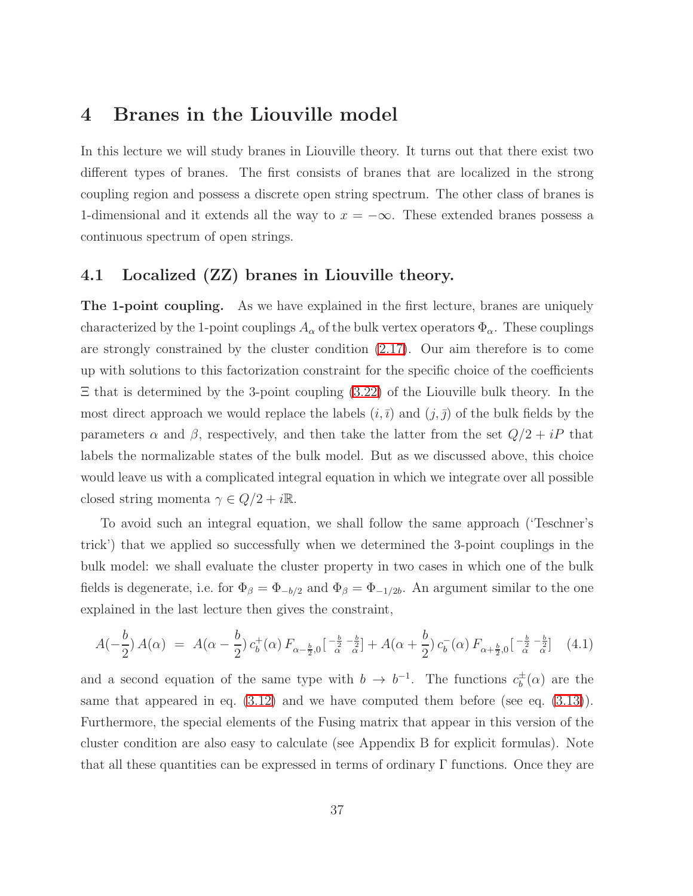## 4 Branes in the Liouville model

In this lecture we will study branes in Liouville theory. It turns out that there exist two different types of branes. The first consists of branes that are localized in the strong coupling region and possess a discrete open string spectrum. The other class of branes is 1-dimensional and it extends all the way to  $x = -\infty$ . These extended branes possess a continuous spectrum of open strings.

## 4.1 Localized (ZZ) branes in Liouville theory.

The 1-point coupling. As we have explained in the first lecture, branes are uniquely characterized by the 1-point couplings  $A_{\alpha}$  of the bulk vertex operators  $\Phi_{\alpha}$ . These couplings are strongly constrained by the cluster condition [\(2.17\)](#page-17-0). Our aim therefore is to come up with solutions to this factorization constraint for the specific choice of the coefficients  $\Xi$  that is determined by the 3-point coupling  $(3.22)$  of the Liouville bulk theory. In the most direct approach we would replace the labels  $(i, \overline{i})$  and  $(j, \overline{j})$  of the bulk fields by the parameters  $\alpha$  and  $\beta$ , respectively, and then take the latter from the set  $Q/2 + iP$  that labels the normalizable states of the bulk model. But as we discussed above, this choice would leave us with a complicated integral equation in which we integrate over all possible closed string momenta  $\gamma \in Q/2 + i\mathbb{R}$ .

To avoid such an integral equation, we shall follow the same approach ('Teschner's trick') that we applied so successfully when we determined the 3-point couplings in the bulk model: we shall evaluate the cluster property in two cases in which one of the bulk fields is degenerate, i.e. for  $\Phi_{\beta} = \Phi_{-b/2}$  and  $\Phi_{\beta} = \Phi_{-1/2b}$ . An argument similar to the one explained in the last lecture then gives the constraint,

<span id="page-37-0"></span>
$$
A(-\frac{b}{2}) A(\alpha) = A(\alpha - \frac{b}{2}) c_b^+(\alpha) F_{\alpha - \frac{b}{2},0} \left[ \frac{-\frac{b}{2}}{\alpha} - \frac{b}{\alpha} \right] + A(\alpha + \frac{b}{2}) c_b^-(\alpha) F_{\alpha + \frac{b}{2},0} \left[ \frac{-\frac{b}{2}}{\alpha} - \frac{b}{\alpha} \right] \tag{4.1}
$$

and a second equation of the same type with  $b \to b^{-1}$ . The functions  $c_b^{\pm}$  $_b^{\pm}(\alpha)$  are the same that appeared in eq.  $(3.12)$  and we have computed them before (see eq.  $(3.13)$ ). Furthermore, the special elements of the Fusing matrix that appear in this version of the cluster condition are also easy to calculate (see Appendix B for explicit formulas). Note that all these quantities can be expressed in terms of ordinary  $\Gamma$  functions. Once they are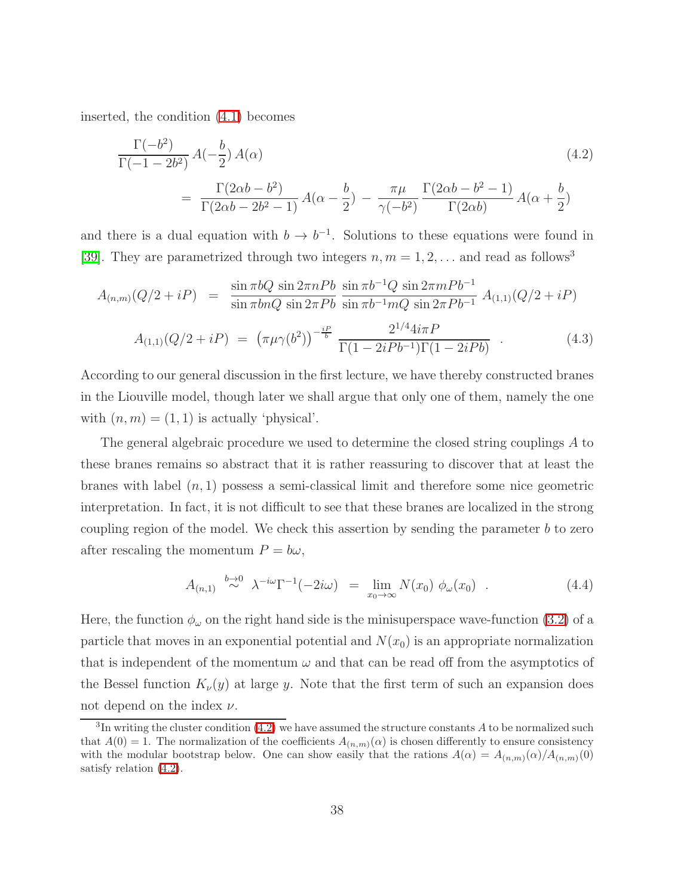<span id="page-38-0"></span>inserted, the condition [\(4.1\)](#page-37-0) becomes

$$
\frac{\Gamma(-b^2)}{\Gamma(-1-2b^2)} A(-\frac{b}{2}) A(\alpha)
$$
\n
$$
= \frac{\Gamma(2\alpha b - b^2)}{\Gamma(2\alpha b - 2b^2 - 1)} A(\alpha - \frac{b}{2}) - \frac{\pi\mu}{\gamma(-b^2)} \frac{\Gamma(2\alpha b - b^2 - 1)}{\Gamma(2\alpha b)} A(\alpha + \frac{b}{2})
$$
\n(4.2)

and there is a dual equation with  $b \to b^{-1}$ . Solutions to these equations were found in [\[39\]](#page-80-0). They are parametrized through two integers  $n, m = 1, 2, \ldots$  and read as follows<sup>3</sup>

<span id="page-38-2"></span>
$$
A_{(n,m)}(Q/2+iP) = \frac{\sin \pi bQ \sin 2\pi nPb}{\sin \pi b nQ \sin 2\pi Pb} \frac{\sin \pi b^{-1}Q \sin 2\pi mPb^{-1}}{\sin \pi b^{-1} mQ \sin 2\pi Pb^{-1}} A_{(1,1)}(Q/2+iP)
$$
  

$$
A_{(1,1)}(Q/2+iP) = (\pi \mu \gamma(b^2))^{-\frac{iP}{b}} \frac{2^{1/4} 4i\pi P}{\Gamma(1-2iPb^{-1})\Gamma(1-2iPb)} . \tag{4.3}
$$

According to our general discussion in the first lecture, we have thereby constructed branes in the Liouville model, though later we shall argue that only one of them, namely the one with  $(n, m) = (1, 1)$  is actually 'physical'.

The general algebraic procedure we used to determine the closed string couplings A to these branes remains so abstract that it is rather reassuring to discover that at least the branes with label  $(n, 1)$  possess a semi-classical limit and therefore some nice geometric interpretation. In fact, it is not difficult to see that these branes are localized in the strong coupling region of the model. We check this assertion by sending the parameter  $b$  to zero after rescaling the momentum  $P = b\omega$ ,

$$
A_{(n,1)} \stackrel{b\to 0}{\sim} \lambda^{-i\omega} \Gamma^{-1}(-2i\omega) = \lim_{x_0 \to \infty} N(x_0) \phi_{\omega}(x_0) . \tag{4.4}
$$

<span id="page-38-1"></span>Here, the function  $\phi_{\omega}$  on the right hand side is the minisuperspace wave-function [\(3.2\)](#page-27-0) of a particle that moves in an exponential potential and  $N(x_0)$  is an appropriate normalization that is independent of the momentum  $\omega$  and that can be read off from the asymptotics of the Bessel function  $K_{\nu}(y)$  at large y. Note that the first term of such an expansion does not depend on the index  $\nu$ .

 ${}^{3}$ In writing the cluster condition [\(4.2\)](#page-38-0) we have assumed the structure constants A to be normalized such that  $A(0) = 1$ . The normalization of the coefficients  $A_{(n,m)}(\alpha)$  is chosen differently to ensure consistency with the modular bootstrap below. One can show easily that the rations  $A(\alpha) = A_{(n,m)}(\alpha)/A_{(n,m)}(0)$ satisfy relation [\(4.2\)](#page-38-0).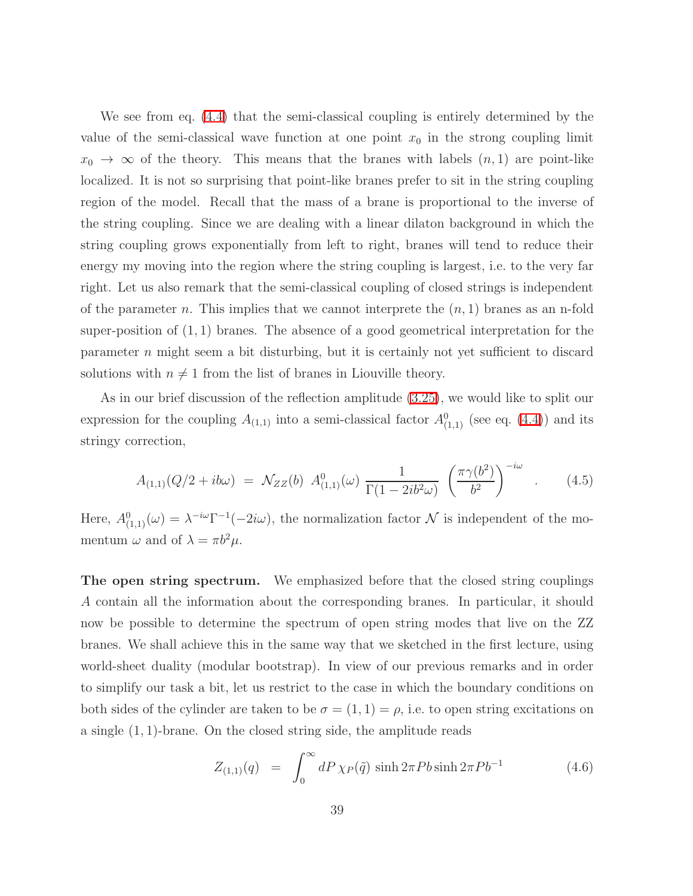We see from eq. [\(4.4\)](#page-38-1) that the semi-classical coupling is entirely determined by the value of the semi-classical wave function at one point  $x_0$  in the strong coupling limit  $x_0 \to \infty$  of the theory. This means that the branes with labels  $(n,1)$  are point-like localized. It is not so surprising that point-like branes prefer to sit in the string coupling region of the model. Recall that the mass of a brane is proportional to the inverse of the string coupling. Since we are dealing with a linear dilaton background in which the string coupling grows exponentially from left to right, branes will tend to reduce their energy my moving into the region where the string coupling is largest, i.e. to the very far right. Let us also remark that the semi-classical coupling of closed strings is independent of the parameter n. This implies that we cannot interprete the  $(n, 1)$  branes as an n-fold super-position of  $(1, 1)$  branes. The absence of a good geometrical interpretation for the parameter n might seem a bit disturbing, but it is certainly not yet sufficient to discard solutions with  $n \neq 1$  from the list of branes in Liouville theory.

As in our brief discussion of the reflection amplitude [\(3.25\)](#page-36-1), we would like to split our expression for the coupling  $A_{(1,1)}$  into a semi-classical factor  $A_{(1,1)}^0$  (see eq. [\(4.4\)](#page-38-1)) and its stringy correction,

$$
A_{(1,1)}(Q/2 + ib\omega) = \mathcal{N}_{ZZ}(b) A_{(1,1)}^0(\omega) \frac{1}{\Gamma(1 - 2ib^2\omega)} \left(\frac{\pi \gamma(b^2)}{b^2}\right)^{-i\omega} . \tag{4.5}
$$

Here,  $A_{(1,1)}^0(\omega) = \lambda^{-i\omega} \Gamma^{-1}(-2i\omega)$ , the normalization factor  $\mathcal N$  is independent of the momentum  $\omega$  and of  $\lambda = \pi b^2 \mu$ .

The open string spectrum. We emphasized before that the closed string couplings A contain all the information about the corresponding branes. In particular, it should now be possible to determine the spectrum of open string modes that live on the ZZ branes. We shall achieve this in the same way that we sketched in the first lecture, using world-sheet duality (modular bootstrap). In view of our previous remarks and in order to simplify our task a bit, let us restrict to the case in which the boundary conditions on both sides of the cylinder are taken to be  $\sigma = (1, 1) = \rho$ , i.e. to open string excitations on a single (1, 1)-brane. On the closed string side, the amplitude reads

$$
Z_{(1,1)}(q) = \int_0^\infty dP \,\chi_P(\tilde{q}) \sinh 2\pi P b \sinh 2\pi P b^{-1} \tag{4.6}
$$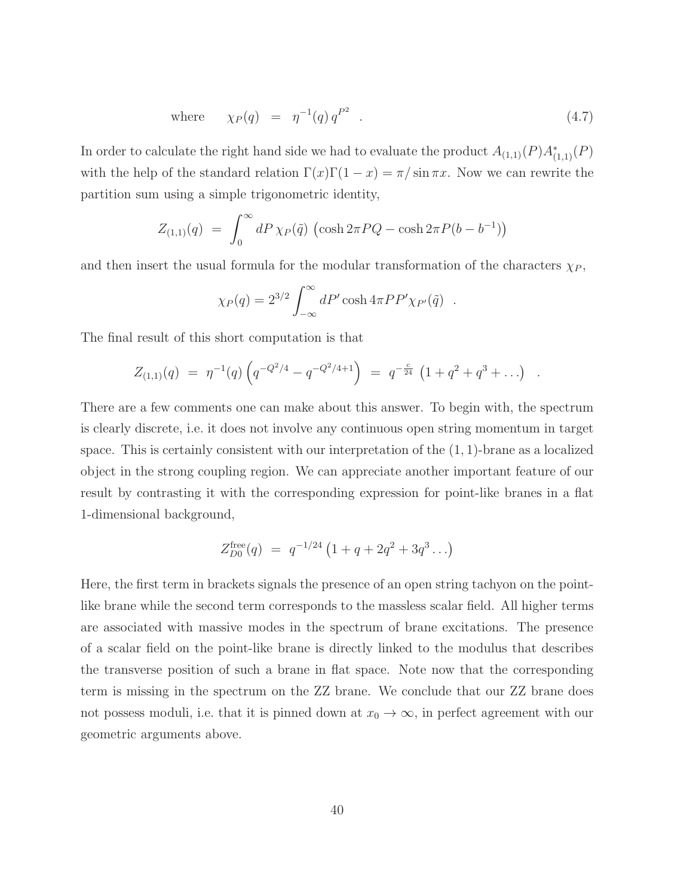where 
$$
\chi_P(q) = \eta^{-1}(q) q^{P^2}
$$
. (4.7)

In order to calculate the right hand side we had to evaluate the product  $A_{(1,1)}(P)A_{(1,1)}^*(P)$ with the help of the standard relation  $\Gamma(x)\Gamma(1-x) = \pi/\sin \pi x$ . Now we can rewrite the partition sum using a simple trigonometric identity,

$$
Z_{(1,1)}(q) = \int_0^\infty dP \,\chi_P(\tilde{q}) \, (\cosh 2\pi PQ - \cosh 2\pi P(b - b^{-1}))
$$

and then insert the usual formula for the modular transformation of the characters  $\chi_P$ ,

$$
\chi_P(q) = 2^{3/2} \int_{-\infty}^{\infty} dP' \cosh 4\pi P P' \chi_{P'}(\tilde{q}) .
$$

The final result of this short computation is that

$$
Z_{(1,1)}(q) = \eta^{-1}(q) \left( q^{-Q^2/4} - q^{-Q^2/4+1} \right) = q^{-\frac{c}{24}} \left( 1 + q^2 + q^3 + \ldots \right) .
$$

There are a few comments one can make about this answer. To begin with, the spectrum is clearly discrete, i.e. it does not involve any continuous open string momentum in target space. This is certainly consistent with our interpretation of the  $(1, 1)$ -brane as a localized object in the strong coupling region. We can appreciate another important feature of our result by contrasting it with the corresponding expression for point-like branes in a flat 1-dimensional background,

$$
Z_{D0}^{\text{free}}(q) = q^{-1/24} (1 + q + 2q^2 + 3q^3 \ldots)
$$

Here, the first term in brackets signals the presence of an open string tachyon on the pointlike brane while the second term corresponds to the massless scalar field. All higher terms are associated with massive modes in the spectrum of brane excitations. The presence of a scalar field on the point-like brane is directly linked to the modulus that describes the transverse position of such a brane in flat space. Note now that the corresponding term is missing in the spectrum on the ZZ brane. We conclude that our ZZ brane does not possess moduli, i.e. that it is pinned down at  $x_0 \to \infty$ , in perfect agreement with our geometric arguments above.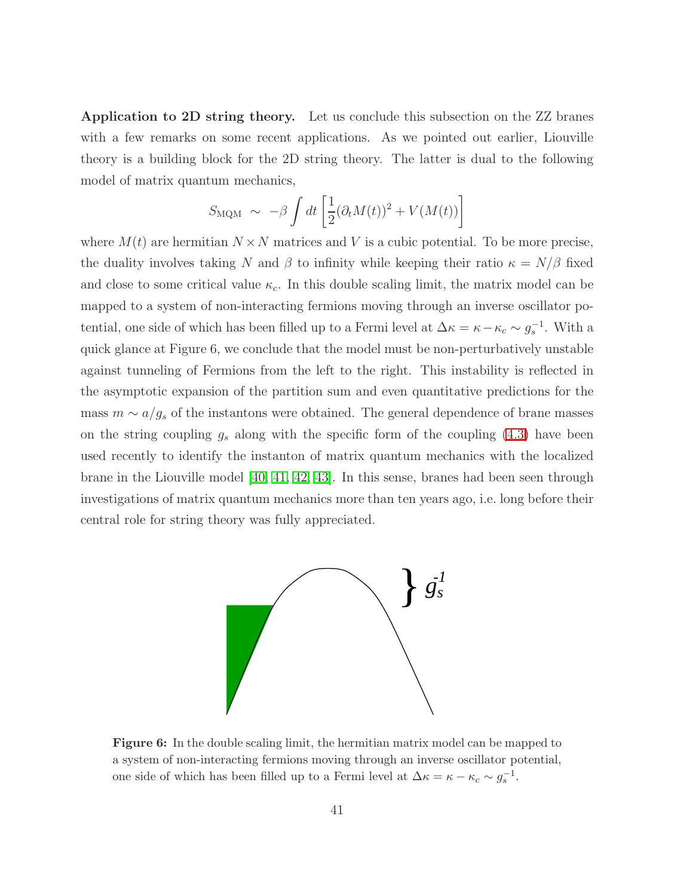Application to 2D string theory. Let us conclude this subsection on the ZZ branes with a few remarks on some recent applications. As we pointed out earlier, Liouville theory is a building block for the 2D string theory. The latter is dual to the following model of matrix quantum mechanics,

$$
S_{\text{MQM}} \sim -\beta \int dt \left[ \frac{1}{2} (\partial_t M(t))^2 + V(M(t)) \right]
$$

where  $M(t)$  are hermitian  $N \times N$  matrices and V is a cubic potential. To be more precise, the duality involves taking N and  $\beta$  to infinity while keeping their ratio  $\kappa = N/\beta$  fixed and close to some critical value  $\kappa_c$ . In this double scaling limit, the matrix model can be mapped to a system of non-interacting fermions moving through an inverse oscillator potential, one side of which has been filled up to a Fermi level at  $\Delta \kappa = \kappa - \kappa_c \sim g_s^{-1}$ . With a quick glance at Figure 6, we conclude that the model must be non-perturbatively unstable against tunneling of Fermions from the left to the right. This instability is reflected in the asymptotic expansion of the partition sum and even quantitative predictions for the mass  $m \sim a/g_s$  of the instantons were obtained. The general dependence of brane masses on the string coupling  $g_s$  along with the specific form of the coupling  $(4.3)$  have been used recently to identify the instanton of matrix quantum mechanics with the localized brane in the Liouville model  $[40, 41, 42, 43]$  $[40, 41, 42, 43]$  $[40, 41, 42, 43]$  $[40, 41, 42, 43]$ . In this sense, branes had been seen through investigations of matrix quantum mechanics more than ten years ago, i.e. long before their central role for string theory was fully appreciated.



Figure 6: In the double scaling limit, the hermitian matrix model can be mapped to a system of non-interacting fermions moving through an inverse oscillator potential, one side of which has been filled up to a Fermi level at  $\Delta \kappa = \kappa - \kappa_c \sim g_s^{-1}$ .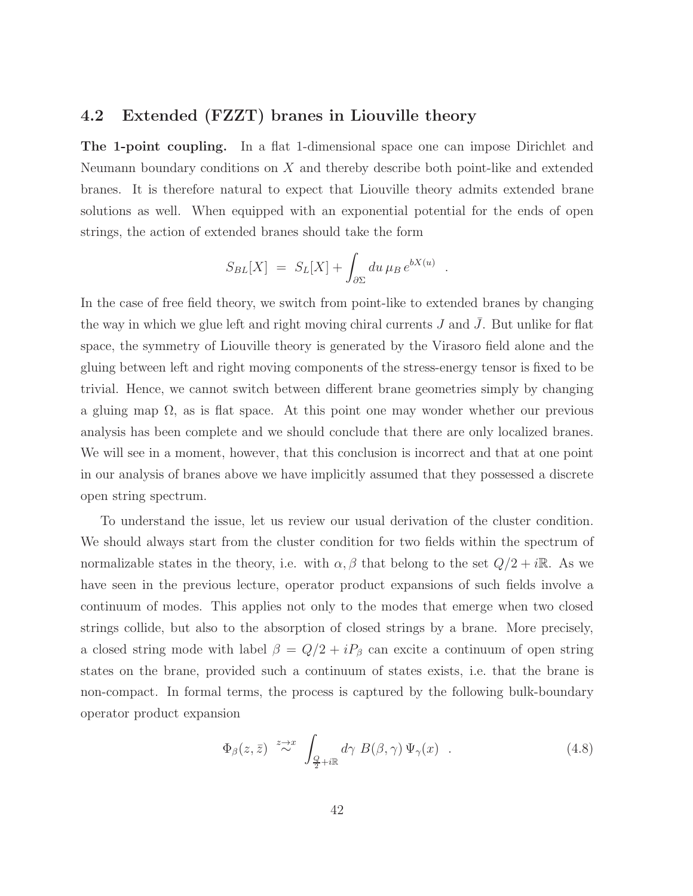### 4.2 Extended (FZZT) branes in Liouville theory

The 1-point coupling. In a flat 1-dimensional space one can impose Dirichlet and Neumann boundary conditions on X and thereby describe both point-like and extended branes. It is therefore natural to expect that Liouville theory admits extended brane solutions as well. When equipped with an exponential potential for the ends of open strings, the action of extended branes should take the form

$$
S_{BL}[X] = S_L[X] + \int_{\partial \Sigma} du \,\mu_B \, e^{bX(u)}.
$$

In the case of free field theory, we switch from point-like to extended branes by changing the way in which we glue left and right moving chiral currents  $J$  and  $J$ . But unlike for flat space, the symmetry of Liouville theory is generated by the Virasoro field alone and the gluing between left and right moving components of the stress-energy tensor is fixed to be trivial. Hence, we cannot switch between different brane geometries simply by changing a gluing map  $\Omega$ , as is flat space. At this point one may wonder whether our previous analysis has been complete and we should conclude that there are only localized branes. We will see in a moment, however, that this conclusion is incorrect and that at one point in our analysis of branes above we have implicitly assumed that they possessed a discrete open string spectrum.

To understand the issue, let us review our usual derivation of the cluster condition. We should always start from the cluster condition for two fields within the spectrum of normalizable states in the theory, i.e. with  $\alpha, \beta$  that belong to the set  $Q/2 + i\mathbb{R}$ . As we have seen in the previous lecture, operator product expansions of such fields involve a continuum of modes. This applies not only to the modes that emerge when two closed strings collide, but also to the absorption of closed strings by a brane. More precisely, a closed string mode with label  $\beta = Q/2 + iP_\beta$  can excite a continuum of open string states on the brane, provided such a continuum of states exists, i.e. that the brane is non-compact. In formal terms, the process is captured by the following bulk-boundary operator product expansion

<span id="page-42-0"></span>
$$
\Phi_{\beta}(z,\bar{z}) \stackrel{z \to x}{\sim} \int_{\frac{Q}{2} + i\mathbb{R}} d\gamma \ B(\beta,\gamma) \Psi_{\gamma}(x) . \tag{4.8}
$$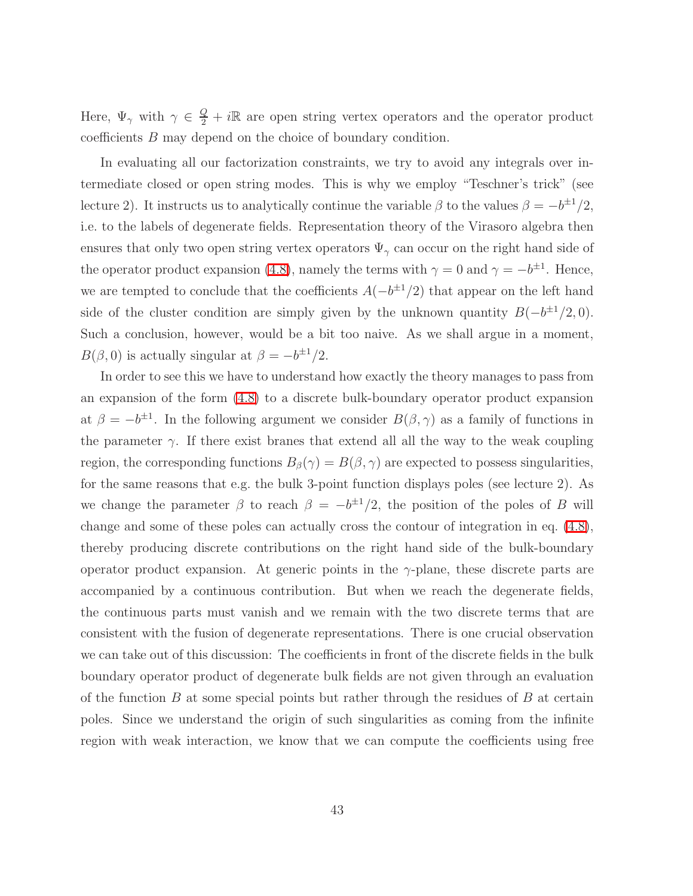Here,  $\Psi_{\gamma}$  with  $\gamma \in \frac{Q}{2} + i\mathbb{R}$  are open string vertex operators and the operator product coefficients B may depend on the choice of boundary condition.

In evaluating all our factorization constraints, we try to avoid any integrals over intermediate closed or open string modes. This is why we employ "Teschner's trick" (see lecture 2). It instructs us to analytically continue the variable  $\beta$  to the values  $\beta = -b^{\pm 1}/2$ , i.e. to the labels of degenerate fields. Representation theory of the Virasoro algebra then ensures that only two open string vertex operators  $\Psi_{\gamma}$  can occur on the right hand side of the operator product expansion [\(4.8\)](#page-42-0), namely the terms with  $\gamma = 0$  and  $\gamma = -b^{\pm 1}$ . Hence, we are tempted to conclude that the coefficients  $A(-b^{\pm 1}/2)$  that appear on the left hand side of the cluster condition are simply given by the unknown quantity  $B(-b^{\pm 1}/2, 0)$ . Such a conclusion, however, would be a bit too naive. As we shall argue in a moment,  $B(\beta, 0)$  is actually singular at  $\beta = -b^{\pm 1}/2$ .

In order to see this we have to understand how exactly the theory manages to pass from an expansion of the form [\(4.8\)](#page-42-0) to a discrete bulk-boundary operator product expansion at  $\beta = -b^{\pm 1}$ . In the following argument we consider  $B(\beta, \gamma)$  as a family of functions in the parameter  $\gamma$ . If there exist branes that extend all all the way to the weak coupling region, the corresponding functions  $B_{\beta}(\gamma) = B(\beta, \gamma)$  are expected to possess singularities, for the same reasons that e.g. the bulk 3-point function displays poles (see lecture 2). As we change the parameter  $\beta$  to reach  $\beta = -b^{\pm 1}/2$ , the position of the poles of B will change and some of these poles can actually cross the contour of integration in eq. [\(4.8\)](#page-42-0), thereby producing discrete contributions on the right hand side of the bulk-boundary operator product expansion. At generic points in the  $\gamma$ -plane, these discrete parts are accompanied by a continuous contribution. But when we reach the degenerate fields, the continuous parts must vanish and we remain with the two discrete terms that are consistent with the fusion of degenerate representations. There is one crucial observation we can take out of this discussion: The coefficients in front of the discrete fields in the bulk boundary operator product of degenerate bulk fields are not given through an evaluation of the function  $B$  at some special points but rather through the residues of  $B$  at certain poles. Since we understand the origin of such singularities as coming from the infinite region with weak interaction, we know that we can compute the coefficients using free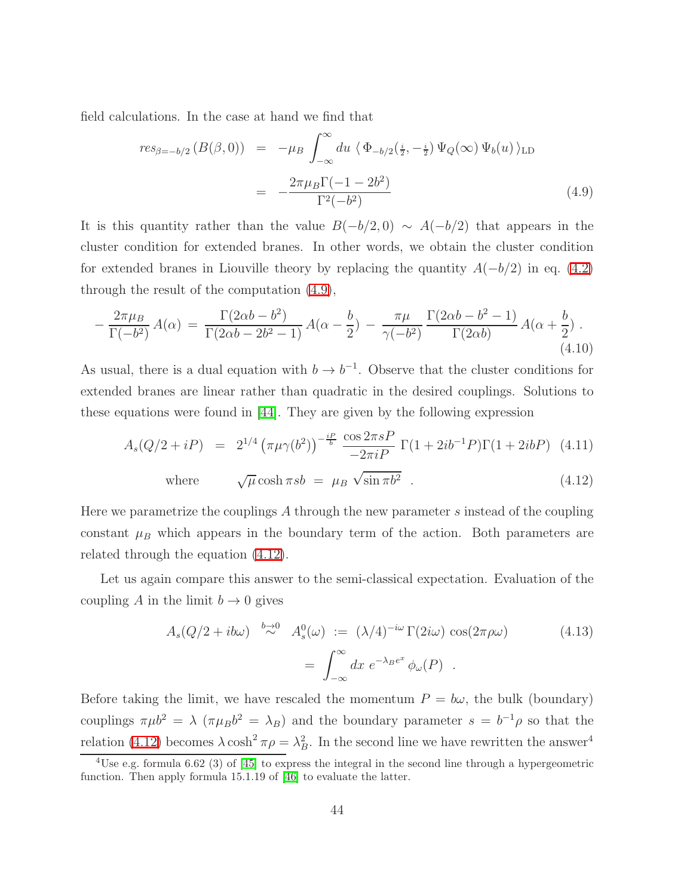<span id="page-44-0"></span>field calculations. In the case at hand we find that

$$
res_{\beta=-b/2} (B(\beta,0)) = -\mu_B \int_{-\infty}^{\infty} du \langle \Phi_{-b/2}(\frac{i}{2}, -\frac{i}{2}) \Psi_Q(\infty) \Psi_b(u) \rangle_{\text{LD}}
$$
  

$$
= -\frac{2\pi \mu_B \Gamma(-1 - 2b^2)}{\Gamma^2(-b^2)}
$$
(4.9)

It is this quantity rather than the value  $B(-b/2, 0) \sim A(-b/2)$  that appears in the cluster condition for extended branes. In other words, we obtain the cluster condition for extended branes in Liouville theory by replacing the quantity  $A(-b/2)$  in eq. [\(4.2\)](#page-38-0) through the result of the computation [\(4.9\)](#page-44-0),

$$
-\frac{2\pi\mu_B}{\Gamma(-b^2)}A(\alpha) = \frac{\Gamma(2\alpha b - b^2)}{\Gamma(2\alpha b - 2b^2 - 1)}A(\alpha - \frac{b}{2}) - \frac{\pi\mu}{\gamma(-b^2)}\frac{\Gamma(2\alpha b - b^2 - 1)}{\Gamma(2\alpha b)}A(\alpha + \frac{b}{2}).
$$
\n(4.10)

<span id="page-44-1"></span>As usual, there is a dual equation with  $b \to b^{-1}$ . Observe that the cluster conditions for extended branes are linear rather than quadratic in the desired couplings. Solutions to these equations were found in [\[44\]](#page-81-3). They are given by the following expression

$$
A_s(Q/2+iP) = 2^{1/4} \left(\pi \mu \gamma(b^2)\right)^{-\frac{iP}{b}} \frac{\cos 2\pi sP}{-2\pi iP} \Gamma(1+2ib^{-1}P) \Gamma(1+2ibP) \tag{4.11}
$$

where 
$$
\sqrt{\mu} \cosh \pi s b = \mu_B \sqrt{\sin \pi b^2}
$$
 (4.12)

Here we parametrize the couplings A through the new parameter s instead of the coupling constant  $\mu_B$  which appears in the boundary term of the action. Both parameters are related through the equation [\(4.12\)](#page-44-1).

<span id="page-44-2"></span>Let us again compare this answer to the semi-classical expectation. Evaluation of the coupling A in the limit  $b \to 0$  gives

$$
A_s(Q/2 + ib\omega) \stackrel{b \to 0}{\sim} A_s^0(\omega) := (\lambda/4)^{-i\omega} \Gamma(2i\omega) \cos(2\pi \rho \omega)
$$
(4.13)  

$$
= \int_{-\infty}^{\infty} dx \ e^{-\lambda_B e^x} \phi_\omega(P) .
$$

Before taking the limit, we have rescaled the momentum  $P = b\omega$ , the bulk (boundary) couplings  $\pi \mu b^2 = \lambda (\pi \mu_B b^2 = \lambda_B)$  and the boundary parameter  $s = b^{-1} \rho$  so that the relation [\(4.12\)](#page-44-1) becomes  $\lambda \cosh^2 \pi \rho = \lambda_B^2$ . In the second line we have rewritten the answer<sup>4</sup>

<sup>&</sup>lt;sup>4</sup>Use e.g. formula 6.62 (3) of [\[45\]](#page-81-4) to express the integral in the second line through a hypergeometric function. Then apply formula 15.1.19 of [\[46\]](#page-81-5) to evaluate the latter.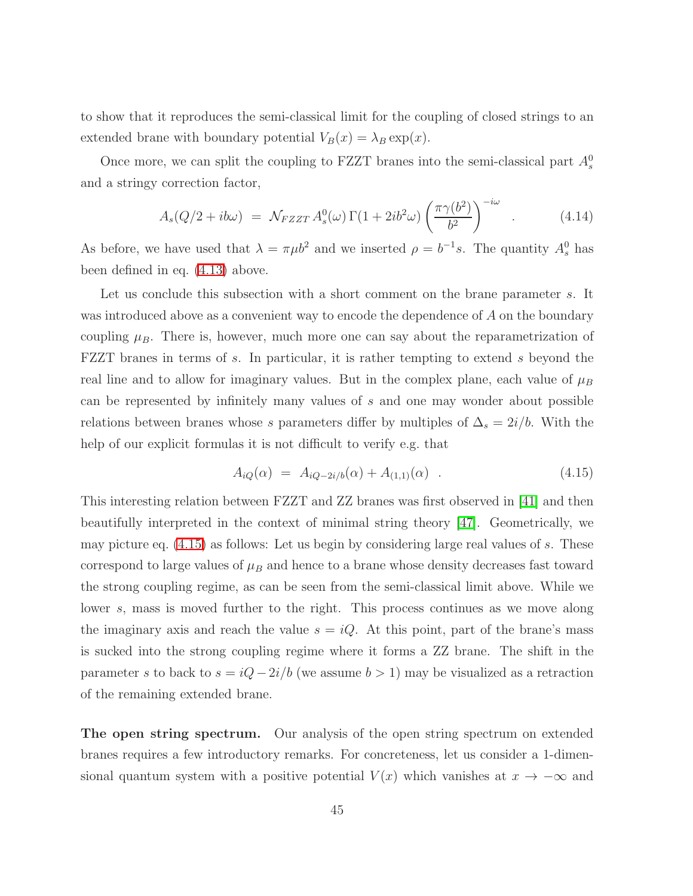to show that it reproduces the semi-classical limit for the coupling of closed strings to an extended brane with boundary potential  $V_B(x) = \lambda_B \exp(x)$ .

<span id="page-45-1"></span>Once more, we can split the coupling to FZZT branes into the semi-classical part  $A_s^0$ and a stringy correction factor,

$$
A_s(Q/2 + ib\omega) = \mathcal{N}_{FZZT} A_s^0(\omega) \Gamma(1 + 2ib^2\omega) \left(\frac{\pi \gamma(b^2)}{b^2}\right)^{-i\omega} . \tag{4.14}
$$

As before, we have used that  $\lambda = \pi \mu b^2$  and we inserted  $\rho = b^{-1}s$ . The quantity  $A_s^0$  has been defined in eq. [\(4.13\)](#page-44-2) above.

Let us conclude this subsection with a short comment on the brane parameter s. It was introduced above as a convenient way to encode the dependence of A on the boundary coupling  $\mu_B$ . There is, however, much more one can say about the reparametrization of FZZT branes in terms of s. In particular, it is rather tempting to extend s beyond the real line and to allow for imaginary values. But in the complex plane, each value of  $\mu_B$ can be represented by infinitely many values of s and one may wonder about possible relations between branes whose s parameters differ by multiples of  $\Delta_s = 2i/b$ . With the help of our explicit formulas it is not difficult to verify e.g. that

<span id="page-45-0"></span>
$$
A_{iQ}(\alpha) = A_{iQ-2i/b}(\alpha) + A_{(1,1)}(\alpha) \quad . \tag{4.15}
$$

This interesting relation between FZZT and ZZ branes was first observed in [\[41\]](#page-81-0) and then beautifully interpreted in the context of minimal string theory [\[47\]](#page-81-6). Geometrically, we may picture eq. [\(4.15\)](#page-45-0) as follows: Let us begin by considering large real values of s. These correspond to large values of  $\mu_B$  and hence to a brane whose density decreases fast toward the strong coupling regime, as can be seen from the semi-classical limit above. While we lower s, mass is moved further to the right. This process continues as we move along the imaginary axis and reach the value  $s = iQ$ . At this point, part of the brane's mass is sucked into the strong coupling regime where it forms a ZZ brane. The shift in the parameter s to back to  $s = iQ - 2i/b$  (we assume  $b > 1$ ) may be visualized as a retraction of the remaining extended brane.

The open string spectrum. Our analysis of the open string spectrum on extended branes requires a few introductory remarks. For concreteness, let us consider a 1-dimensional quantum system with a positive potential  $V(x)$  which vanishes at  $x \to -\infty$  and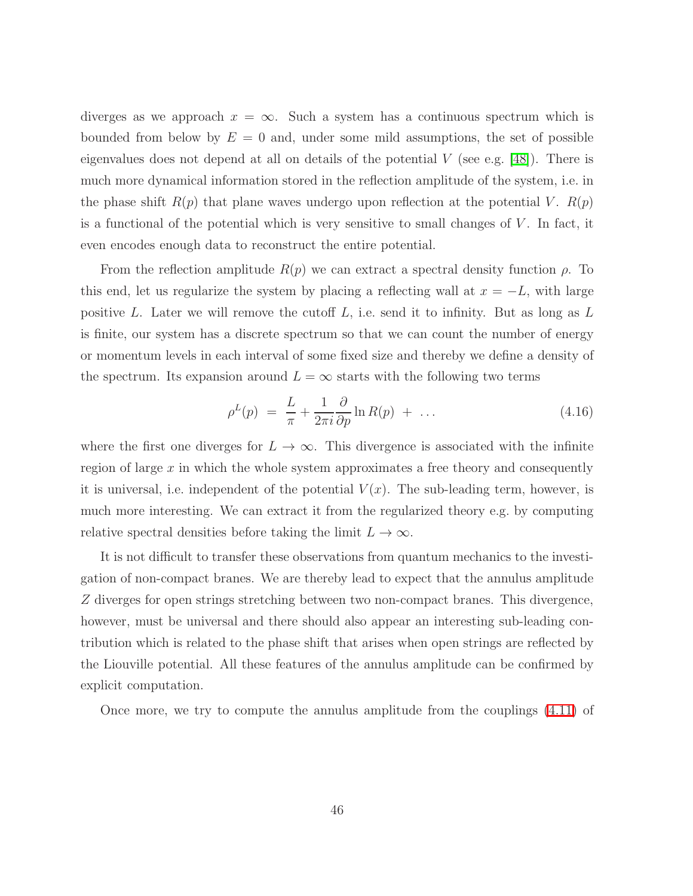diverges as we approach  $x = \infty$ . Such a system has a continuous spectrum which is bounded from below by  $E = 0$  and, under some mild assumptions, the set of possible eigenvalues does not depend at all on details of the potential  $V$  (see e.g. [\[48\]](#page-81-7)). There is much more dynamical information stored in the reflection amplitude of the system, i.e. in the phase shift  $R(p)$  that plane waves undergo upon reflection at the potential V.  $R(p)$ is a functional of the potential which is very sensitive to small changes of  $V$ . In fact, it even encodes enough data to reconstruct the entire potential.

From the reflection amplitude  $R(p)$  we can extract a spectral density function  $\rho$ . To this end, let us regularize the system by placing a reflecting wall at  $x = -L$ , with large positive L. Later we will remove the cutoff  $L$ , i.e. send it to infinity. But as long as  $L$ is finite, our system has a discrete spectrum so that we can count the number of energy or momentum levels in each interval of some fixed size and thereby we define a density of the spectrum. Its expansion around  $L = \infty$  starts with the following two terms

$$
\rho^L(p) = \frac{L}{\pi} + \frac{1}{2\pi i} \frac{\partial}{\partial p} \ln R(p) + \dots \tag{4.16}
$$

where the first one diverges for  $L \to \infty$ . This divergence is associated with the infinite region of large  $x$  in which the whole system approximates a free theory and consequently it is universal, i.e. independent of the potential  $V(x)$ . The sub-leading term, however, is much more interesting. We can extract it from the regularized theory e.g. by computing relative spectral densities before taking the limit  $L \to \infty$ .

It is not difficult to transfer these observations from quantum mechanics to the investigation of non-compact branes. We are thereby lead to expect that the annulus amplitude Z diverges for open strings stretching between two non-compact branes. This divergence, however, must be universal and there should also appear an interesting sub-leading contribution which is related to the phase shift that arises when open strings are reflected by the Liouville potential. All these features of the annulus amplitude can be confirmed by explicit computation.

Once more, we try to compute the annulus amplitude from the couplings [\(4.11\)](#page-44-1) of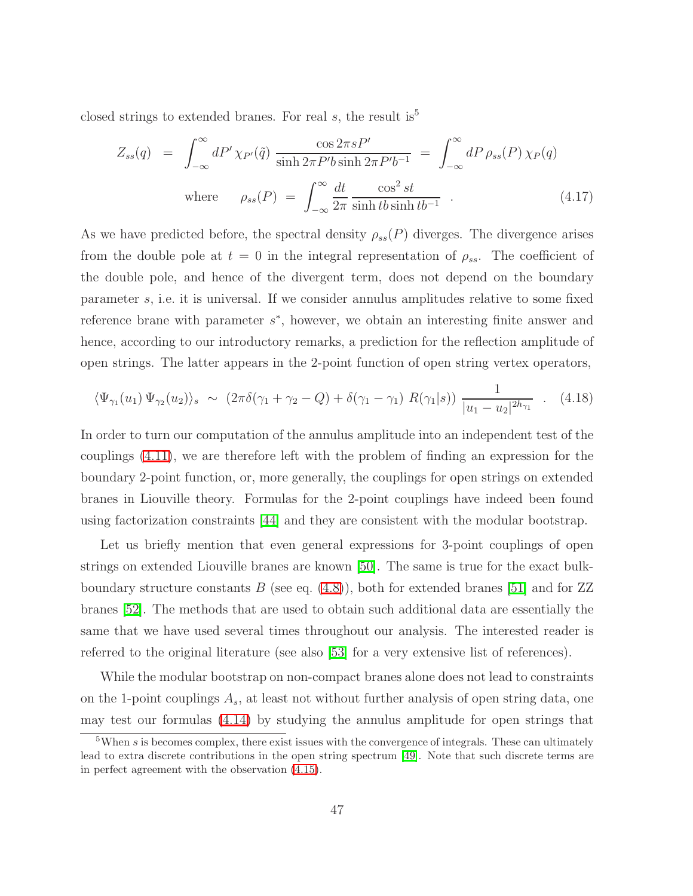closed strings to extended branes. For real s, the result is<sup>5</sup>

$$
Z_{ss}(q) = \int_{-\infty}^{\infty} dP' \chi_{P'}(\tilde{q}) \frac{\cos 2\pi s P'}{\sinh 2\pi P' b \sinh 2\pi P' b^{-1}} = \int_{-\infty}^{\infty} dP \rho_{ss}(P) \chi_{P}(q)
$$
  
where  $\rho_{ss}(P) = \int_{-\infty}^{\infty} \frac{dt}{2\pi} \frac{\cos^2 st}{\sinh t b \sinh t b^{-1}}$ . (4.17)

As we have predicted before, the spectral density  $\rho_{ss}(P)$  diverges. The divergence arises from the double pole at  $t = 0$  in the integral representation of  $\rho_{ss}$ . The coefficient of the double pole, and hence of the divergent term, does not depend on the boundary parameter s, i.e. it is universal. If we consider annulus amplitudes relative to some fixed reference brane with parameter  $s^*$ , however, we obtain an interesting finite answer and hence, according to our introductory remarks, a prediction for the reflection amplitude of open strings. The latter appears in the 2-point function of open string vertex operators,

$$
\langle \Psi_{\gamma_1}(u_1) \Psi_{\gamma_2}(u_2) \rangle_s \sim (2\pi \delta(\gamma_1 + \gamma_2 - Q) + \delta(\gamma_1 - \gamma_1) R(\gamma_1|s)) \frac{1}{|u_1 - u_2|^{2h_{\gamma_1}}} \quad (4.18)
$$

In order to turn our computation of the annulus amplitude into an independent test of the couplings [\(4.11\)](#page-44-1), we are therefore left with the problem of finding an expression for the boundary 2-point function, or, more generally, the couplings for open strings on extended branes in Liouville theory. Formulas for the 2-point couplings have indeed been found using factorization constraints [\[44\]](#page-81-3) and they are consistent with the modular bootstrap.

Let us briefly mention that even general expressions for 3-point couplings of open strings on extended Liouville branes are known [\[50\]](#page-81-8). The same is true for the exact bulkboundary structure constants  $B$  (see eq. [\(4.8\)](#page-42-0)), both for extended branes [\[51\]](#page-81-9) and for ZZ branes [\[52\]](#page-81-10). The methods that are used to obtain such additional data are essentially the same that we have used several times throughout our analysis. The interested reader is referred to the original literature (see also [\[53\]](#page-81-11) for a very extensive list of references).

While the modular bootstrap on non-compact branes alone does not lead to constraints on the 1-point couplings  $A_s$ , at least not without further analysis of open string data, one may test our formulas [\(4.14\)](#page-45-1) by studying the annulus amplitude for open strings that

<sup>&</sup>lt;sup>5</sup>When s is becomes complex, there exist issues with the convergence of integrals. These can ultimately lead to extra discrete contributions in the open string spectrum [\[49\]](#page-81-12). Note that such discrete terms are in perfect agreement with the observation [\(4.15\)](#page-45-0).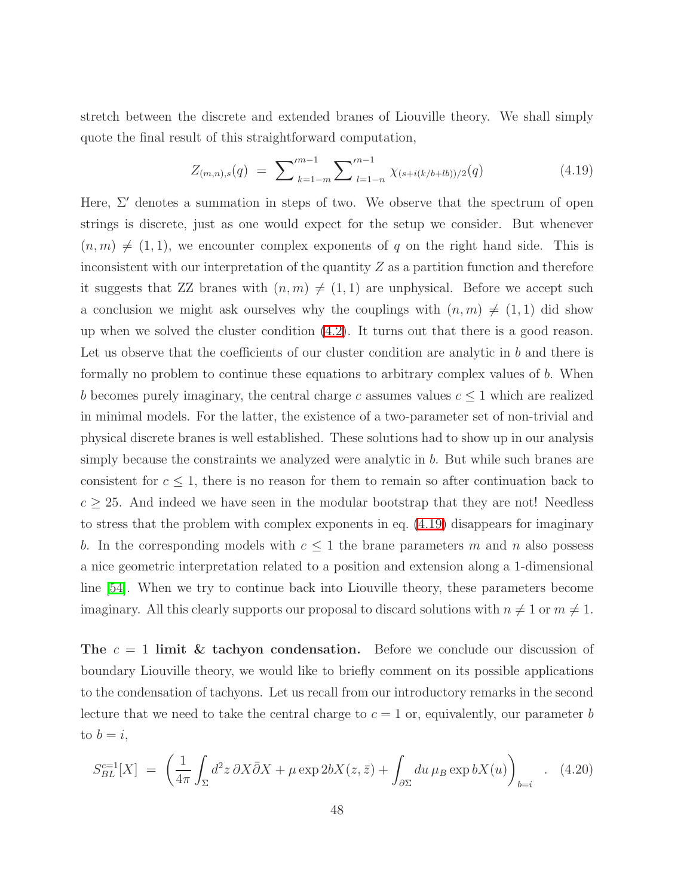<span id="page-48-0"></span>stretch between the discrete and extended branes of Liouville theory. We shall simply quote the final result of this straightforward computation,

$$
Z_{(m,n),s}(q) = \sum_{k=1-m}^{m-1} \sum_{l=1-n}^{m-1} \chi_{(s+i(k/b+lb))/2}(q) \tag{4.19}
$$

Here,  $\Sigma'$  denotes a summation in steps of two. We observe that the spectrum of open strings is discrete, just as one would expect for the setup we consider. But whenever  $(n, m) \neq (1, 1)$ , we encounter complex exponents of q on the right hand side. This is inconsistent with our interpretation of the quantity  $Z$  as a partition function and therefore it suggests that ZZ branes with  $(n, m) \neq (1, 1)$  are unphysical. Before we accept such a conclusion we might ask ourselves why the couplings with  $(n, m) \neq (1, 1)$  did show up when we solved the cluster condition [\(4.2\)](#page-38-0). It turns out that there is a good reason. Let us observe that the coefficients of our cluster condition are analytic in b and there is formally no problem to continue these equations to arbitrary complex values of b. When b becomes purely imaginary, the central charge c assumes values  $c \leq 1$  which are realized in minimal models. For the latter, the existence of a two-parameter set of non-trivial and physical discrete branes is well established. These solutions had to show up in our analysis simply because the constraints we analyzed were analytic in b. But while such branes are consistent for  $c \leq 1$ , there is no reason for them to remain so after continuation back to  $c \geq 25$ . And indeed we have seen in the modular bootstrap that they are not! Needless to stress that the problem with complex exponents in eq. [\(4.19\)](#page-48-0) disappears for imaginary b. In the corresponding models with  $c \leq 1$  the brane parameters m and n also possess a nice geometric interpretation related to a position and extension along a 1-dimensional line [\[54\]](#page-81-13). When we try to continue back into Liouville theory, these parameters become imaginary. All this clearly supports our proposal to discard solutions with  $n \neq 1$  or  $m \neq 1$ .

The  $c = 1$  limit & tachyon condensation. Before we conclude our discussion of boundary Liouville theory, we would like to briefly comment on its possible applications to the condensation of tachyons. Let us recall from our introductory remarks in the second lecture that we need to take the central charge to  $c = 1$  or, equivalently, our parameter b to  $b = i$ ,

<span id="page-48-1"></span>
$$
S_{BL}^{c=1}[X] = \left(\frac{1}{4\pi} \int_{\Sigma} d^2 z \, \partial X \bar{\partial} X + \mu \exp 2bX(z, \bar{z}) + \int_{\partial \Sigma} du \, \mu_B \exp bX(u)\right)_{b=i} . \tag{4.20}
$$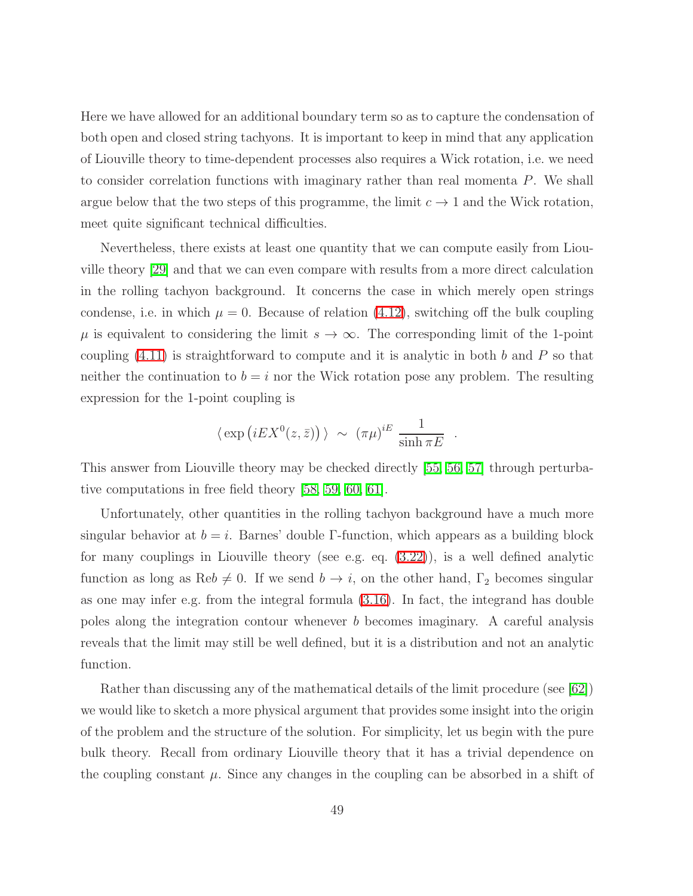Here we have allowed for an additional boundary term so as to capture the condensation of both open and closed string tachyons. It is important to keep in mind that any application of Liouville theory to time-dependent processes also requires a Wick rotation, i.e. we need to consider correlation functions with imaginary rather than real momenta P. We shall argue below that the two steps of this programme, the limit  $c \to 1$  and the Wick rotation, meet quite significant technical difficulties.

Nevertheless, there exists at least one quantity that we can compute easily from Liouville theory [\[29\]](#page-80-2) and that we can even compare with results from a more direct calculation in the rolling tachyon background. It concerns the case in which merely open strings condense, i.e. in which  $\mu = 0$ . Because of relation [\(4.12\)](#page-44-1), switching off the bulk coupling  $\mu$  is equivalent to considering the limit  $s \to \infty$ . The corresponding limit of the 1-point coupling  $(4.11)$  is straightforward to compute and it is analytic in both b and P so that neither the continuation to  $b = i$  nor the Wick rotation pose any problem. The resulting expression for the 1-point coupling is

$$
\langle \exp (iEX^0(z,\bar{z})) \rangle \sim (\pi \mu)^{iE} \frac{1}{\sinh \pi E}
$$
.

This answer from Liouville theory may be checked directly [\[55,](#page-81-14) [56,](#page-81-15) [57\]](#page-82-0) through perturbative computations in free field theory [\[58,](#page-82-1) [59,](#page-82-2) [60,](#page-82-3) [61\]](#page-82-4).

Unfortunately, other quantities in the rolling tachyon background have a much more singular behavior at  $b = i$ . Barnes' double Γ-function, which appears as a building block for many couplings in Liouville theory (see e.g. eq. [\(3.22\)](#page-35-0)), is a well defined analytic function as long as Re $b \neq 0$ . If we send  $b \to i$ , on the other hand,  $\Gamma_2$  becomes singular as one may infer e.g. from the integral formula [\(3.16\)](#page-34-0). In fact, the integrand has double poles along the integration contour whenever b becomes imaginary. A careful analysis reveals that the limit may still be well defined, but it is a distribution and not an analytic function.

Rather than discussing any of the mathematical details of the limit procedure (see [\[62\]](#page-82-5)) we would like to sketch a more physical argument that provides some insight into the origin of the problem and the structure of the solution. For simplicity, let us begin with the pure bulk theory. Recall from ordinary Liouville theory that it has a trivial dependence on the coupling constant  $\mu$ . Since any changes in the coupling can be absorbed in a shift of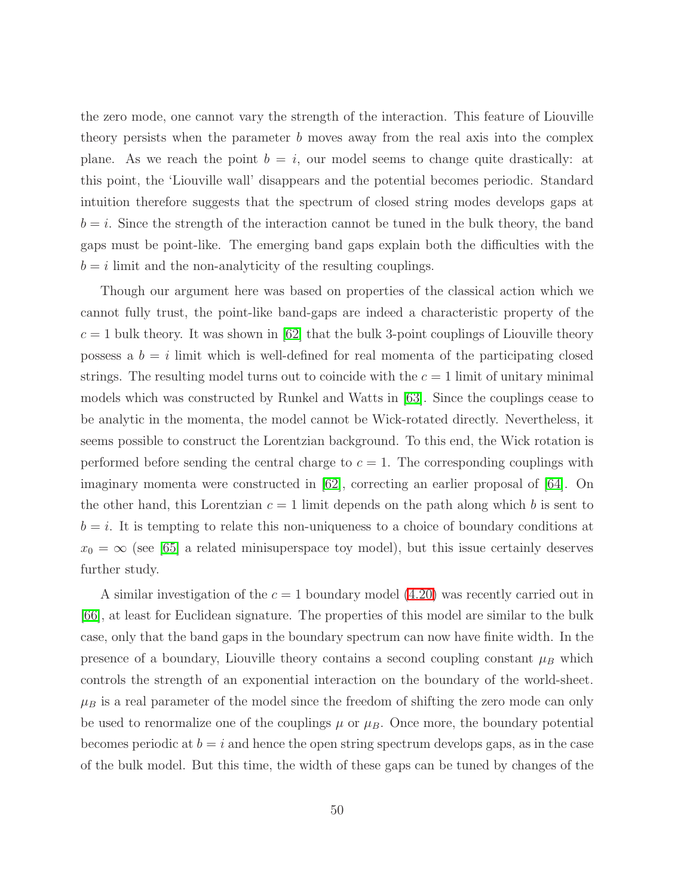the zero mode, one cannot vary the strength of the interaction. This feature of Liouville theory persists when the parameter  $b$  moves away from the real axis into the complex plane. As we reach the point  $b = i$ , our model seems to change quite drastically: at this point, the 'Liouville wall' disappears and the potential becomes periodic. Standard intuition therefore suggests that the spectrum of closed string modes develops gaps at  $b = i$ . Since the strength of the interaction cannot be tuned in the bulk theory, the band gaps must be point-like. The emerging band gaps explain both the difficulties with the  $b = i$  limit and the non-analyticity of the resulting couplings.

Though our argument here was based on properties of the classical action which we cannot fully trust, the point-like band-gaps are indeed a characteristic property of the  $c = 1$  bulk theory. It was shown in [\[62\]](#page-82-5) that the bulk 3-point couplings of Liouville theory possess a  $b = i$  limit which is well-defined for real momenta of the participating closed strings. The resulting model turns out to coincide with the  $c = 1$  limit of unitary minimal models which was constructed by Runkel and Watts in [\[63\]](#page-82-6). Since the couplings cease to be analytic in the momenta, the model cannot be Wick-rotated directly. Nevertheless, it seems possible to construct the Lorentzian background. To this end, the Wick rotation is performed before sending the central charge to  $c = 1$ . The corresponding couplings with imaginary momenta were constructed in [\[62\]](#page-82-5), correcting an earlier proposal of [\[64\]](#page-82-7). On the other hand, this Lorentzian  $c = 1$  limit depends on the path along which b is sent to  $b = i$ . It is tempting to relate this non-uniqueness to a choice of boundary conditions at  $x_0 = \infty$  (see [\[65\]](#page-82-8) a related minisuperspace toy model), but this issue certainly deserves further study.

A similar investigation of the  $c = 1$  boundary model [\(4.20\)](#page-48-1) was recently carried out in [\[66\]](#page-82-9), at least for Euclidean signature. The properties of this model are similar to the bulk case, only that the band gaps in the boundary spectrum can now have finite width. In the presence of a boundary, Liouville theory contains a second coupling constant  $\mu_B$  which controls the strength of an exponential interaction on the boundary of the world-sheet.  $\mu_B$  is a real parameter of the model since the freedom of shifting the zero mode can only be used to renormalize one of the couplings  $\mu$  or  $\mu_B$ . Once more, the boundary potential becomes periodic at  $b = i$  and hence the open string spectrum develops gaps, as in the case of the bulk model. But this time, the width of these gaps can be tuned by changes of the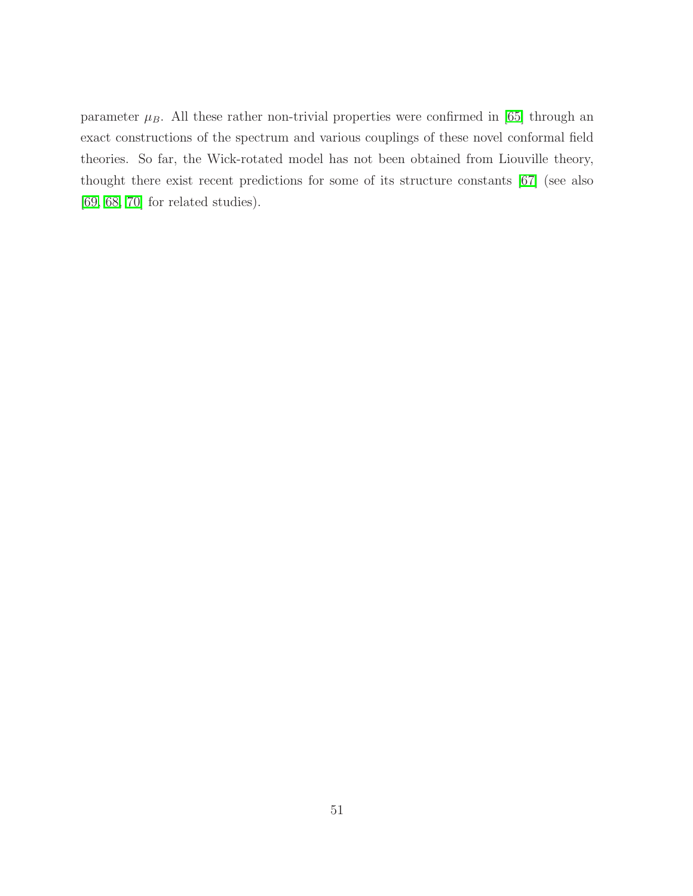parameter  $\mu_B$ . All these rather non-trivial properties were confirmed in [\[65\]](#page-82-8) through an exact constructions of the spectrum and various couplings of these novel conformal field theories. So far, the Wick-rotated model has not been obtained from Liouville theory, thought there exist recent predictions for some of its structure constants [\[67\]](#page-82-10) (see also [\[69,](#page-82-11) [68,](#page-82-12) [70\]](#page-82-13) for related studies).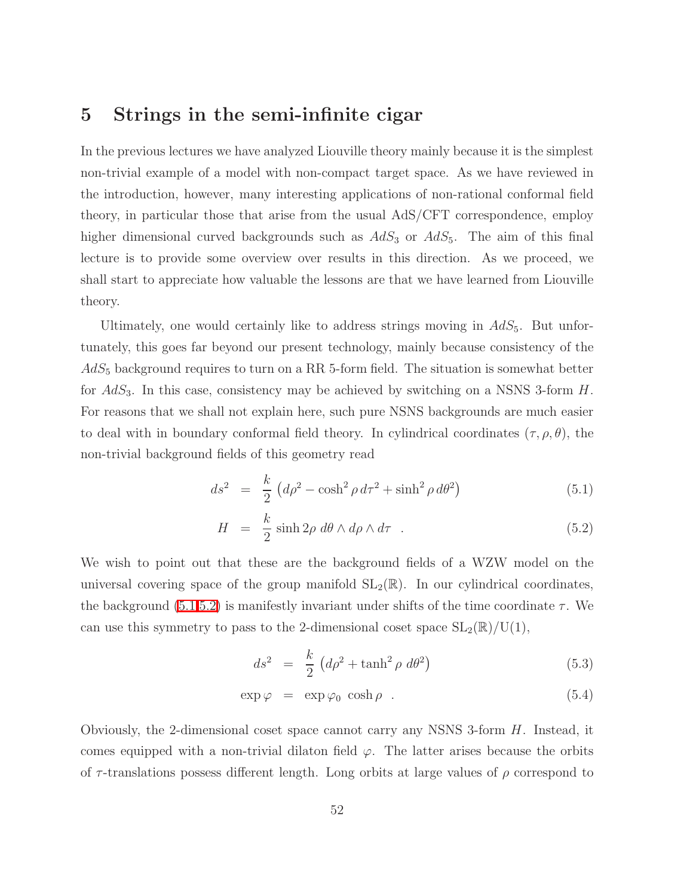# 5 Strings in the semi-infinite cigar

In the previous lectures we have analyzed Liouville theory mainly because it is the simplest non-trivial example of a model with non-compact target space. As we have reviewed in the introduction, however, many interesting applications of non-rational conformal field theory, in particular those that arise from the usual AdS/CFT correspondence, employ higher dimensional curved backgrounds such as  $AdS_3$  or  $AdS_5$ . The aim of this final lecture is to provide some overview over results in this direction. As we proceed, we shall start to appreciate how valuable the lessons are that we have learned from Liouville theory.

Ultimately, one would certainly like to address strings moving in  $AdS_5$ . But unfortunately, this goes far beyond our present technology, mainly because consistency of the  $AdS_5$  background requires to turn on a RR 5-form field. The situation is somewhat better for  $AdS_3$ . In this case, consistency may be achieved by switching on a NSNS 3-form  $H$ . For reasons that we shall not explain here, such pure NSNS backgrounds are much easier to deal with in boundary conformal field theory. In cylindrical coordinates  $(\tau, \rho, \theta)$ , the non-trivial background fields of this geometry read

<span id="page-52-0"></span>
$$
ds^{2} = \frac{k}{2} \left( d\rho^{2} - \cosh^{2}\rho \, d\tau^{2} + \sinh^{2}\rho \, d\theta^{2} \right)
$$
 (5.1)

$$
H = \frac{k}{2} \sinh 2\rho \, d\theta \wedge d\rho \wedge d\tau \quad . \tag{5.2}
$$

We wish to point out that these are the background fields of a WZW model on the universal covering space of the group manifold  $SL_2(\mathbb{R})$ . In our cylindrical coordinates, the background [\(5.1,5.2\)](#page-52-0) is manifestly invariant under shifts of the time coordinate  $\tau$ . We can use this symmetry to pass to the 2-dimensional coset space  $SL_2(\mathbb{R})/U(1)$ ,

$$
ds^2 = \frac{k}{2} \left( d\rho^2 + \tanh^2 \rho \ d\theta^2 \right) \tag{5.3}
$$

<span id="page-52-1"></span>
$$
\exp \varphi = \exp \varphi_0 \cosh \rho . \tag{5.4}
$$

Obviously, the 2-dimensional coset space cannot carry any NSNS 3-form  $H$ . Instead, it comes equipped with a non-trivial dilaton field  $\varphi$ . The latter arises because the orbits of  $\tau$ -translations possess different length. Long orbits at large values of  $\rho$  correspond to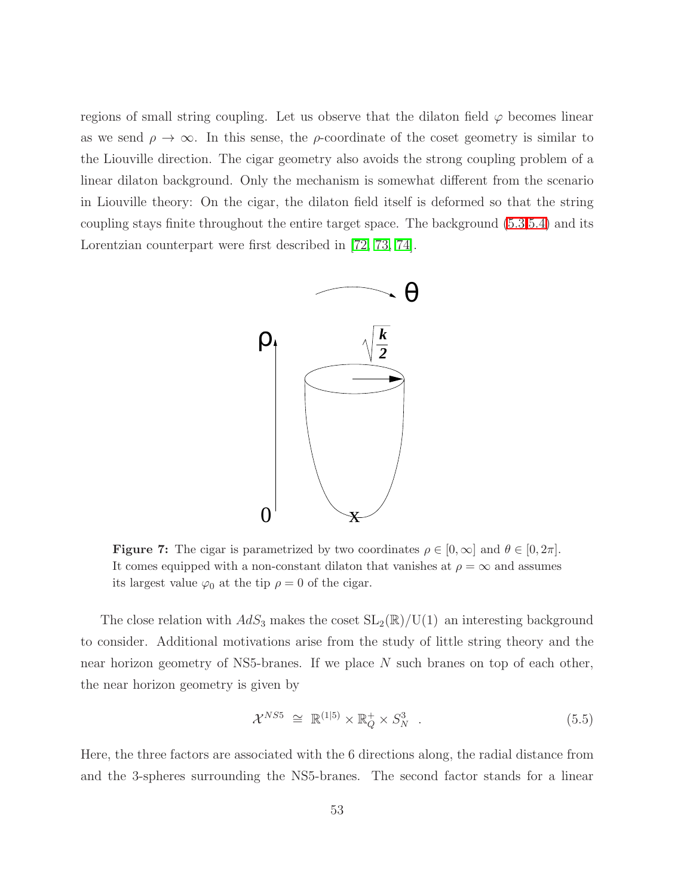regions of small string coupling. Let us observe that the dilaton field  $\varphi$  becomes linear as we send  $\rho \to \infty$ . In this sense, the  $\rho$ -coordinate of the coset geometry is similar to the Liouville direction. The cigar geometry also avoids the strong coupling problem of a linear dilaton background. Only the mechanism is somewhat different from the scenario in Liouville theory: On the cigar, the dilaton field itself is deformed so that the string coupling stays finite throughout the entire target space. The background [\(5.3,5.4\)](#page-52-1) and its Lorentzian counterpart were first described in [\[72,](#page-83-0) [73,](#page-83-1) [74\]](#page-83-2).



**Figure 7:** The cigar is parametrized by two coordinates  $\rho \in [0,\infty]$  and  $\theta \in [0,2\pi]$ . It comes equipped with a non-constant dilaton that vanishes at  $\rho = \infty$  and assumes its largest value  $\varphi_0$  at the tip  $\rho = 0$  of the cigar.

The close relation with  $AdS_3$  makes the coset  $SL_2(\mathbb{R})/U(1)$  an interesting background to consider. Additional motivations arise from the study of little string theory and the near horizon geometry of NS5-branes. If we place N such branes on top of each other, the near horizon geometry is given by

<span id="page-53-0"></span>
$$
\mathcal{X}^{NS5} \cong \mathbb{R}^{(1|5)} \times \mathbb{R}_Q^+ \times S_N^3 \quad . \tag{5.5}
$$

Here, the three factors are associated with the 6 directions along, the radial distance from and the 3-spheres surrounding the NS5-branes. The second factor stands for a linear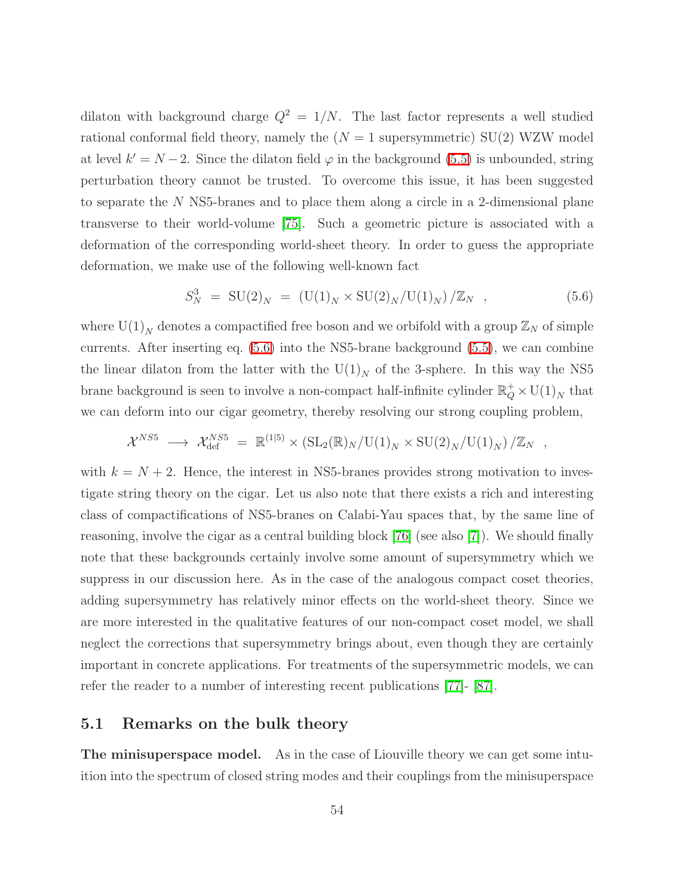dilaton with background charge  $Q^2 = 1/N$ . The last factor represents a well studied rational conformal field theory, namely the  $(N = 1$  supersymmetric) SU(2) WZW model at level  $k' = N - 2$ . Since the dilaton field  $\varphi$  in the background [\(5.5\)](#page-53-0) is unbounded, string perturbation theory cannot be trusted. To overcome this issue, it has been suggested to separate the N NS5-branes and to place them along a circle in a 2-dimensional plane transverse to their world-volume [\[75\]](#page-83-3). Such a geometric picture is associated with a deformation of the corresponding world-sheet theory. In order to guess the appropriate deformation, we make use of the following well-known fact

$$
S_N^3 = SU(2)_N = (U(1)_N \times SU(2)_N / U(1)_N) / \mathbb{Z}_N , \qquad (5.6)
$$

<span id="page-54-0"></span>where  $\mathop{\rm U}(1)_N$  denotes a compactified free boson and we orbifold with a group  $\mathbb{Z}_N$  of simple currents. After inserting eq. [\(5.6\)](#page-54-0) into the NS5-brane background [\(5.5\)](#page-53-0), we can combine the linear dilaton from the latter with the  $\mathrm{U}(1)_N$  of the 3-sphere. In this way the NS5 brane background is seen to involve a non-compact half-infinite cylinder  $\mathbb{R}^+_Q\times \mathrm{U}(1)_N$  that we can deform into our cigar geometry, thereby resolving our strong coupling problem,

$$
\mathcal{X}^{NS5} \longrightarrow \mathcal{X}_{\text{def}}^{NS5} = \mathbb{R}^{(1|5)} \times (\text{SL}_2(\mathbb{R})_N / \text{U}(1)_N \times \text{SU}(2)_N / \text{U}(1)_N) / \mathbb{Z}_N ,
$$

with  $k = N + 2$ . Hence, the interest in NS5-branes provides strong motivation to investigate string theory on the cigar. Let us also note that there exists a rich and interesting class of compactifications of NS5-branes on Calabi-Yau spaces that, by the same line of reasoning, involve the cigar as a central building block [\[76\]](#page-83-4) (see also [\[7\]](#page-78-0)). We should finally note that these backgrounds certainly involve some amount of supersymmetry which we suppress in our discussion here. As in the case of the analogous compact coset theories, adding supersymmetry has relatively minor effects on the world-sheet theory. Since we are more interested in the qualitative features of our non-compact coset model, we shall neglect the corrections that supersymmetry brings about, even though they are certainly important in concrete applications. For treatments of the supersymmetric models, we can refer the reader to a number of interesting recent publications [\[77\]](#page-83-5)- [\[87\]](#page-84-0).

## 5.1 Remarks on the bulk theory

The minisuperspace model. As in the case of Liouville theory we can get some intuition into the spectrum of closed string modes and their couplings from the minisuperspace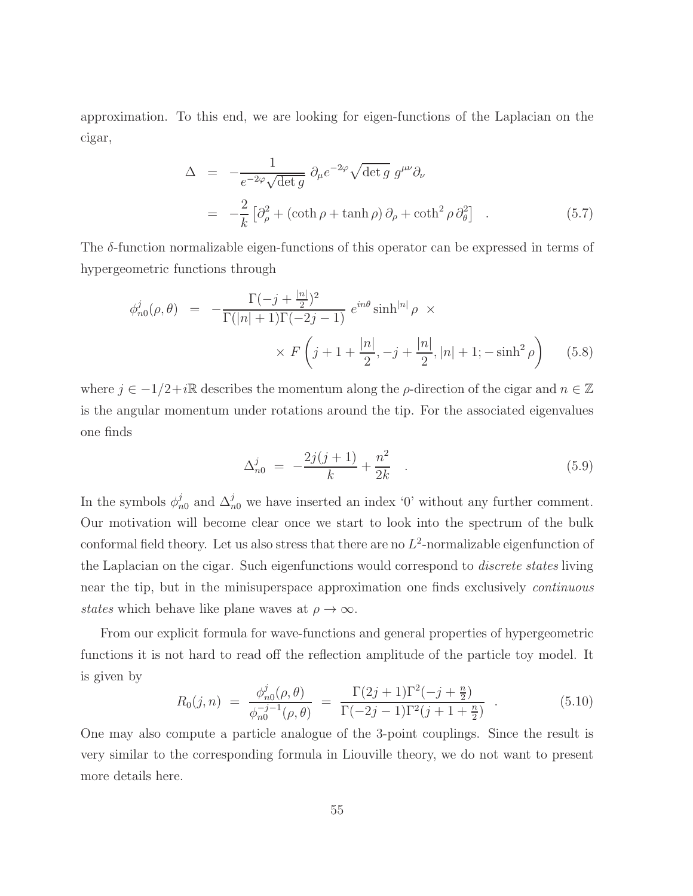approximation. To this end, we are looking for eigen-functions of the Laplacian on the cigar,

$$
\Delta = -\frac{1}{e^{-2\varphi}\sqrt{\det g}} \partial_{\mu} e^{-2\varphi} \sqrt{\det g} g^{\mu\nu} \partial_{\nu}
$$
  
= 
$$
-\frac{2}{k} \left[ \partial_{\rho}^{2} + (\coth \rho + \tanh \rho) \partial_{\rho} + \coth^{2} \rho \partial_{\theta}^{2} \right] .
$$
 (5.7)

<span id="page-55-0"></span>The  $\delta$ -function normalizable eigen-functions of this operator can be expressed in terms of hypergeometric functions through

$$
\phi_{n0}^j(\rho,\theta) = -\frac{\Gamma(-j+\frac{|n|}{2})^2}{\Gamma(|n|+1)\Gamma(-2j-1)} e^{in\theta} \sinh^{|n|} \rho \times
$$

$$
\times F\left(j+1+\frac{|n|}{2}, -j+\frac{|n|}{2}, |n|+1; -\sinh^2 \rho\right) \tag{5.8}
$$

where  $j \in -1/2+i\mathbb{R}$  describes the momentum along the  $\rho$ -direction of the cigar and  $n \in \mathbb{Z}$ is the angular momentum under rotations around the tip. For the associated eigenvalues one finds

<span id="page-55-2"></span>
$$
\Delta_{n0}^j = -\frac{2j(j+1)}{k} + \frac{n^2}{2k} \quad . \tag{5.9}
$$

In the symbols  $\phi_n^j$  $_{n0}^{j}$  and  $\Delta_{n0}^{j}$  we have inserted an index '0' without any further comment. Our motivation will become clear once we start to look into the spectrum of the bulk conformal field theory. Let us also stress that there are no  $L^2$ -normalizable eigenfunction of the Laplacian on the cigar. Such eigenfunctions would correspond to *discrete states* living near the tip, but in the minisuperspace approximation one finds exclusively *continuous* states which behave like plane waves at  $\rho \to \infty$ .

<span id="page-55-1"></span>From our explicit formula for wave-functions and general properties of hypergeometric functions it is not hard to read off the reflection amplitude of the particle toy model. It is given by

$$
R_0(j,n) = \frac{\phi_{n0}^j(\rho,\theta)}{\phi_{n0}^{-j-1}(\rho,\theta)} = \frac{\Gamma(2j+1)\Gamma^2(-j+\frac{n}{2})}{\Gamma(-2j-1)\Gamma^2(j+1+\frac{n}{2})} \quad . \tag{5.10}
$$

One may also compute a particle analogue of the 3-point couplings. Since the result is very similar to the corresponding formula in Liouville theory, we do not want to present more details here.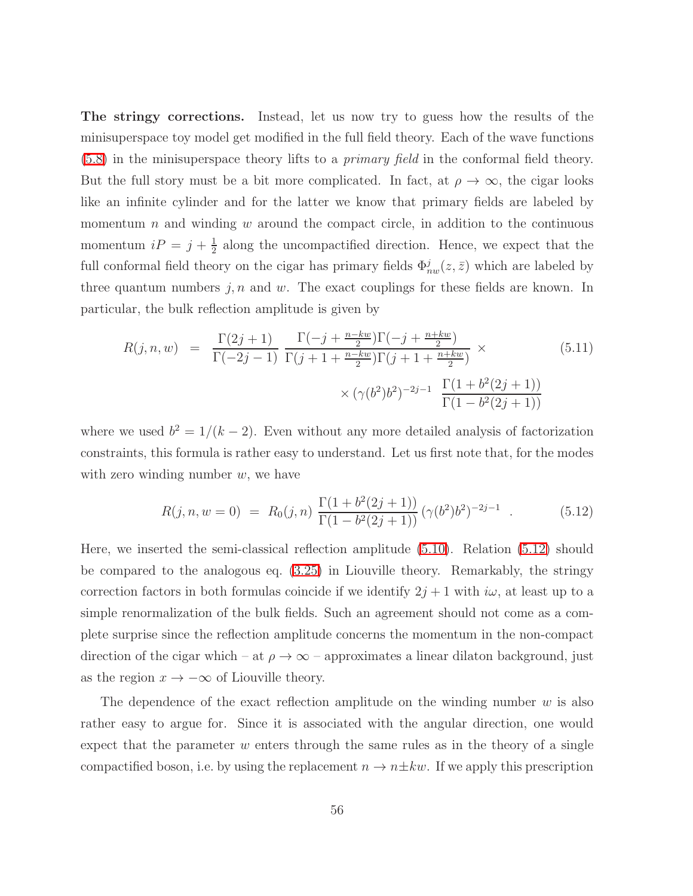The stringy corrections. Instead, let us now try to guess how the results of the minisuperspace toy model get modified in the full field theory. Each of the wave functions [\(5.8\)](#page-55-0) in the minisuperspace theory lifts to a primary field in the conformal field theory. But the full story must be a bit more complicated. In fact, at  $\rho \to \infty$ , the cigar looks like an infinite cylinder and for the latter we know that primary fields are labeled by momentum n and winding w around the compact circle, in addition to the continuous momentum  $iP = j + \frac{1}{2}$  $\frac{1}{2}$  along the uncompactified direction. Hence, we expect that the full conformal field theory on the cigar has primary fields  $\Phi_{nw}^j(z,\bar{z})$  which are labeled by three quantum numbers  $j, n$  and w. The exact couplings for these fields are known. In particular, the bulk reflection amplitude is given by

<span id="page-56-1"></span>
$$
R(j, n, w) = \frac{\Gamma(2j+1)}{\Gamma(-2j-1)} \frac{\Gamma(-j + \frac{n-kw}{2})\Gamma(-j + \frac{n+kw}{2})}{\Gamma(j+1 + \frac{n-kw}{2})\Gamma(j+1 + \frac{n+kw}{2})} \times \frac{(5.11)}{\Gamma(1 - b^2(2j+1))} \times (\gamma(b^2)b^2)^{-2j-1} \frac{\Gamma(1 + b^2(2j+1))}{\Gamma(1 - b^2(2j+1))}
$$

<span id="page-56-0"></span>where we used  $b^2 = 1/(k-2)$ . Even without any more detailed analysis of factorization constraints, this formula is rather easy to understand. Let us first note that, for the modes with zero winding number  $w$ , we have

$$
R(j, n, w = 0) = R_0(j, n) \frac{\Gamma(1 + b^2(2j + 1))}{\Gamma(1 - b^2(2j + 1))} (\gamma(b^2)b^2)^{-2j - 1} . \tag{5.12}
$$

Here, we inserted the semi-classical reflection amplitude [\(5.10\)](#page-55-1). Relation [\(5.12\)](#page-56-0) should be compared to the analogous eq. [\(3.25\)](#page-36-1) in Liouville theory. Remarkably, the stringy correction factors in both formulas coincide if we identify  $2j + 1$  with  $i\omega$ , at least up to a simple renormalization of the bulk fields. Such an agreement should not come as a complete surprise since the reflection amplitude concerns the momentum in the non-compact direction of the cigar which – at  $\rho \to \infty$  – approximates a linear dilaton background, just as the region  $x \to -\infty$  of Liouville theory.

The dependence of the exact reflection amplitude on the winding number  $w$  is also rather easy to argue for. Since it is associated with the angular direction, one would expect that the parameter  $w$  enters through the same rules as in the theory of a single compactified boson, i.e. by using the replacement  $n \to n \pm kw$ . If we apply this prescription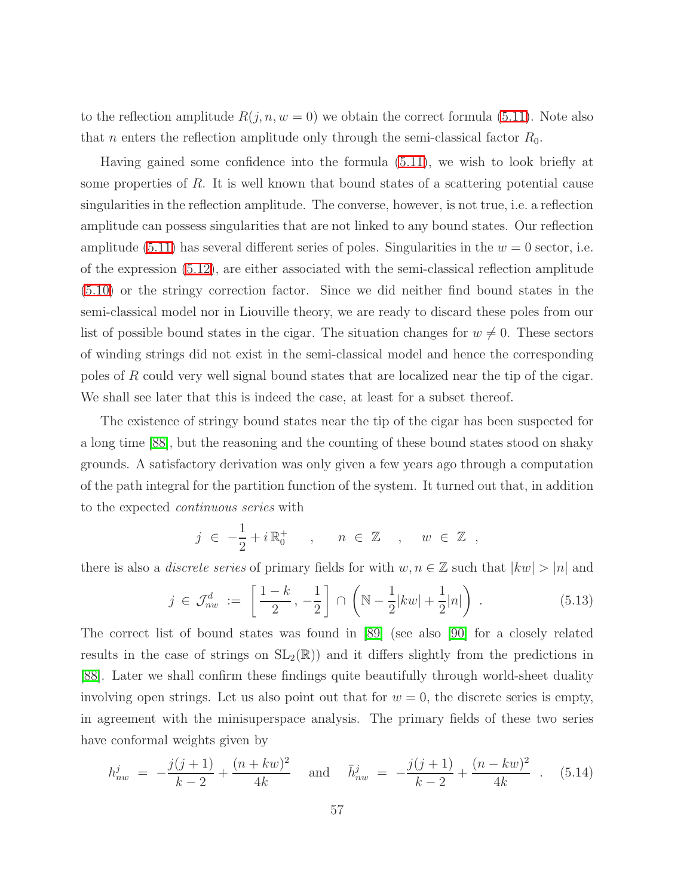to the reflection amplitude  $R(j, n, w = 0)$  we obtain the correct formula [\(5.11\)](#page-56-1). Note also that *n* enters the reflection amplitude only through the semi-classical factor  $R_0$ .

Having gained some confidence into the formula [\(5.11\)](#page-56-1), we wish to look briefly at some properties of R. It is well known that bound states of a scattering potential cause singularities in the reflection amplitude. The converse, however, is not true, i.e. a reflection amplitude can possess singularities that are not linked to any bound states. Our reflection amplitude [\(5.11\)](#page-56-1) has several different series of poles. Singularities in the  $w = 0$  sector, i.e. of the expression [\(5.12\)](#page-56-0), are either associated with the semi-classical reflection amplitude [\(5.10\)](#page-55-1) or the stringy correction factor. Since we did neither find bound states in the semi-classical model nor in Liouville theory, we are ready to discard these poles from our list of possible bound states in the cigar. The situation changes for  $w \neq 0$ . These sectors of winding strings did not exist in the semi-classical model and hence the corresponding poles of R could very well signal bound states that are localized near the tip of the cigar. We shall see later that this is indeed the case, at least for a subset thereof.

The existence of stringy bound states near the tip of the cigar has been suspected for a long time [\[88\]](#page-84-1), but the reasoning and the counting of these bound states stood on shaky grounds. A satisfactory derivation was only given a few years ago through a computation of the path integral for the partition function of the system. It turned out that, in addition to the expected continuous series with

$$
j \in -\frac{1}{2} + i \mathbb{R}_0^+ \quad , \quad n \in \mathbb{Z} \quad , \quad w \in \mathbb{Z} \quad ,
$$

there is also a *discrete series* of primary fields for with  $w, n \in \mathbb{Z}$  such that  $|kw| > |n|$  and

$$
j \in \mathcal{J}_{nw}^d := \left[\frac{1-k}{2}, -\frac{1}{2}\right] \cap \left(\mathbb{N} - \frac{1}{2}|kw| + \frac{1}{2}|n|\right) . \tag{5.13}
$$

The correct list of bound states was found in [\[89\]](#page-84-2) (see also [\[90\]](#page-84-3) for a closely related results in the case of strings on  $SL_2(\mathbb{R})$  and it differs slightly from the predictions in [\[88\]](#page-84-1). Later we shall confirm these findings quite beautifully through world-sheet duality involving open strings. Let us also point out that for  $w = 0$ , the discrete series is empty, in agreement with the minisuperspace analysis. The primary fields of these two series have conformal weights given by

$$
h_{nw}^{j} = -\frac{j(j+1)}{k-2} + \frac{(n+kw)^{2}}{4k} \quad \text{and} \quad \bar{h}_{nw}^{j} = -\frac{j(j+1)}{k-2} + \frac{(n-kw)^{2}}{4k} \quad . \quad (5.14)
$$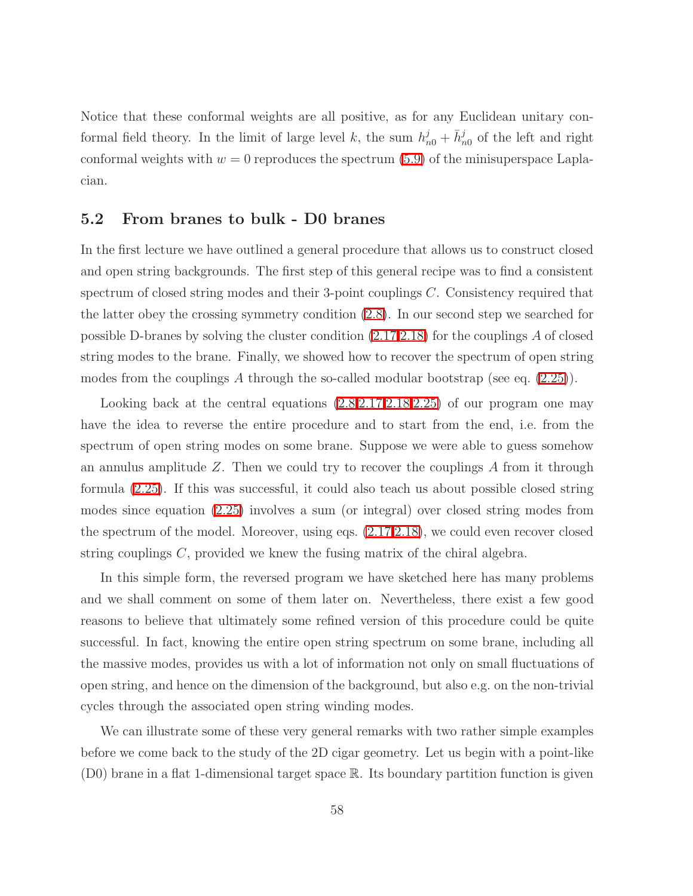Notice that these conformal weights are all positive, as for any Euclidean unitary conformal field theory. In the limit of large level k, the sum  $h_{n0}^j + \bar{h}_{n0}^j$  of the left and right conformal weights with  $w = 0$  reproduces the spectrum [\(5.9\)](#page-55-2) of the minisuperspace Laplacian.

#### 5.2 From branes to bulk - D0 branes

In the first lecture we have outlined a general procedure that allows us to construct closed and open string backgrounds. The first step of this general recipe was to find a consistent spectrum of closed string modes and their 3-point couplings C. Consistency required that the latter obey the crossing symmetry condition [\(2.8\)](#page-11-0). In our second step we searched for possible D-branes by solving the cluster condition [\(2.17](#page-17-0)[,2.18\)](#page-17-1) for the couplings A of closed string modes to the brane. Finally, we showed how to recover the spectrum of open string modes from the couplings A through the so-called modular bootstrap (see eq.  $(2.25)$ ).

Looking back at the central equations  $(2.8, 2.17, 2.18, 2.25)$  $(2.8, 2.17, 2.18, 2.25)$  $(2.8, 2.17, 2.18, 2.25)$  of our program one may have the idea to reverse the entire procedure and to start from the end, i.e. from the spectrum of open string modes on some brane. Suppose we were able to guess somehow an annulus amplitude  $Z$ . Then we could try to recover the couplings  $A$  from it through formula [\(2.25\)](#page-23-0). If this was successful, it could also teach us about possible closed string modes since equation [\(2.25\)](#page-23-0) involves a sum (or integral) over closed string modes from the spectrum of the model. Moreover, using eqs. [\(2.17,](#page-17-0)[2.18\)](#page-17-1), we could even recover closed string couplings C, provided we knew the fusing matrix of the chiral algebra.

In this simple form, the reversed program we have sketched here has many problems and we shall comment on some of them later on. Nevertheless, there exist a few good reasons to believe that ultimately some refined version of this procedure could be quite successful. In fact, knowing the entire open string spectrum on some brane, including all the massive modes, provides us with a lot of information not only on small fluctuations of open string, and hence on the dimension of the background, but also e.g. on the non-trivial cycles through the associated open string winding modes.

We can illustrate some of these very general remarks with two rather simple examples before we come back to the study of the 2D cigar geometry. Let us begin with a point-like  $(D0)$  brane in a flat 1-dimensional target space R. Its boundary partition function is given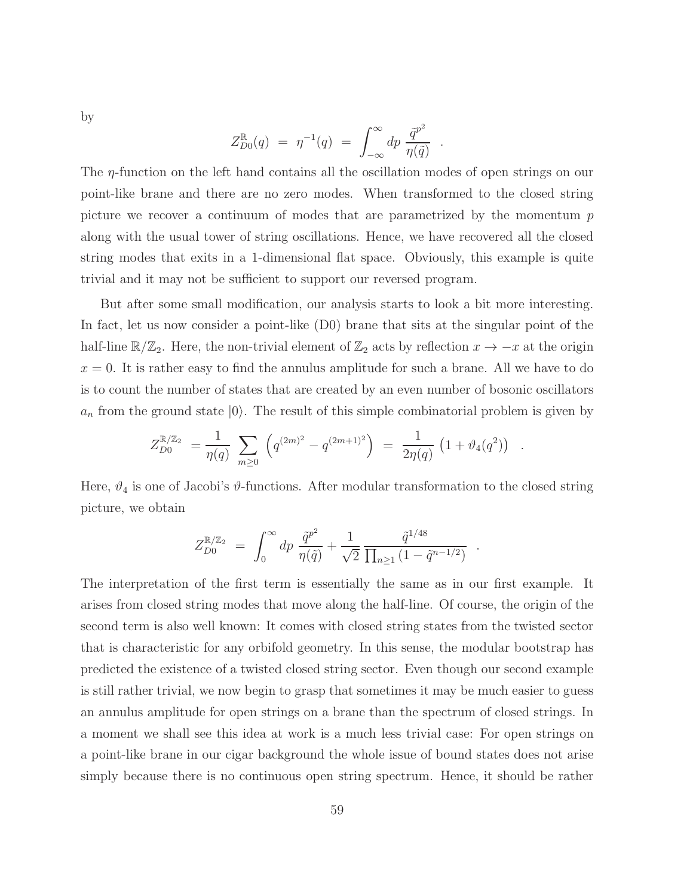by

$$
Z_{D0}^{\mathbb{R}}(q) = \eta^{-1}(q) = \int_{-\infty}^{\infty} dp \frac{\tilde{q}^{p^2}}{\eta(\tilde{q})} .
$$

The η-function on the left hand contains all the oscillation modes of open strings on our point-like brane and there are no zero modes. When transformed to the closed string picture we recover a continuum of modes that are parametrized by the momentum  $p$ along with the usual tower of string oscillations. Hence, we have recovered all the closed string modes that exits in a 1-dimensional flat space. Obviously, this example is quite trivial and it may not be sufficient to support our reversed program.

But after some small modification, our analysis starts to look a bit more interesting. In fact, let us now consider a point-like (D0) brane that sits at the singular point of the half-line  $\mathbb{R}/\mathbb{Z}_2$ . Here, the non-trivial element of  $\mathbb{Z}_2$  acts by reflection  $x \to -x$  at the origin  $x = 0$ . It is rather easy to find the annulus amplitude for such a brane. All we have to do is to count the number of states that are created by an even number of bosonic oscillators  $a_n$  from the ground state  $|0\rangle$ . The result of this simple combinatorial problem is given by

$$
Z_{D0}^{\mathbb{R}/\mathbb{Z}_2} = \frac{1}{\eta(q)} \sum_{m \geq 0} \left( q^{(2m)^2} - q^{(2m+1)^2} \right) = \frac{1}{2\eta(q)} \left( 1 + \vartheta_4(q^2) \right) .
$$

Here,  $\vartheta_4$  is one of Jacobi's  $\vartheta$ -functions. After modular transformation to the closed string picture, we obtain

$$
Z_{D0}^{\mathbb{R}/\mathbb{Z}_2} = \int_0^\infty dp \, \frac{\tilde{q}^{p^2}}{\eta(\tilde{q})} + \frac{1}{\sqrt{2}} \frac{\tilde{q}^{1/48}}{\prod_{n\geq 1} (1 - \tilde{q}^{n-1/2})} .
$$

The interpretation of the first term is essentially the same as in our first example. It arises from closed string modes that move along the half-line. Of course, the origin of the second term is also well known: It comes with closed string states from the twisted sector that is characteristic for any orbifold geometry. In this sense, the modular bootstrap has predicted the existence of a twisted closed string sector. Even though our second example is still rather trivial, we now begin to grasp that sometimes it may be much easier to guess an annulus amplitude for open strings on a brane than the spectrum of closed strings. In a moment we shall see this idea at work is a much less trivial case: For open strings on a point-like brane in our cigar background the whole issue of bound states does not arise simply because there is no continuous open string spectrum. Hence, it should be rather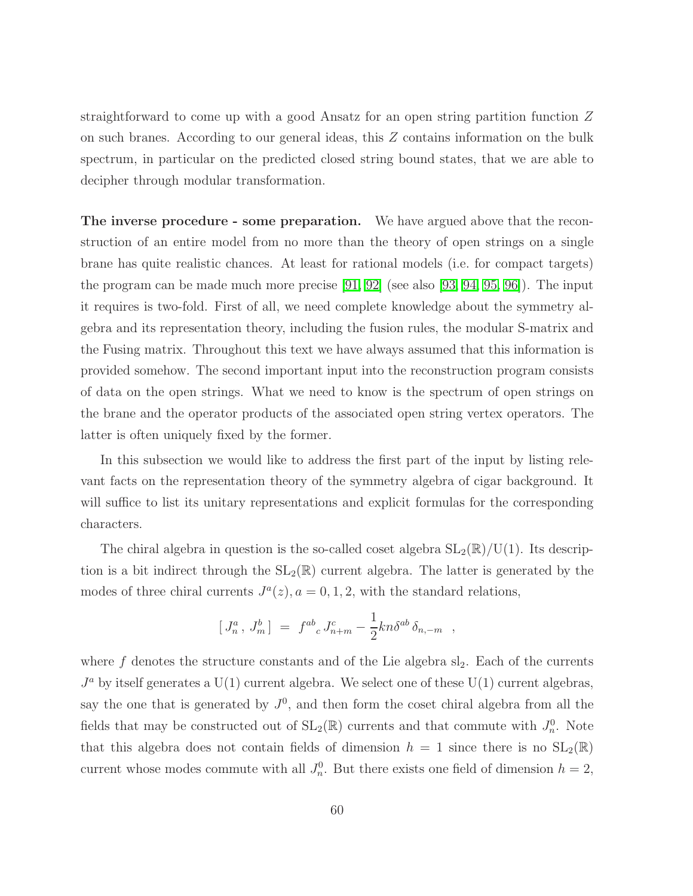straightforward to come up with a good Ansatz for an open string partition function Z on such branes. According to our general ideas, this Z contains information on the bulk spectrum, in particular on the predicted closed string bound states, that we are able to decipher through modular transformation.

The inverse procedure - some preparation. We have argued above that the reconstruction of an entire model from no more than the theory of open strings on a single brane has quite realistic chances. At least for rational models (i.e. for compact targets) the program can be made much more precise [\[91,](#page-84-4) [92\]](#page-84-5) (see also [\[93,](#page-84-6) [94,](#page-84-7) [95,](#page-84-8) [96\]](#page-84-9)). The input it requires is two-fold. First of all, we need complete knowledge about the symmetry algebra and its representation theory, including the fusion rules, the modular S-matrix and the Fusing matrix. Throughout this text we have always assumed that this information is provided somehow. The second important input into the reconstruction program consists of data on the open strings. What we need to know is the spectrum of open strings on the brane and the operator products of the associated open string vertex operators. The latter is often uniquely fixed by the former.

In this subsection we would like to address the first part of the input by listing relevant facts on the representation theory of the symmetry algebra of cigar background. It will suffice to list its unitary representations and explicit formulas for the corresponding characters.

The chiral algebra in question is the so-called coset algebra  $SL_2(\mathbb{R})/U(1)$ . Its description is a bit indirect through the  $SL_2(\mathbb{R})$  current algebra. The latter is generated by the modes of three chiral currents  $J^a(z)$ ,  $a = 0, 1, 2$ , with the standard relations,

$$
[J_n^a, J_m^b] = f^{ab}_{\ c} J_{n+m}^c - \frac{1}{2} k n \delta^{ab} \delta_{n,-m} ,
$$

where f denotes the structure constants and of the Lie algebra  $sl_2$ . Each of the currents  $J^a$  by itself generates a U(1) current algebra. We select one of these U(1) current algebras, say the one that is generated by  $J^0$ , and then form the coset chiral algebra from all the fields that may be constructed out of  $SL_2(\mathbb{R})$  currents and that commute with  $J_n^0$ . Note that this algebra does not contain fields of dimension  $h = 1$  since there is no  $SL_2(\mathbb{R})$ current whose modes commute with all  $J_n^0$ . But there exists one field of dimension  $h = 2$ ,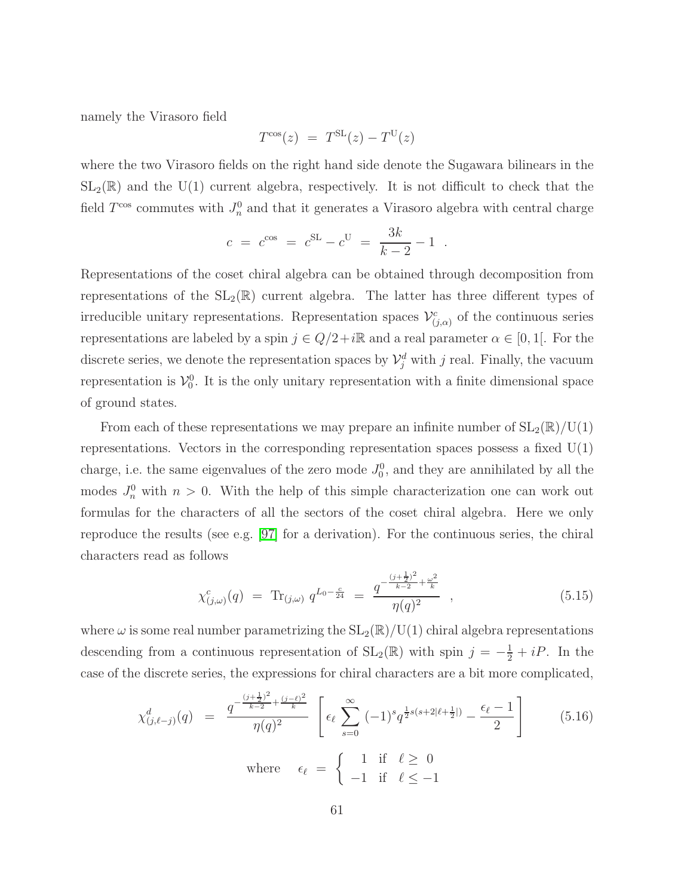namely the Virasoro field

$$
T^{\cos}(z) = T^{\text{SL}}(z) - T^{\text{U}}(z)
$$

where the two Virasoro fields on the right hand side denote the Sugawara bilinears in the  $SL_2(\mathbb{R})$  and the U(1) current algebra, respectively. It is not difficult to check that the field  $T^{\cos}$  commutes with  $J_n^0$  and that it generates a Virasoro algebra with central charge

$$
c = c^{\cos} = c^{\sin} - c^{\cos} = \frac{3k}{k-2} - 1
$$
.

Representations of the coset chiral algebra can be obtained through decomposition from representations of the  $SL_2(\mathbb{R})$  current algebra. The latter has three different types of irreducible unitary representations. Representation spaces  $\mathcal{V}^c_{(j,\alpha)}$  of the continuous series representations are labeled by a spin  $j \in Q/2+i\mathbb{R}$  and a real parameter  $\alpha \in [0,1]$ . For the discrete series, we denote the representation spaces by  $\mathcal{V}_j^d$  with j real. Finally, the vacuum representation is  $\mathcal{V}_0^0$ . It is the only unitary representation with a finite dimensional space of ground states.

From each of these representations we may prepare an infinite number of  $SL_2(\mathbb{R})/U(1)$ representations. Vectors in the corresponding representation spaces possess a fixed  $U(1)$ charge, i.e. the same eigenvalues of the zero mode  $J_0^0$ , and they are annihilated by all the modes  $J_n^0$  with  $n > 0$ . With the help of this simple characterization one can work out formulas for the characters of all the sectors of the coset chiral algebra. Here we only reproduce the results (see e.g. [\[97\]](#page-84-10) for a derivation). For the continuous series, the chiral characters read as follows

$$
\chi_{(j,\omega)}^c(q) = \text{Tr}_{(j,\omega)} q^{L_0 - \frac{c}{24}} = \frac{q^{-\frac{(j+\frac{1}{2})^2}{k-2} + \frac{\omega^2}{k}}}{\eta(q)^2} , \qquad (5.15)
$$

<span id="page-61-0"></span>where  $\omega$  is some real number parametrizing the  $SL_2(\mathbb{R})/U(1)$  chiral algebra representations descending from a continuous representation of  $SL_2(\mathbb{R})$  with spin  $j = -\frac{1}{2} + iP$ . In the case of the discrete series, the expressions for chiral characters are a bit more complicated,

$$
\chi_{(j,\ell-j)}^d(q) = \frac{q^{-\frac{(j+\frac{1}{2})^2}{k-2} + \frac{(j-\ell)^2}{k}}}{\eta(q)^2} \left[ \epsilon_\ell \sum_{s=0}^\infty (-1)^s q^{\frac{1}{2}s(s+2|\ell+\frac{1}{2}|)} - \frac{\epsilon_\ell - 1}{2} \right]
$$
(5.16)  
where  $\epsilon_\ell = \begin{cases} 1 & \text{if } \ell \ge 0 \\ -1 & \text{if } \ell \le -1 \end{cases}$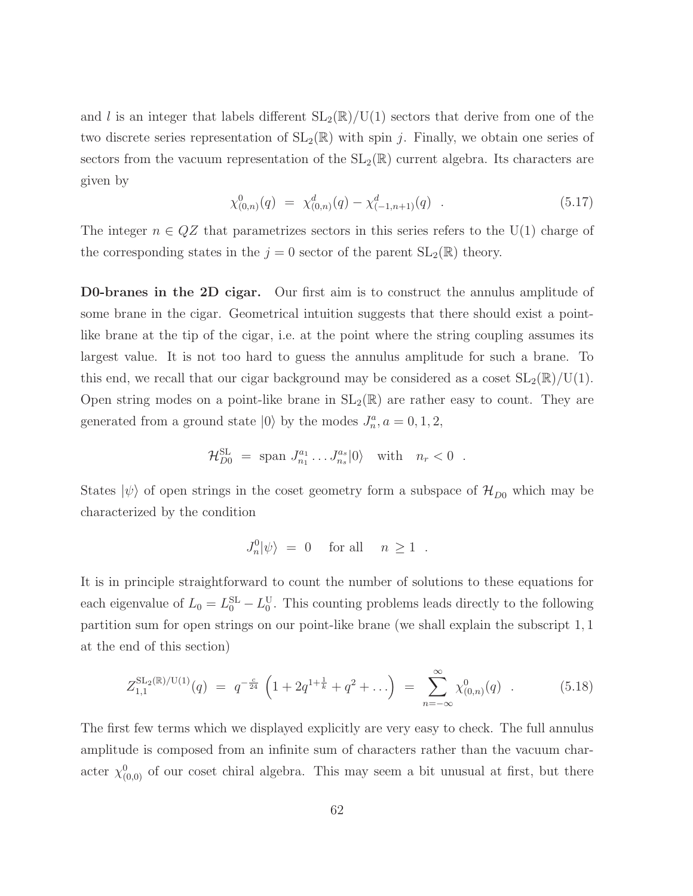and l is an integer that labels different  $SL_2(\mathbb{R})/U(1)$  sectors that derive from one of the two discrete series representation of  $SL_2(\mathbb{R})$  with spin j. Finally, we obtain one series of sectors from the vacuum representation of the  $SL_2(\mathbb{R})$  current algebra. Its characters are given by

$$
\chi_{(0,n)}^0(q) = \chi_{(0,n)}^d(q) - \chi_{(-1,n+1)}^d(q) \quad . \tag{5.17}
$$

The integer  $n \in QZ$  that parametrizes sectors in this series refers to the U(1) charge of the corresponding states in the  $j = 0$  sector of the parent  $SL_2(\mathbb{R})$  theory.

D0-branes in the 2D cigar. Our first aim is to construct the annulus amplitude of some brane in the cigar. Geometrical intuition suggests that there should exist a pointlike brane at the tip of the cigar, i.e. at the point where the string coupling assumes its largest value. It is not too hard to guess the annulus amplitude for such a brane. To this end, we recall that our cigar background may be considered as a coset  $SL_2(\mathbb{R})/U(1)$ . Open string modes on a point-like brane in  $SL_2(\mathbb{R})$  are rather easy to count. They are generated from a ground state  $|0\rangle$  by the modes  $J_n^a$ ,  $a = 0, 1, 2$ ,

$$
\mathcal{H}_{D0}^{\text{SL}} = \text{span}\ J_{n_1}^{a_1} \dots J_{n_s}^{a_s} |0\rangle \quad \text{with} \quad n_r < 0 \quad .
$$

States  $|\psi\rangle$  of open strings in the coset geometry form a subspace of  $\mathcal{H}_{D0}$  which may be characterized by the condition

$$
J_n^0|\psi\rangle = 0 \quad \text{ for all } \quad n \ge 1 .
$$

It is in principle straightforward to count the number of solutions to these equations for each eigenvalue of  $L_0 = L_0^{\text{SL}} - L_0^{\text{U}}$ . This counting problems leads directly to the following partition sum for open strings on our point-like brane (we shall explain the subscript 1, 1 at the end of this section)

$$
Z_{1,1}^{\text{SL}_2(\mathbb{R})/\text{U}(1)}(q) = q^{-\frac{c}{24}} \left( 1 + 2q^{1+\frac{1}{k}} + q^2 + \ldots \right) = \sum_{n=-\infty}^{\infty} \chi_{(0,n)}^0(q) . \tag{5.18}
$$

<span id="page-62-0"></span>The first few terms which we displayed explicitly are very easy to check. The full annulus amplitude is composed from an infinite sum of characters rather than the vacuum character  $\chi_{(0,0)}^0$  of our coset chiral algebra. This may seem a bit unusual at first, but there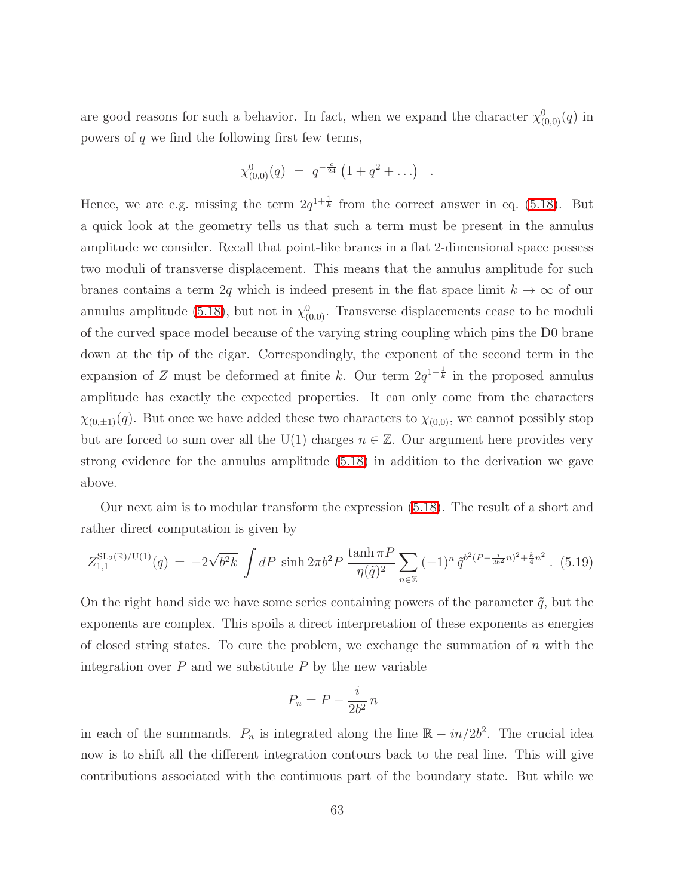are good reasons for such a behavior. In fact, when we expand the character  $\chi_{(0,0)}^0(q)$  in powers of  $q$  we find the following first few terms,

$$
\chi^{0}_{(0,0)}(q) = q^{-\frac{c}{24}} (1 + q^2 + \ldots)
$$

.

Hence, we are e.g. missing the term  $2q^{1+\frac{1}{k}}$  from the correct answer in eq. [\(5.18\)](#page-62-0). But a quick look at the geometry tells us that such a term must be present in the annulus amplitude we consider. Recall that point-like branes in a flat 2-dimensional space possess two moduli of transverse displacement. This means that the annulus amplitude for such branes contains a term 2q which is indeed present in the flat space limit  $k \to \infty$  of our annulus amplitude [\(5.18\)](#page-62-0), but not in  $\chi_{(0,0)}^0$ . Transverse displacements cease to be moduli of the curved space model because of the varying string coupling which pins the D0 brane down at the tip of the cigar. Correspondingly, the exponent of the second term in the expansion of Z must be deformed at finite k. Our term  $2q^{1+\frac{1}{k}}$  in the proposed annulus amplitude has exactly the expected properties. It can only come from the characters  $\chi_{(0,\pm1)}(q)$ . But once we have added these two characters to  $\chi_{(0,0)}$ , we cannot possibly stop but are forced to sum over all the U(1) charges  $n \in \mathbb{Z}$ . Our argument here provides very strong evidence for the annulus amplitude [\(5.18\)](#page-62-0) in addition to the derivation we gave above.

<span id="page-63-0"></span>Our next aim is to modular transform the expression [\(5.18\)](#page-62-0). The result of a short and rather direct computation is given by

$$
Z_{1,1}^{\text{SL}_2(\mathbb{R})/\text{U}(1)}(q) = -2\sqrt{b^2k} \int dP \sinh 2\pi b^2 P \frac{\tanh \pi P}{\eta(\tilde{q})^2} \sum_{n \in \mathbb{Z}} (-1)^n \tilde{q}^{b^2(P - \frac{i}{2b^2}n)^2 + \frac{k}{4}n^2}.
$$
 (5.19)

On the right hand side we have some series containing powers of the parameter  $\tilde{q}$ , but the exponents are complex. This spoils a direct interpretation of these exponents as energies of closed string states. To cure the problem, we exchange the summation of  $n$  with the integration over  $P$  and we substitute  $P$  by the new variable

$$
P_n = P - \frac{i}{2b^2} n
$$

in each of the summands.  $P_n$  is integrated along the line  $\mathbb{R} - in/2b^2$ . The crucial idea now is to shift all the different integration contours back to the real line. This will give contributions associated with the continuous part of the boundary state. But while we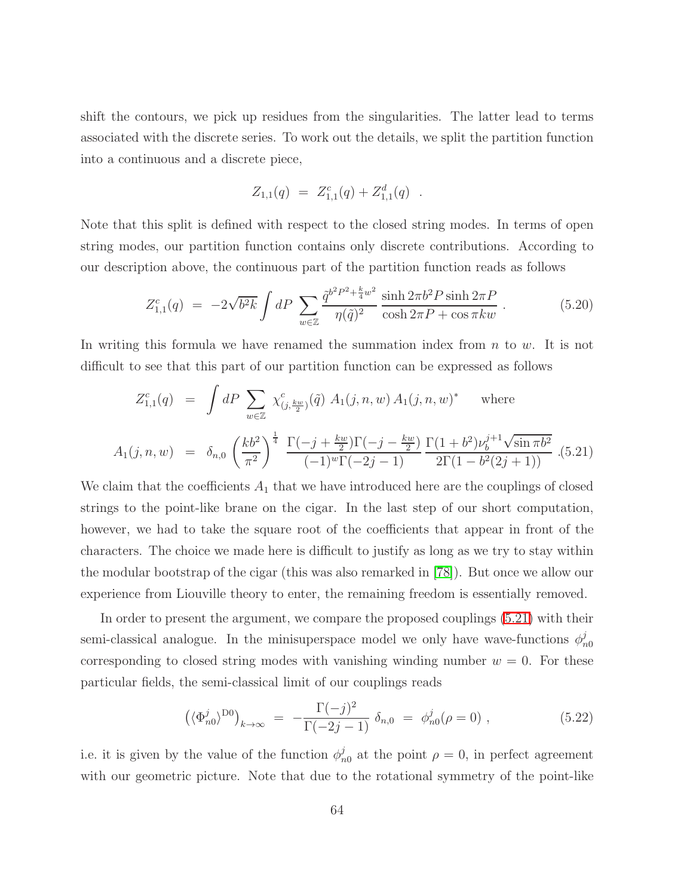shift the contours, we pick up residues from the singularities. The latter lead to terms associated with the discrete series. To work out the details, we split the partition function into a continuous and a discrete piece,

$$
Z_{1,1}(q) = Z_{1,1}^c(q) + Z_{1,1}^d(q) .
$$

Note that this split is defined with respect to the closed string modes. In terms of open string modes, our partition function contains only discrete contributions. According to our description above, the continuous part of the partition function reads as follows

$$
Z_{1,1}^{c}(q) = -2\sqrt{b^{2}k} \int dP \sum_{w \in \mathbb{Z}} \frac{\tilde{q}^{b^{2}P^{2} + \frac{k}{4}w^{2}}}{\eta(\tilde{q})^{2}} \frac{\sinh 2\pi b^{2} P \sinh 2\pi P}{\cosh 2\pi P + \cos \pi kw} . \tag{5.20}
$$

<span id="page-64-0"></span>In writing this formula we have renamed the summation index from  $n$  to  $w$ . It is not difficult to see that this part of our partition function can be expressed as follows

$$
Z_{1,1}^{c}(q) = \int dP \sum_{w \in \mathbb{Z}} \chi_{(j,\frac{kw}{2})}^{c}(\tilde{q}) A_{1}(j,n,w) A_{1}(j,n,w)^{*} \text{ where}
$$
  

$$
A_{1}(j,n,w) = \delta_{n,0} \left(\frac{kb^{2}}{\pi^{2}}\right)^{\frac{1}{4}} \frac{\Gamma(-j+\frac{kw}{2})\Gamma(-j-\frac{kw}{2})}{(-1)^{w}\Gamma(-2j-1)} \frac{\Gamma(1+b^{2})\nu_{b}^{j+1}\sqrt{\sin \pi b^{2}}}{2\Gamma(1-b^{2}(2j+1))} . (5.21)
$$

We claim that the coefficients  $A_1$  that we have introduced here are the couplings of closed strings to the point-like brane on the cigar. In the last step of our short computation, however, we had to take the square root of the coefficients that appear in front of the characters. The choice we made here is difficult to justify as long as we try to stay within the modular bootstrap of the cigar (this was also remarked in [\[78\]](#page-83-6)). But once we allow our experience from Liouville theory to enter, the remaining freedom is essentially removed.

In order to present the argument, we compare the proposed couplings [\(5.21\)](#page-64-0) with their semi-classical analogue. In the minisuperspace model we only have wave-functions  $\phi_n^j$  $n<sub>0</sub>$ corresponding to closed string modes with vanishing winding number  $w = 0$ . For these particular fields, the semi-classical limit of our couplings reads

$$
\left(\langle \Phi_{n0}^{j}\rangle^{\text{D0}}\right)_{k\to\infty} = -\frac{\Gamma(-j)^2}{\Gamma(-2j-1)} \,\delta_{n,0} \,=\, \phi_{n0}^{j}(\rho=0) \;, \tag{5.22}
$$

i.e. it is given by the value of the function  $\phi_{n0}^j$  at the point  $\rho = 0$ , in perfect agreement with our geometric picture. Note that due to the rotational symmetry of the point-like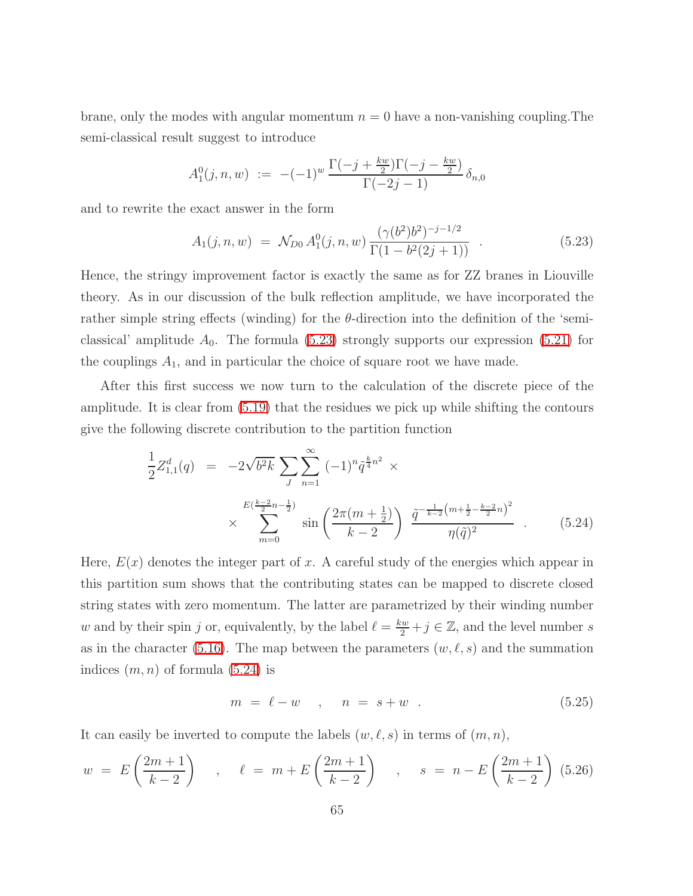brane, only the modes with angular momentum  $n = 0$  have a non-vanishing coupling. The semi-classical result suggest to introduce

$$
A_1^0(j,n,w) := -(-1)^w \frac{\Gamma(-j + \frac{kw}{2})\Gamma(-j - \frac{kw}{2})}{\Gamma(-2j - 1)} \delta_{n,0}
$$

<span id="page-65-0"></span>and to rewrite the exact answer in the form

$$
A_1(j, n, w) = \mathcal{N}_{D0} A_1^0(j, n, w) \frac{(\gamma(b^2)b^2)^{-j-1/2}}{\Gamma(1-b^2(2j+1))} \tag{5.23}
$$

Hence, the stringy improvement factor is exactly the same as for ZZ branes in Liouville theory. As in our discussion of the bulk reflection amplitude, we have incorporated the rather simple string effects (winding) for the  $\theta$ -direction into the definition of the 'semiclassical' amplitude  $A_0$ . The formula [\(5.23\)](#page-65-0) strongly supports our expression [\(5.21\)](#page-64-0) for the couplings  $A_1$ , and in particular the choice of square root we have made.

<span id="page-65-1"></span>After this first success we now turn to the calculation of the discrete piece of the amplitude. It is clear from [\(5.19\)](#page-63-0) that the residues we pick up while shifting the contours give the following discrete contribution to the partition function

$$
\frac{1}{2}Z_{1,1}^d(q) = -2\sqrt{b^2k} \sum_J \sum_{n=1}^{\infty} (-1)^n \tilde{q}^{\frac{k}{4}n^2} \times \times \sum_{m=0}^{E(\frac{k-2}{2}n-\frac{1}{2})} \sin\left(\frac{2\pi(m+\frac{1}{2})}{k-2}\right) \frac{\tilde{q}^{-\frac{1}{k-2}(m+\frac{1}{2}-\frac{k-2}{2}n)^2}}{\eta(\tilde{q})^2} \quad . \tag{5.24}
$$

Here,  $E(x)$  denotes the integer part of x. A careful study of the energies which appear in this partition sum shows that the contributing states can be mapped to discrete closed string states with zero momentum. The latter are parametrized by their winding number w and by their spin j or, equivalently, by the label  $\ell = \frac{kw}{2} + j \in \mathbb{Z}$ , and the level number s as in the character [\(5.16\)](#page-61-0). The map between the parameters  $(w, \ell, s)$  and the summation indices  $(m, n)$  of formula  $(5.24)$  is

$$
m = \ell - w \quad , \quad n = s + w \quad . \tag{5.25}
$$

It can easily be inverted to compute the labels  $(w, \ell, s)$  in terms of  $(m, n)$ ,

$$
w = E\left(\frac{2m+1}{k-2}\right)
$$
,  $\ell = m + E\left(\frac{2m+1}{k-2}\right)$ ,  $s = n - E\left(\frac{2m+1}{k-2}\right)$  (5.26)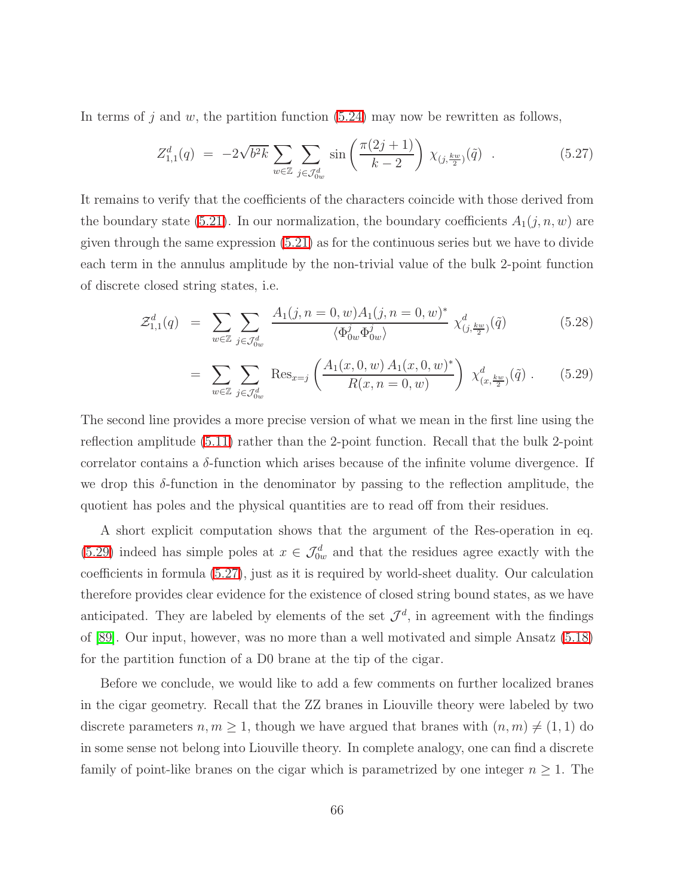<span id="page-66-1"></span>In terms of j and w, the partition function  $(5.24)$  may now be rewritten as follows,

$$
Z_{1,1}^d(q) = -2\sqrt{b^2k} \sum_{w \in \mathbb{Z}} \sum_{j \in \mathcal{J}_{0w}^d} \sin\left(\frac{\pi(2j+1)}{k-2}\right) \chi_{(j,\frac{kw}{2})}(\tilde{q}) \quad . \tag{5.27}
$$

It remains to verify that the coefficients of the characters coincide with those derived from the boundary state [\(5.21\)](#page-64-0). In our normalization, the boundary coefficients  $A_1(j, n, w)$  are given through the same expression [\(5.21\)](#page-64-0) as for the continuous series but we have to divide each term in the annulus amplitude by the non-trivial value of the bulk 2-point function of discrete closed string states, i.e.

<span id="page-66-0"></span>
$$
\mathcal{Z}_{1,1}^d(q) = \sum_{w \in \mathbb{Z}} \sum_{j \in \mathcal{J}_{0w}^d} \frac{A_1(j, n = 0, w) A_1(j, n = 0, w)^*}{\langle \Phi_{0w}^j \Phi_{0w}^j \rangle} \chi_{(j, \frac{kw}{2})}^d(\tilde{q}) \tag{5.28}
$$

$$
= \sum_{w \in \mathbb{Z}} \sum_{j \in \mathcal{J}_{ow}^d} \text{Res}_{x=j} \left( \frac{A_1(x, 0, w) A_1(x, 0, w)^*}{R(x, n = 0, w)} \right) \chi_{(x, \frac{kw}{2})}^d(\tilde{q}) . \tag{5.29}
$$

The second line provides a more precise version of what we mean in the first line using the reflection amplitude [\(5.11\)](#page-56-1) rather than the 2-point function. Recall that the bulk 2-point correlator contains a  $\delta$ -function which arises because of the infinite volume divergence. If we drop this  $\delta$ -function in the denominator by passing to the reflection amplitude, the quotient has poles and the physical quantities are to read off from their residues.

A short explicit computation shows that the argument of the Res-operation in eq. [\(5.29\)](#page-66-0) indeed has simple poles at  $x \in \mathcal{J}_{0w}^d$  and that the residues agree exactly with the coefficients in formula [\(5.27\)](#page-66-1), just as it is required by world-sheet duality. Our calculation therefore provides clear evidence for the existence of closed string bound states, as we have anticipated. They are labeled by elements of the set  $\mathcal{J}^d$ , in agreement with the findings of [\[89\]](#page-84-2). Our input, however, was no more than a well motivated and simple Ansatz [\(5.18\)](#page-62-0) for the partition function of a D0 brane at the tip of the cigar.

Before we conclude, we would like to add a few comments on further localized branes in the cigar geometry. Recall that the ZZ branes in Liouville theory were labeled by two discrete parameters  $n, m \geq 1$ , though we have argued that branes with  $(n, m) \neq (1, 1)$  do in some sense not belong into Liouville theory. In complete analogy, one can find a discrete family of point-like branes on the cigar which is parametrized by one integer  $n \geq 1$ . The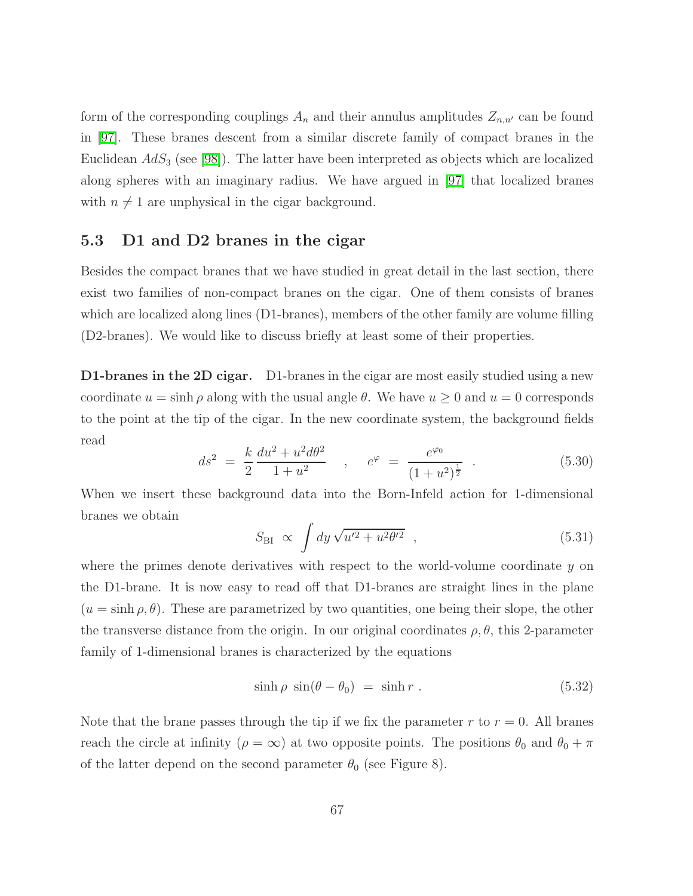form of the corresponding couplings  $A_n$  and their annulus amplitudes  $Z_{n,n'}$  can be found in [\[97\]](#page-84-10). These branes descent from a similar discrete family of compact branes in the Euclidean  $AdS_3$  (see [\[98\]](#page-84-11)). The latter have been interpreted as objects which are localized along spheres with an imaginary radius. We have argued in [\[97\]](#page-84-10) that localized branes with  $n \neq 1$  are unphysical in the cigar background.

#### 5.3 D1 and D2 branes in the cigar

Besides the compact branes that we have studied in great detail in the last section, there exist two families of non-compact branes on the cigar. One of them consists of branes which are localized along lines (D1-branes), members of the other family are volume filling (D2-branes). We would like to discuss briefly at least some of their properties.

**D1-branes in the 2D cigar.** D1-branes in the cigar are most easily studied using a new coordinate  $u = \sinh \rho$  along with the usual angle  $\theta$ . We have  $u \geq 0$  and  $u = 0$  corresponds to the point at the tip of the cigar. In the new coordinate system, the background fields read

$$
ds^{2} = \frac{k}{2} \frac{du^{2} + u^{2} d\theta^{2}}{1 + u^{2}} , \quad e^{\varphi} = \frac{e^{\varphi_{0}}}{(1 + u^{2})^{\frac{1}{2}} } . \tag{5.30}
$$

When we insert these background data into the Born-Infeld action for 1-dimensional branes we obtain

$$
S_{\rm BI} \propto \int dy \sqrt{u'^2 + u^2 \theta'^2} \quad , \tag{5.31}
$$

where the primes denote derivatives with respect to the world-volume coordinate  $y$  on the D1-brane. It is now easy to read off that D1-branes are straight lines in the plane  $(u = \sinh \rho, \theta)$ . These are parametrized by two quantities, one being their slope, the other the transverse distance from the origin. In our original coordinates  $\rho$ ,  $\theta$ , this 2-parameter family of 1-dimensional branes is characterized by the equations

<span id="page-67-0"></span>
$$
\sinh \rho \sin(\theta - \theta_0) = \sinh r . \qquad (5.32)
$$

Note that the brane passes through the tip if we fix the parameter r to  $r = 0$ . All branes reach the circle at infinity ( $\rho = \infty$ ) at two opposite points. The positions  $\theta_0$  and  $\theta_0 + \pi$ of the latter depend on the second parameter  $\theta_0$  (see Figure 8).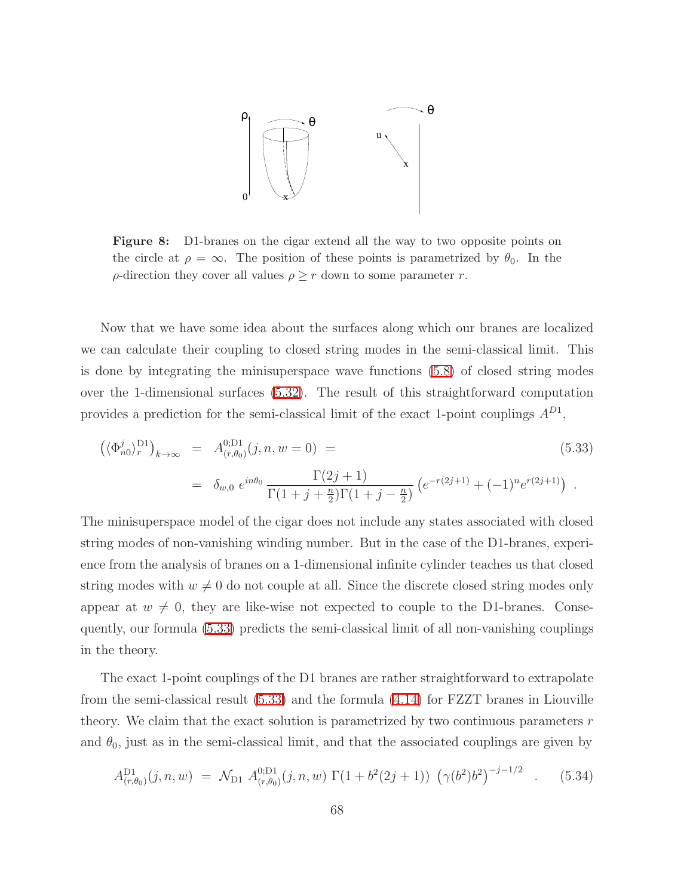

Figure 8: D1-branes on the cigar extend all the way to two opposite points on the circle at  $\rho = \infty$ . The position of these points is parametrized by  $\theta_0$ . In the  $\rho$ -direction they cover all values  $\rho \geq r$  down to some parameter r.

Now that we have some idea about the surfaces along which our branes are localized we can calculate their coupling to closed string modes in the semi-classical limit. This is done by integrating the minisuperspace wave functions [\(5.8\)](#page-55-0) of closed string modes over the 1-dimensional surfaces [\(5.32\)](#page-67-0). The result of this straightforward computation provides a prediction for the semi-classical limit of the exact 1-point couplings  $A^{D1}$ ,

<span id="page-68-0"></span>
$$
\left(\langle \Phi_{n0}^{j}\rangle_{r}^{\text{D1}}\right)_{k\to\infty} = A_{(r,\theta_{0})}^{0;\text{D1}}(j,n,w=0) =
$$
\n
$$
= \delta_{w,0} e^{in\theta_{0}} \frac{\Gamma(2j+1)}{\Gamma(1+j+\frac{n}{2})\Gamma(1+j-\frac{n}{2})} \left(e^{-r(2j+1)} + (-1)^{n}e^{r(2j+1)}\right).
$$
\n(5.33)

The minisuperspace model of the cigar does not include any states associated with closed string modes of non-vanishing winding number. But in the case of the D1-branes, experience from the analysis of branes on a 1-dimensional infinite cylinder teaches us that closed string modes with  $w \neq 0$  do not couple at all. Since the discrete closed string modes only appear at  $w \neq 0$ , they are like-wise not expected to couple to the D1-branes. Consequently, our formula [\(5.33\)](#page-68-0) predicts the semi-classical limit of all non-vanishing couplings in the theory.

The exact 1-point couplings of the D1 branes are rather straightforward to extrapolate from the semi-classical result [\(5.33\)](#page-68-0) and the formula [\(4.14\)](#page-45-1) for FZZT branes in Liouville theory. We claim that the exact solution is parametrized by two continuous parameters  $r$ and  $\theta_0$ , just as in the semi-classical limit, and that the associated couplings are given by

$$
A_{(r,\theta_0)}^{\text{D1}}(j,n,w) = \mathcal{N}_{\text{D1}} A_{(r,\theta_0)}^{\text{D1}}(j,n,w) \Gamma(1+b^2(2j+1)) \left(\gamma(b^2)b^2\right)^{-j-1/2} \quad . \tag{5.34}
$$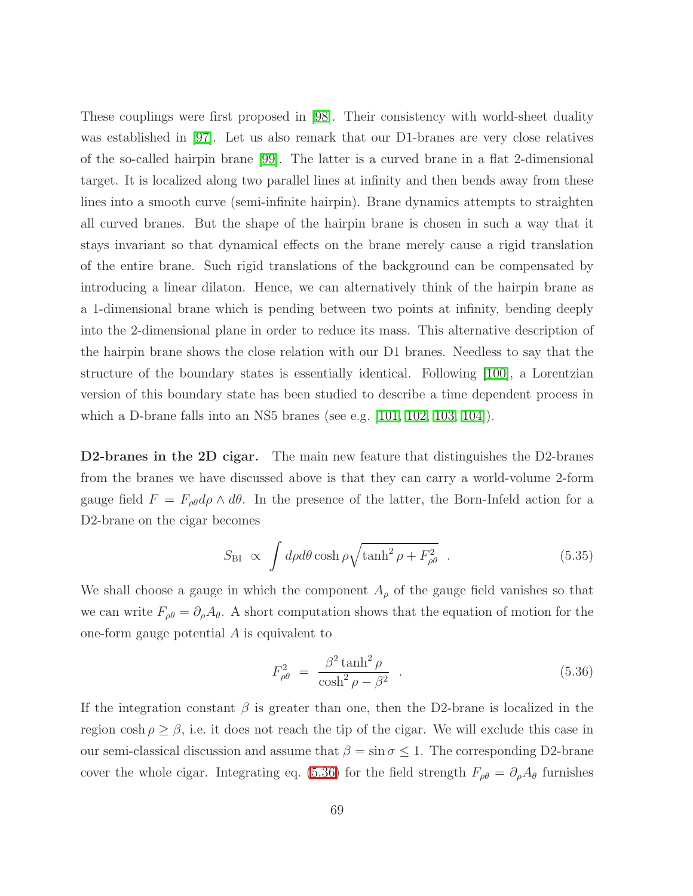These couplings were first proposed in [\[98\]](#page-84-11). Their consistency with world-sheet duality was established in [\[97\]](#page-84-10). Let us also remark that our D1-branes are very close relatives of the so-called hairpin brane [\[99\]](#page-84-12). The latter is a curved brane in a flat 2-dimensional target. It is localized along two parallel lines at infinity and then bends away from these lines into a smooth curve (semi-infinite hairpin). Brane dynamics attempts to straighten all curved branes. But the shape of the hairpin brane is chosen in such a way that it stays invariant so that dynamical effects on the brane merely cause a rigid translation of the entire brane. Such rigid translations of the background can be compensated by introducing a linear dilaton. Hence, we can alternatively think of the hairpin brane as a 1-dimensional brane which is pending between two points at infinity, bending deeply into the 2-dimensional plane in order to reduce its mass. This alternative description of the hairpin brane shows the close relation with our D1 branes. Needless to say that the structure of the boundary states is essentially identical. Following [\[100\]](#page-84-13), a Lorentzian version of this boundary state has been studied to describe a time dependent process in which a D-brane falls into an NS5 branes (see e.g. [\[101,](#page-84-14) [102,](#page-85-0) [103,](#page-85-1) [104\]](#page-85-2)).

D2-branes in the 2D cigar. The main new feature that distinguishes the D2-branes from the branes we have discussed above is that they can carry a world-volume 2-form gauge field  $F = F_{\rho\theta} d\rho \wedge d\theta$ . In the presence of the latter, the Born-Infeld action for a D2-brane on the cigar becomes

$$
S_{\rm BI} \propto \int d\rho d\theta \cosh\rho \sqrt{\tanh^2\rho + F_{\rho\theta}^2} \quad . \tag{5.35}
$$

We shall choose a gauge in which the component  $A_{\rho}$  of the gauge field vanishes so that we can write  $F_{\rho\theta} = \partial_{\rho}A_{\theta}$ . A short computation shows that the equation of motion for the one-form gauge potential A is equivalent to

<span id="page-69-0"></span>
$$
F_{\rho\theta}^2 = \frac{\beta^2 \tanh^2 \rho}{\cosh^2 \rho - \beta^2} \quad . \tag{5.36}
$$

If the integration constant  $\beta$  is greater than one, then the D2-brane is localized in the region  $\cosh \rho \geq \beta$ , i.e. it does not reach the tip of the cigar. We will exclude this case in our semi-classical discussion and assume that  $\beta = \sin \sigma \leq 1$ . The corresponding D2-brane cover the whole cigar. Integrating eq. [\(5.36\)](#page-69-0) for the field strength  $F_{\rho\theta} = \partial_{\rho}A_{\theta}$  furnishes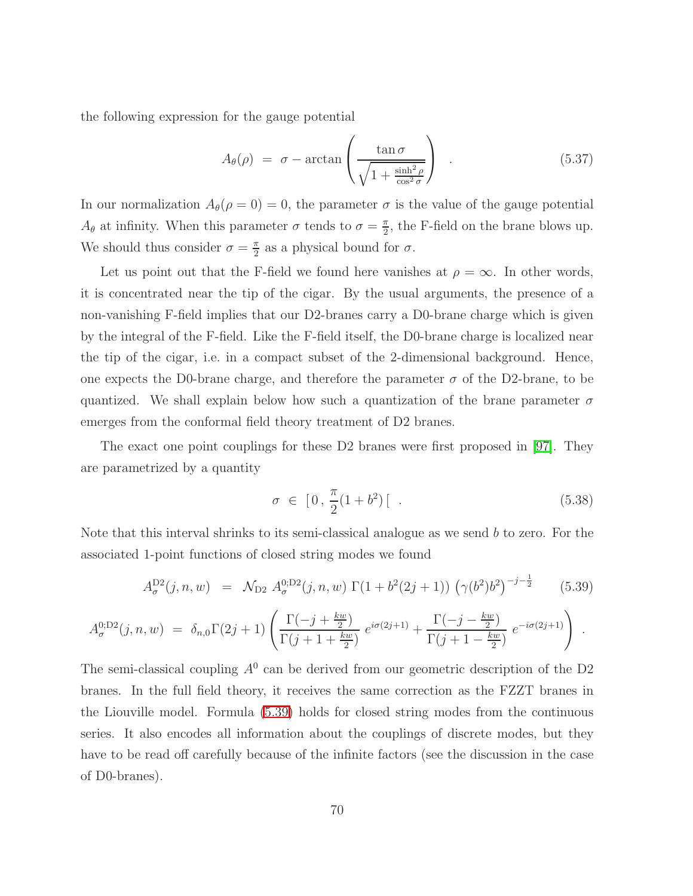the following expression for the gauge potential

$$
A_{\theta}(\rho) = \sigma - \arctan\left(\frac{\tan \sigma}{\sqrt{1 + \frac{\sinh^2 \rho}{\cos^2 \sigma}}}\right) \quad . \tag{5.37}
$$

In our normalization  $A_{\theta}(\rho = 0) = 0$ , the parameter  $\sigma$  is the value of the gauge potential  $A_{\theta}$  at infinity. When this parameter  $\sigma$  tends to  $\sigma = \frac{\pi}{2}$  $\frac{\pi}{2}$ , the F-field on the brane blows up. We should thus consider  $\sigma = \frac{\pi}{2}$  $\frac{\pi}{2}$  as a physical bound for  $\sigma$ .

Let us point out that the F-field we found here vanishes at  $\rho = \infty$ . In other words, it is concentrated near the tip of the cigar. By the usual arguments, the presence of a non-vanishing F-field implies that our D2-branes carry a D0-brane charge which is given by the integral of the F-field. Like the F-field itself, the D0-brane charge is localized near the tip of the cigar, i.e. in a compact subset of the 2-dimensional background. Hence, one expects the D0-brane charge, and therefore the parameter  $\sigma$  of the D2-brane, to be quantized. We shall explain below how such a quantization of the brane parameter  $\sigma$ emerges from the conformal field theory treatment of D2 branes.

The exact one point couplings for these D2 branes were first proposed in [\[97\]](#page-84-10). They are parametrized by a quantity

$$
\sigma \in [0, \frac{\pi}{2}(1+b^2) [.
$$
 (5.38)

Note that this interval shrinks to its semi-classical analogue as we send  $b$  to zero. For the associated 1-point functions of closed string modes we found

$$
A_{\sigma}^{\text{D2}}(j,n,w) = \mathcal{N}_{\text{D2}} A_{\sigma}^{0,\text{D2}}(j,n,w) \Gamma(1+b^2(2j+1)) \left(\gamma(b^2)b^2\right)^{-j-\frac{1}{2}} \tag{5.39}
$$

<span id="page-70-0"></span>
$$
A_{\sigma}^{0;\text{D2}}(j,n,w) = \delta_{n,0}\Gamma(2j+1)\left(\frac{\Gamma(-j+\frac{kw}{2})}{\Gamma(j+1+\frac{kw}{2})}e^{i\sigma(2j+1)} + \frac{\Gamma(-j-\frac{kw}{2})}{\Gamma(j+1-\frac{kw}{2})}e^{-i\sigma(2j+1)}\right).
$$

The semi-classical coupling  $A^0$  can be derived from our geometric description of the D2 branes. In the full field theory, it receives the same correction as the FZZT branes in the Liouville model. Formula [\(5.39\)](#page-70-0) holds for closed string modes from the continuous series. It also encodes all information about the couplings of discrete modes, but they have to be read off carefully because of the infinite factors (see the discussion in the case of D0-branes).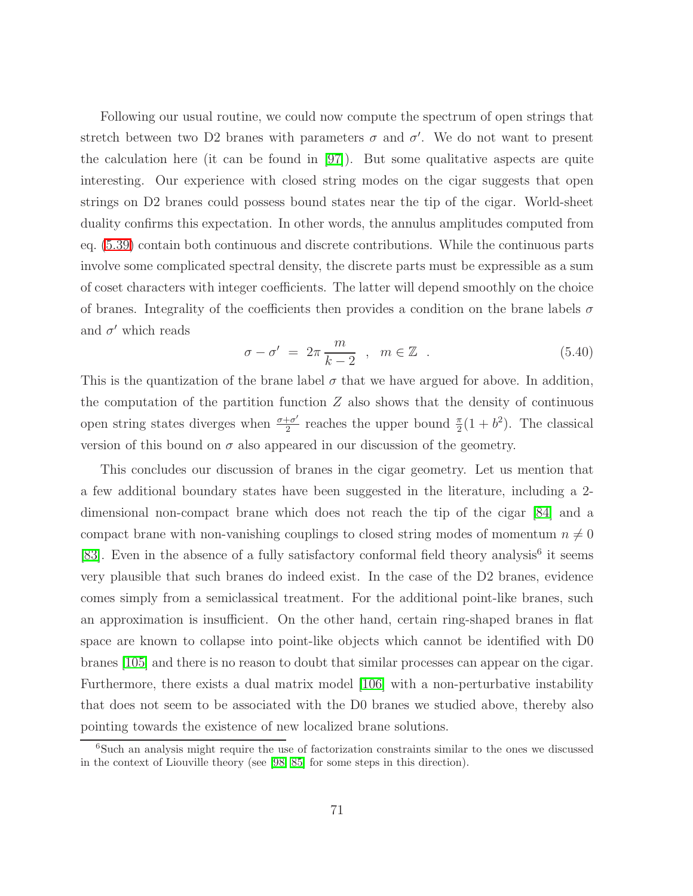Following our usual routine, we could now compute the spectrum of open strings that stretch between two D2 branes with parameters  $\sigma$  and  $\sigma'$ . We do not want to present the calculation here (it can be found in [\[97\]](#page-84-10)). But some qualitative aspects are quite interesting. Our experience with closed string modes on the cigar suggests that open strings on D2 branes could possess bound states near the tip of the cigar. World-sheet duality confirms this expectation. In other words, the annulus amplitudes computed from eq. [\(5.39\)](#page-70-0) contain both continuous and discrete contributions. While the continuous parts involve some complicated spectral density, the discrete parts must be expressible as a sum of coset characters with integer coefficients. The latter will depend smoothly on the choice of branes. Integrality of the coefficients then provides a condition on the brane labels  $\sigma$ and  $\sigma'$  which reads

$$
\sigma - \sigma' = 2\pi \frac{m}{k - 2} , \quad m \in \mathbb{Z} . \tag{5.40}
$$

This is the quantization of the brane label  $\sigma$  that we have argued for above. In addition, the computation of the partition function  $Z$  also shows that the density of continuous open string states diverges when  $\frac{\sigma + \sigma'}{2}$  $\frac{1-\sigma'}{2}$  reaches the upper bound  $\frac{\pi}{2}(1+b^2)$ . The classical version of this bound on  $\sigma$  also appeared in our discussion of the geometry.

This concludes our discussion of branes in the cigar geometry. Let us mention that a few additional boundary states have been suggested in the literature, including a 2 dimensional non-compact brane which does not reach the tip of the cigar [\[84\]](#page-83-7) and a compact brane with non-vanishing couplings to closed string modes of momentum  $n \neq 0$ [\[83\]](#page-83-8). Even in the absence of a fully satisfactory conformal field theory analysis<sup>6</sup> it seems very plausible that such branes do indeed exist. In the case of the D2 branes, evidence comes simply from a semiclassical treatment. For the additional point-like branes, such an approximation is insufficient. On the other hand, certain ring-shaped branes in flat space are known to collapse into point-like objects which cannot be identified with D0 branes [\[105\]](#page-85-3) and there is no reason to doubt that similar processes can appear on the cigar. Furthermore, there exists a dual matrix model [\[106\]](#page-85-4) with a non-perturbative instability that does not seem to be associated with the D0 branes we studied above, thereby also pointing towards the existence of new localized brane solutions.

<sup>&</sup>lt;sup>6</sup>Such an analysis might require the use of factorization constraints similar to the ones we discussed in the context of Liouville theory (see [\[98,](#page-84-11) [85\]](#page-83-9) for some steps in this direction).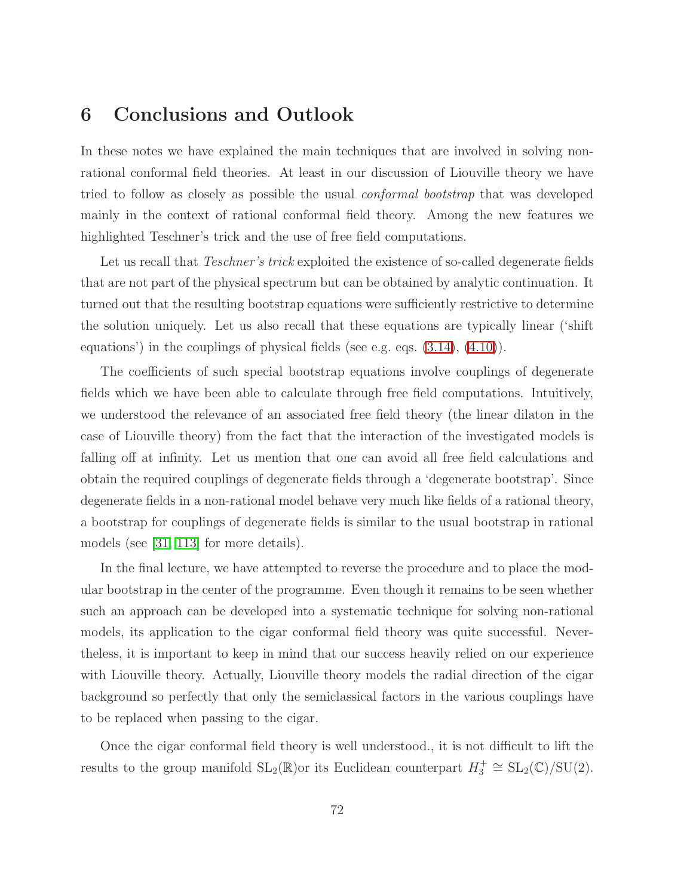## 6 Conclusions and Outlook

In these notes we have explained the main techniques that are involved in solving nonrational conformal field theories. At least in our discussion of Liouville theory we have tried to follow as closely as possible the usual conformal bootstrap that was developed mainly in the context of rational conformal field theory. Among the new features we highlighted Teschner's trick and the use of free field computations.

Let us recall that *Teschner's trick* exploited the existence of so-called degenerate fields that are not part of the physical spectrum but can be obtained by analytic continuation. It turned out that the resulting bootstrap equations were sufficiently restrictive to determine the solution uniquely. Let us also recall that these equations are typically linear ('shift equations') in the couplings of physical fields (see e.g. eqs. [\(3.14\)](#page-33-0), [\(4.10\)](#page-44-0)).

The coefficients of such special bootstrap equations involve couplings of degenerate fields which we have been able to calculate through free field computations. Intuitively, we understood the relevance of an associated free field theory (the linear dilaton in the case of Liouville theory) from the fact that the interaction of the investigated models is falling off at infinity. Let us mention that one can avoid all free field calculations and obtain the required couplings of degenerate fields through a 'degenerate bootstrap'. Since degenerate fields in a non-rational model behave very much like fields of a rational theory, a bootstrap for couplings of degenerate fields is similar to the usual bootstrap in rational models (see [\[31,](#page-80-0) [113\]](#page-85-0) for more details).

In the final lecture, we have attempted to reverse the procedure and to place the modular bootstrap in the center of the programme. Even though it remains to be seen whether such an approach can be developed into a systematic technique for solving non-rational models, its application to the cigar conformal field theory was quite successful. Nevertheless, it is important to keep in mind that our success heavily relied on our experience with Liouville theory. Actually, Liouville theory models the radial direction of the cigar background so perfectly that only the semiclassical factors in the various couplings have to be replaced when passing to the cigar.

Once the cigar conformal field theory is well understood., it is not difficult to lift the results to the group manifold  $SL_2(\mathbb{R})$ or its Euclidean counterpart  $H_3^+ \cong SL_2(\mathbb{C})/SU(2)$ .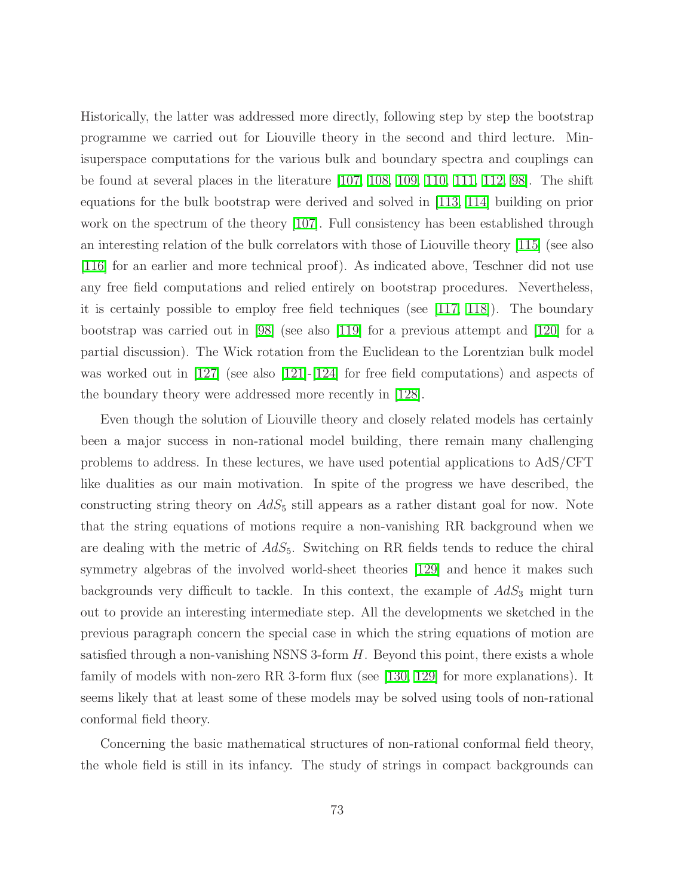Historically, the latter was addressed more directly, following step by step the bootstrap programme we carried out for Liouville theory in the second and third lecture. Minisuperspace computations for the various bulk and boundary spectra and couplings can be found at several places in the literature [\[107,](#page-85-1) [108,](#page-85-2) [109,](#page-85-3) [110,](#page-85-4) [111,](#page-85-5) [112,](#page-85-6) [98\]](#page-84-0). The shift equations for the bulk bootstrap were derived and solved in [\[113,](#page-85-0) [114\]](#page-85-7) building on prior work on the spectrum of the theory [\[107\]](#page-85-1). Full consistency has been established through an interesting relation of the bulk correlators with those of Liouville theory [\[115\]](#page-85-8) (see also [\[116\]](#page-85-9) for an earlier and more technical proof). As indicated above, Teschner did not use any free field computations and relied entirely on bootstrap procedures. Nevertheless, it is certainly possible to employ free field techniques (see [\[117,](#page-86-0) [118\]](#page-86-1)). The boundary bootstrap was carried out in [\[98\]](#page-84-0) (see also [\[119\]](#page-86-2) for a previous attempt and [\[120\]](#page-86-3) for a partial discussion). The Wick rotation from the Euclidean to the Lorentzian bulk model was worked out in [\[127\]](#page-86-4) (see also [\[121\]](#page-86-5)-[\[124\]](#page-86-6) for free field computations) and aspects of the boundary theory were addressed more recently in [\[128\]](#page-86-7).

Even though the solution of Liouville theory and closely related models has certainly been a major success in non-rational model building, there remain many challenging problems to address. In these lectures, we have used potential applications to AdS/CFT like dualities as our main motivation. In spite of the progress we have described, the constructing string theory on  $AdS_5$  still appears as a rather distant goal for now. Note that the string equations of motions require a non-vanishing RR background when we are dealing with the metric of  $AdS_5$ . Switching on RR fields tends to reduce the chiral symmetry algebras of the involved world-sheet theories [\[129\]](#page-86-8) and hence it makes such backgrounds very difficult to tackle. In this context, the example of  $AdS_3$  might turn out to provide an interesting intermediate step. All the developments we sketched in the previous paragraph concern the special case in which the string equations of motion are satisfied through a non-vanishing NSNS 3-form  $H$ . Beyond this point, there exists a whole family of models with non-zero RR 3-form flux (see [\[130,](#page-86-9) [129\]](#page-86-8) for more explanations). It seems likely that at least some of these models may be solved using tools of non-rational conformal field theory.

Concerning the basic mathematical structures of non-rational conformal field theory, the whole field is still in its infancy. The study of strings in compact backgrounds can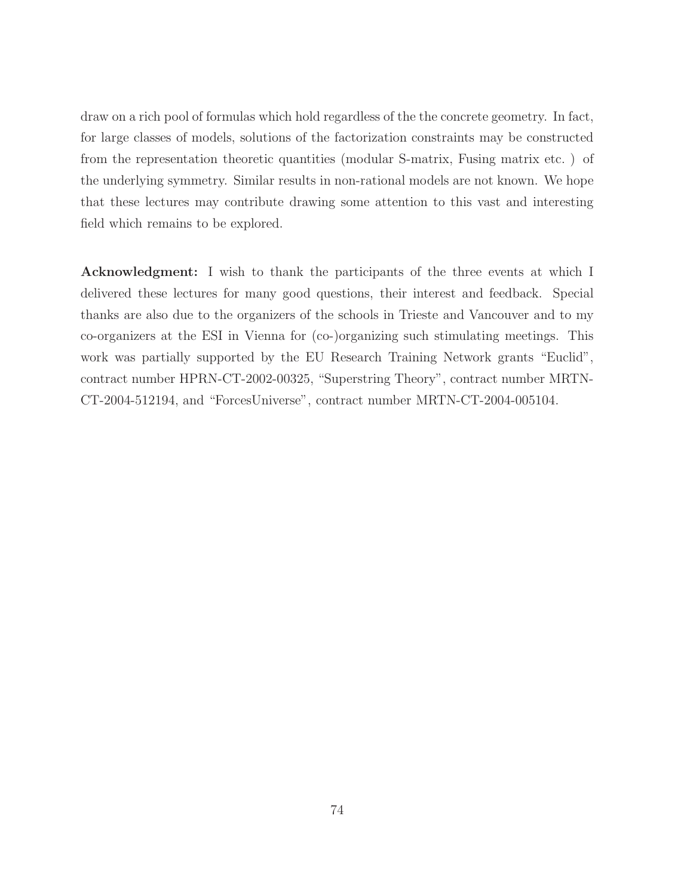draw on a rich pool of formulas which hold regardless of the the concrete geometry. In fact, for large classes of models, solutions of the factorization constraints may be constructed from the representation theoretic quantities (modular S-matrix, Fusing matrix etc. ) of the underlying symmetry. Similar results in non-rational models are not known. We hope that these lectures may contribute drawing some attention to this vast and interesting field which remains to be explored.

Acknowledgment: I wish to thank the participants of the three events at which I delivered these lectures for many good questions, their interest and feedback. Special thanks are also due to the organizers of the schools in Trieste and Vancouver and to my co-organizers at the ESI in Vienna for (co-)organizing such stimulating meetings. This work was partially supported by the EU Research Training Network grants "Euclid", contract number HPRN-CT-2002-00325, "Superstring Theory", contract number MRTN-CT-2004-512194, and "ForcesUniverse", contract number MRTN-CT-2004-005104.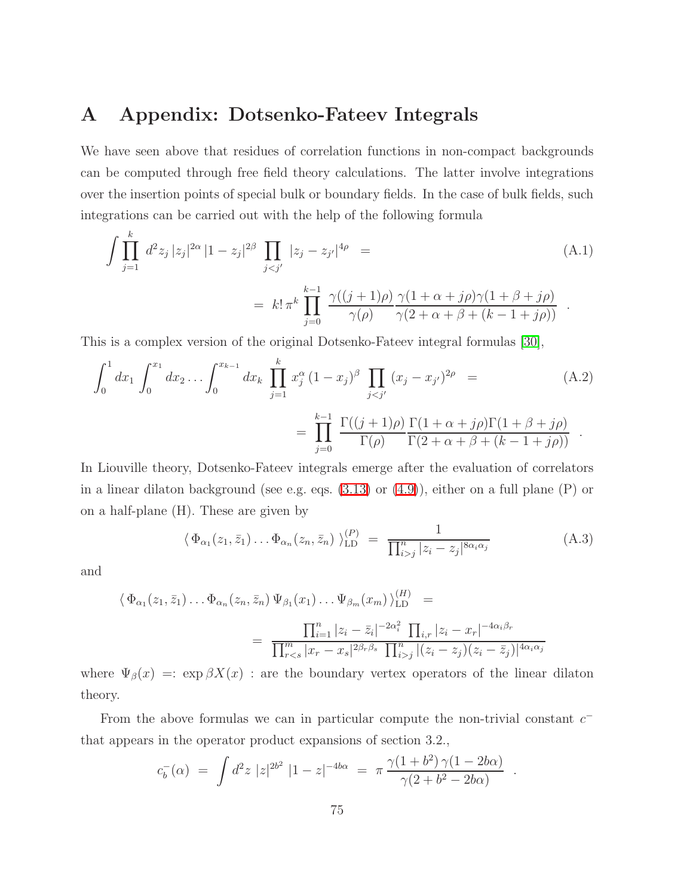## A Appendix: Dotsenko-Fateev Integrals

We have seen above that residues of correlation functions in non-compact backgrounds can be computed through free field theory calculations. The latter involve integrations over the insertion points of special bulk or boundary fields. In the case of bulk fields, such integrations can be carried out with the help of the following formula

$$
\int \prod_{j=1}^{k} d^{2}z_{j} |z_{j}|^{2\alpha} |1-z_{j}|^{2\beta} \prod_{j\n
$$
= k! \pi^{k} \prod_{j=0}^{k-1} \frac{\gamma((j+1)\rho)}{\gamma(\rho)} \frac{\gamma(1+\alpha+j\rho)\gamma(1+\beta+j\rho)}{\gamma(2+\alpha+\beta+(k-1+j\rho))}.
$$
\n(A.1)
$$

This is a complex version of the original Dotsenko-Fateev integral formulas [\[30\]](#page-80-1),

$$
\int_0^1 dx_1 \int_0^{x_1} dx_2 \dots \int_0^{x_{k-1}} dx_k \prod_{j=1}^k x_j^{\alpha} (1 - x_j)^{\beta} \prod_{j < j'} (x_j - x_{j'})^{2\rho} = \prod_{j=0}^{k-1} \frac{\Gamma((j+1)\rho)}{\Gamma(\rho)} \frac{\Gamma(1 + \alpha + j\rho)\Gamma(1 + \beta + j\rho)}{\Gamma(2 + \alpha + \beta + (k - 1 + j\rho))}.
$$
\n(A.2)

In Liouville theory, Dotsenko-Fateev integrals emerge after the evaluation of correlators in a linear dilaton background (see e.g. eqs. [\(3.13\)](#page-32-0) or [\(4.9\)](#page-44-1)), either on a full plane (P) or on a half-plane (H). These are given by

$$
\langle \Phi_{\alpha_1}(z_1, \bar{z}_1) \dots \Phi_{\alpha_n}(z_n, \bar{z}_n) \rangle_{\text{LD}}^{(P)} = \frac{1}{\prod_{i>j}^n |z_i - z_j|^{8\alpha_i \alpha_j}} \tag{A.3}
$$

and

$$
\langle \Phi_{\alpha_1}(z_1, \bar{z}_1) \dots \Phi_{\alpha_n}(z_n, \bar{z}_n) \Psi_{\beta_1}(x_1) \dots \Psi_{\beta_m}(x_m) \rangle_{\text{LD}}^{(H)} =
$$
  
= 
$$
\frac{\prod_{i=1}^n |z_i - \bar{z}_i|^{-2\alpha_i^2} \prod_{i,r} |z_i - x_r|^{-4\alpha_i \beta_r}}{\prod_{rj}^n |(z_i - z_j)(z_i - \bar{z}_j)|^{4\alpha_i \alpha_j}}
$$

where  $\Psi_{\beta}(x) = \exp \beta X(x)$ : are the boundary vertex operators of the linear dilaton theory.

From the above formulas we can in particular compute the non-trivial constant  $c^$ that appears in the operator product expansions of section 3.2.,

$$
c_b^-(\alpha) = \int d^2z \; |z|^{2b^2} \; |1-z|^{-4b\alpha} = \pi \frac{\gamma(1+b^2)\,\gamma(1-2b\alpha)}{\gamma(2+b^2-2b\alpha)} \; .
$$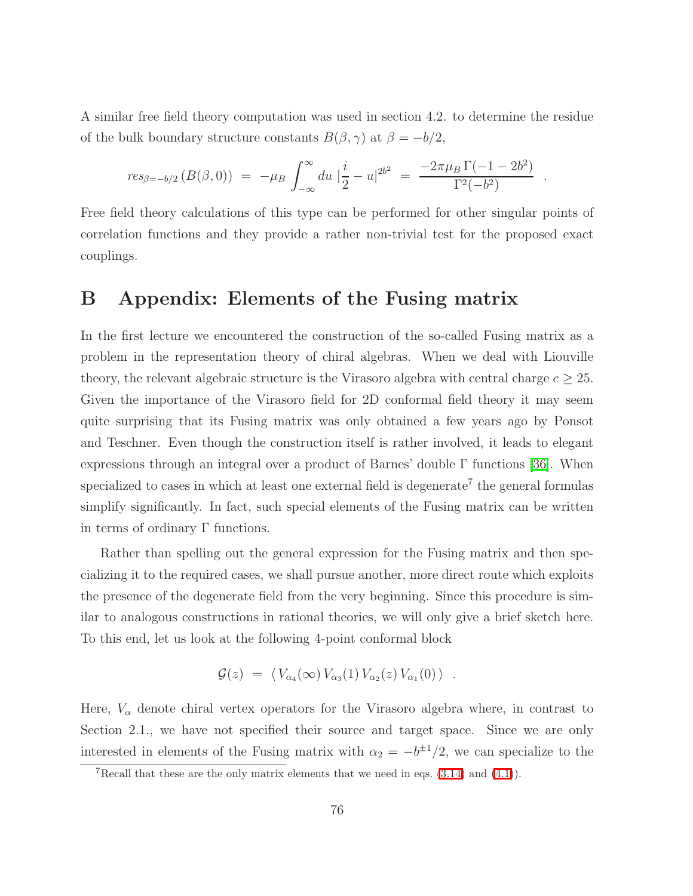A similar free field theory computation was used in section 4.2. to determine the residue of the bulk boundary structure constants  $B(\beta, \gamma)$  at  $\beta = -b/2$ ,

$$
res_{\beta=-b/2} (B(\beta,0)) = -\mu_B \int_{-\infty}^{\infty} du \mid \frac{i}{2} - u \mid^{2b^2} = \frac{-2\pi\mu_B \Gamma(-1 - 2b^2)}{\Gamma^2(-b^2)}
$$

.

Free field theory calculations of this type can be performed for other singular points of correlation functions and they provide a rather non-trivial test for the proposed exact couplings.

## B Appendix: Elements of the Fusing matrix

In the first lecture we encountered the construction of the so-called Fusing matrix as a problem in the representation theory of chiral algebras. When we deal with Liouville theory, the relevant algebraic structure is the Virasoro algebra with central charge  $c \geq 25$ . Given the importance of the Virasoro field for 2D conformal field theory it may seem quite surprising that its Fusing matrix was only obtained a few years ago by Ponsot and Teschner. Even though the construction itself is rather involved, it leads to elegant expressions through an integral over a product of Barnes' double  $\Gamma$  functions [\[36\]](#page-80-2). When specialized to cases in which at least one external field is degenerate<sup>7</sup> the general formulas simplify significantly. In fact, such special elements of the Fusing matrix can be written in terms of ordinary Γ functions.

Rather than spelling out the general expression for the Fusing matrix and then specializing it to the required cases, we shall pursue another, more direct route which exploits the presence of the degenerate field from the very beginning. Since this procedure is similar to analogous constructions in rational theories, we will only give a brief sketch here. To this end, let us look at the following 4-point conformal block

$$
\mathcal{G}(z) = \langle V_{\alpha_4}(\infty) V_{\alpha_3}(1) V_{\alpha_2}(z) V_{\alpha_1}(0) \rangle .
$$

Here,  $V_{\alpha}$  denote chiral vertex operators for the Virasoro algebra where, in contrast to Section 2.1., we have not specified their source and target space. Since we are only interested in elements of the Fusing matrix with  $\alpha_2 = -b^{\pm 1}/2$ , we can specialize to the

<sup>&</sup>lt;sup>7</sup>Recall that these are the only matrix elements that we need in eqs.  $(3.14)$  and  $(4.1)$ ).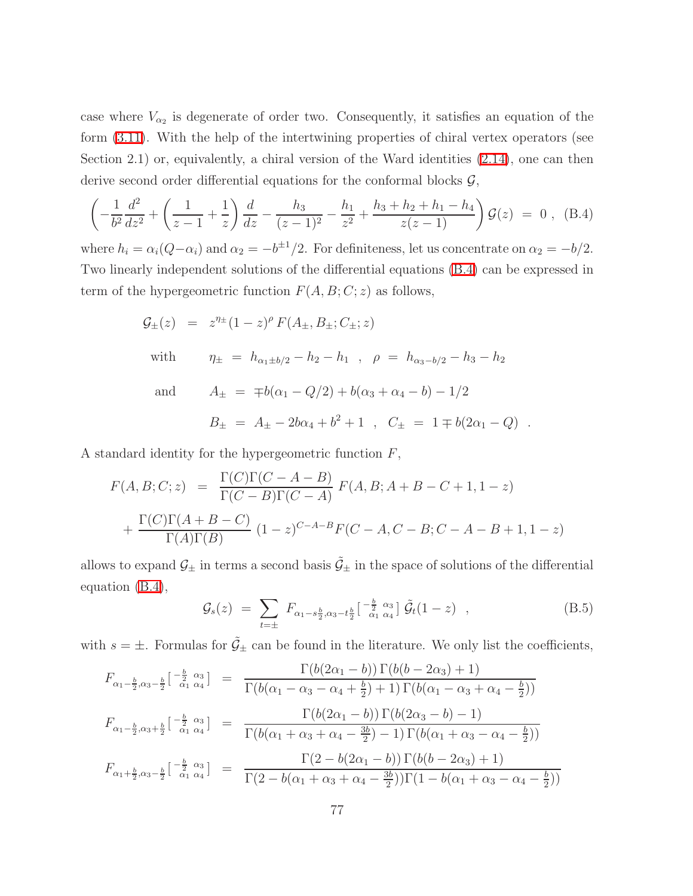case where  $V_{\alpha_2}$  is degenerate of order two. Consequently, it satisfies an equation of the form [\(3.11\)](#page-31-0). With the help of the intertwining properties of chiral vertex operators (see Section 2.1) or, equivalently, a chiral version of the Ward identities [\(2.14\)](#page-15-0), one can then derive second order differential equations for the conformal blocks  $\mathcal{G}$ ,

<span id="page-77-0"></span>
$$
\left(-\frac{1}{b^2}\frac{d^2}{dz^2} + \left(\frac{1}{z-1} + \frac{1}{z}\right)\frac{d}{dz} - \frac{h_3}{(z-1)^2} - \frac{h_1}{z^2} + \frac{h_3 + h_2 + h_1 - h_4}{z(z-1)}\right)\mathcal{G}(z) = 0, \quad (B.4)
$$

where  $h_i = \alpha_i(Q - \alpha_i)$  and  $\alpha_2 = -b^{\pm 1}/2$ . For definiteness, let us concentrate on  $\alpha_2 = -b/2$ . Two linearly independent solutions of the differential equations [\(B.4\)](#page-77-0) can be expressed in term of the hypergeometric function  $F(A, B; C; z)$  as follows,

$$
\mathcal{G}_{\pm}(z) = z^{\eta_{\pm}}(1-z)^{\rho} F(A_{\pm}, B_{\pm}; C_{\pm}; z)
$$
  
with 
$$
\eta_{\pm} = h_{\alpha_1 \pm b/2} - h_2 - h_1 , \quad \rho = h_{\alpha_3 - b/2} - h_3 - h_2
$$
  
and 
$$
A_{\pm} = \mp b(\alpha_1 - Q/2) + b(\alpha_3 + \alpha_4 - b) - 1/2
$$

$$
B_{\pm} = A_{\pm} - 2b\alpha_4 + b^2 + 1 , \quad C_{\pm} = 1 \mp b(2\alpha_1 - Q) .
$$

A standard identity for the hypergeometric function  $F$ ,

$$
F(A, B; C; z) = \frac{\Gamma(C)\Gamma(C - A - B)}{\Gamma(C - B)\Gamma(C - A)} F(A, B; A + B - C + 1, 1 - z)
$$
  
+ 
$$
\frac{\Gamma(C)\Gamma(A + B - C)}{\Gamma(A)\Gamma(B)} (1 - z)^{C - A - B} F(C - A, C - B; C - A - B + 1, 1 - z)
$$

allows to expand  $\mathcal{G}_\pm$  in terms a second basis  $\tilde{\mathcal{G}}_\pm$  in the space of solutions of the differential equation [\(B.4\)](#page-77-0),

$$
\mathcal{G}_s(z) = \sum_{t=\pm} F_{\alpha_1 - s\frac{b}{2}, \alpha_3 - t\frac{b}{2}} \left[ \begin{array}{c} -\frac{b}{2} & \alpha_3 \\ \alpha_1 & \alpha_4 \end{array} \right] \tilde{\mathcal{G}}_t (1-z) , \qquad (B.5)
$$

with  $s = \pm$ . Formulas for  $\tilde{G}_{\pm}$  can be found in the literature. We only list the coefficients,

$$
F_{\alpha_1 - \frac{b}{2}, \alpha_3 - \frac{b}{2}} \left[ \frac{-\frac{b}{2}}{\alpha_1} \frac{\alpha_3}{\alpha_4} \right] = \frac{\Gamma(b(2\alpha_1 - b)) \Gamma(b(b - 2\alpha_3) + 1)}{\Gamma(b(\alpha_1 - \alpha_3 - \alpha_4 + \frac{b}{2}) + 1) \Gamma(b(\alpha_1 - \alpha_3 + \alpha_4 - \frac{b}{2}))}
$$
  
\n
$$
F_{\alpha_1 - \frac{b}{2}, \alpha_3 + \frac{b}{2}} \left[ \frac{-\frac{b}{2}}{\alpha_1} \frac{\alpha_3}{\alpha_4} \right] = \frac{\Gamma(b(2\alpha_1 - b)) \Gamma(b(2\alpha_3 - b) - 1)}{\Gamma(b(\alpha_1 + \alpha_3 + \alpha_4 - \frac{3b}{2}) - 1) \Gamma(b(\alpha_1 + \alpha_3 - \alpha_4 - \frac{b}{2}))}
$$
  
\n
$$
F_{\alpha_1 + \frac{b}{2}, \alpha_3 - \frac{b}{2}} \left[ \frac{-\frac{b}{2}}{\alpha_1} \frac{\alpha_3}{\alpha_4} \right] = \frac{\Gamma(2 - b(2\alpha_1 - b)) \Gamma(b(b - 2\alpha_3) + 1)}{\Gamma(2 - b(\alpha_1 + \alpha_3 + \alpha_4 - \frac{3b}{2})) \Gamma(1 - b(\alpha_1 + \alpha_3 - \alpha_4 - \frac{b}{2}))}
$$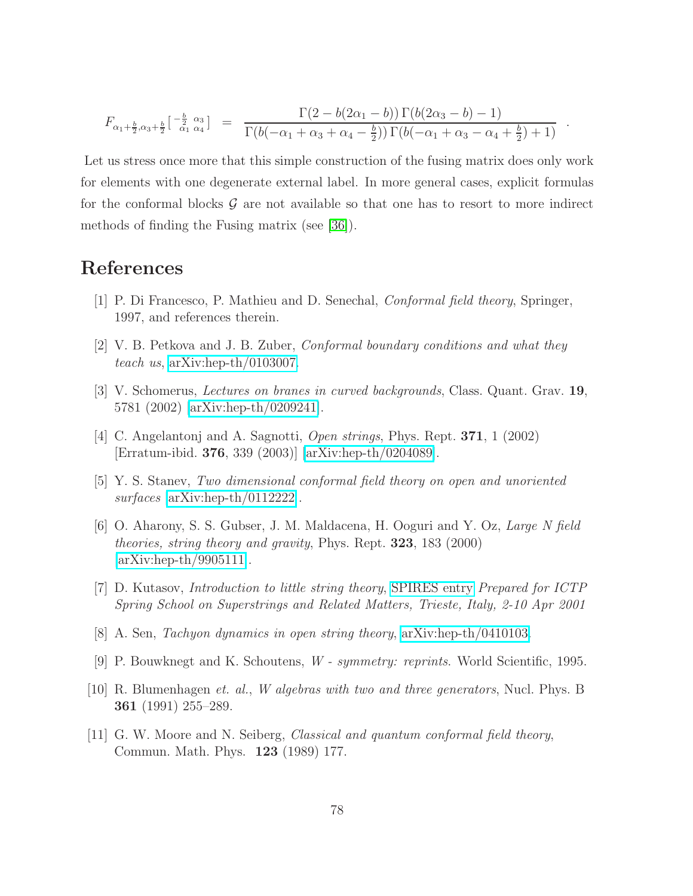$$
F_{\alpha_1 + \frac{b}{2}, \alpha_3 + \frac{b}{2}}\left[\begin{array}{cc} -\frac{b}{2} & \alpha_3 \\ \alpha_1 & \alpha_4 \end{array}\right] = \frac{\Gamma(2 - b(2\alpha_1 - b)) \Gamma(b(2\alpha_3 - b) - 1)}{\Gamma(b(-\alpha_1 + \alpha_3 + \alpha_4 - \frac{b}{2})) \Gamma(b(-\alpha_1 + \alpha_3 - \alpha_4 + \frac{b}{2}) + 1)}.
$$

Let us stress once more that this simple construction of the fusing matrix does only work for elements with one degenerate external label. In more general cases, explicit formulas for the conformal blocks  $\mathcal G$  are not available so that one has to resort to more indirect methods of finding the Fusing matrix (see [\[36\]](#page-80-2)).

## References

- [1] P. Di Francesco, P. Mathieu and D. Senechal, Conformal field theory, Springer, 1997, and references therein.
- [2] V. B. Petkova and J. B. Zuber, Conformal boundary conditions and what they teach us, [arXiv:hep-th/0103007.](http://arxiv.org/abs/hep-th/0103007)
- [3] V. Schomerus, Lectures on branes in curved backgrounds, Class. Quant. Grav. 19, 5781 (2002) [\[arXiv:hep-th/0209241\]](http://arxiv.org/abs/hep-th/0209241).
- [4] C. Angelantonj and A. Sagnotti, Open strings, Phys. Rept. 371, 1 (2002) [Erratum-ibid. 376, 339 (2003)] [\[arXiv:hep-th/0204089\]](http://arxiv.org/abs/hep-th/0204089).
- [5] Y. S. Stanev, Two dimensional conformal field theory on open and unoriented surfaces [\[arXiv:hep-th/0112222\]](http://arxiv.org/abs/hep-th/0112222).
- [6] O. Aharony, S. S. Gubser, J. M. Maldacena, H. Ooguri and Y. Oz, Large N field theories, string theory and gravity, Phys. Rept. 323, 183 (2000) [\[arXiv:hep-th/9905111\]](http://arxiv.org/abs/hep-th/9905111).
- [7] D. Kutasov, Introduction to little string theory, [SPIRES entry](http://www.slac.stanford.edu/spires/find/hep/www?irn=5015588) Prepared for ICTP Spring School on Superstrings and Related Matters, Trieste, Italy, 2-10 Apr 2001
- [8] A. Sen, Tachyon dynamics in open string theory, [arXiv:hep-th/0410103.](http://arxiv.org/abs/hep-th/0410103)
- [9] P. Bouwknegt and K. Schoutens, W symmetry: reprints. World Scientific, 1995.
- [10] R. Blumenhagen et. al., W algebras with two and three generators, Nucl. Phys. B 361 (1991) 255–289.
- [11] G. W. Moore and N. Seiberg, Classical and quantum conformal field theory, Commun. Math. Phys. 123 (1989) 177.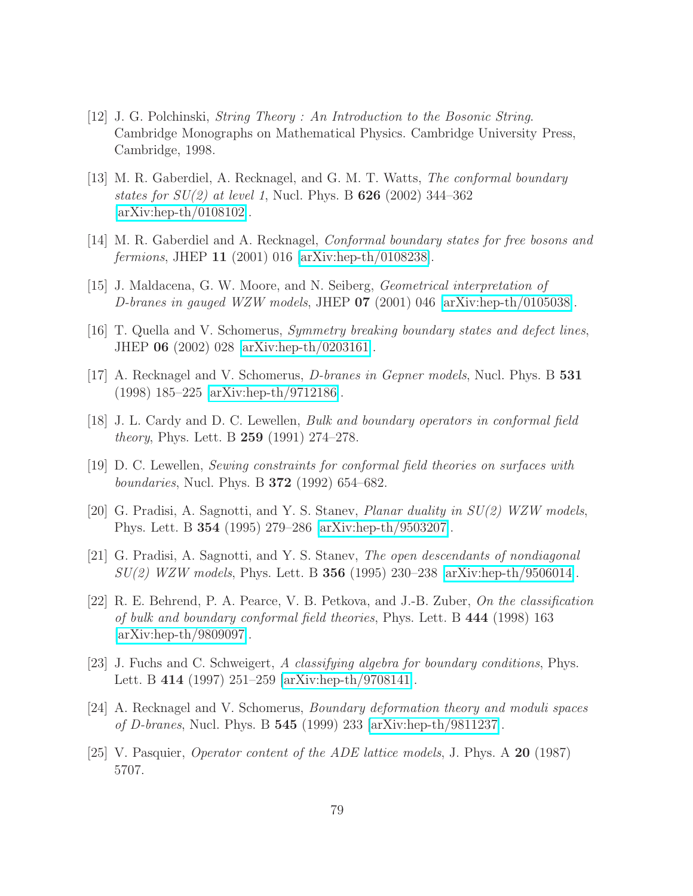- $[12]$  J. G. Polchinski, *String Theory : An Introduction to the Bosonic String.* Cambridge Monographs on Mathematical Physics. Cambridge University Press, Cambridge, 1998.
- [13] M. R. Gaberdiel, A. Recknagel, and G. M. T. Watts, The conformal boundary states for  $SU(2)$  at level 1, Nucl. Phys. B 626 (2002) 344–362 [\[arXiv:hep-th/0108102\]](http://arxiv.org/abs/hep-th/0108102).
- [14] M. R. Gaberdiel and A. Recknagel, Conformal boundary states for free bosons and fermions, JHEP 11 (2001) 016 [\[arXiv:hep-th/0108238\]](http://arxiv.org/abs/hep-th/0108238).
- [15] J. Maldacena, G. W. Moore, and N. Seiberg, Geometrical interpretation of D-branes in gauged WZW models, JHEP  $07$  (2001) 046 [\[arXiv:hep-th/0105038\]](http://arxiv.org/abs/hep-th/0105038).
- [16] T. Quella and V. Schomerus, Symmetry breaking boundary states and defect lines, JHEP 06 (2002) 028 [\[arXiv:hep-th/0203161\]](http://arxiv.org/abs/hep-th/0203161).
- [17] A. Recknagel and V. Schomerus, D-branes in Gepner models, Nucl. Phys. B 531 (1998) 185–225 [\[arXiv:hep-th/9712186\]](http://arxiv.org/abs/hep-th/9712186).
- [18] J. L. Cardy and D. C. Lewellen, Bulk and boundary operators in conformal field theory, Phys. Lett. B 259 (1991) 274–278.
- [19] D. C. Lewellen, Sewing constraints for conformal field theories on surfaces with *boundaries*, Nucl. Phys. B **372** (1992) 654–682.
- [20] G. Pradisi, A. Sagnotti, and Y. S. Stanev, Planar duality in SU(2) WZW models, Phys. Lett. B 354 (1995) 279–286 [\[arXiv:hep-th/9503207\]](http://arxiv.org/abs/hep-th/9503207).
- [21] G. Pradisi, A. Sagnotti, and Y. S. Stanev, The open descendants of nondiagonal SU(2) WZW models, Phys. Lett. B 356 (1995) 230–238 [\[arXiv:hep-th/9506014\]](http://arxiv.org/abs/hep-th/9506014).
- [22] R. E. Behrend, P. A. Pearce, V. B. Petkova, and J.-B. Zuber, On the classification of bulk and boundary conformal field theories, Phys. Lett. B 444 (1998) 163 [\[arXiv:hep-th/9809097\]](http://arxiv.org/abs/hep-th/9809097).
- [23] J. Fuchs and C. Schweigert, A classifying algebra for boundary conditions, Phys. Lett. B 414 (1997) 251–259 [\[arXiv:hep-th/9708141\]](http://arxiv.org/abs/hep-th/9708141).
- [24] A. Recknagel and V. Schomerus, Boundary deformation theory and moduli spaces of D-branes, Nucl. Phys. B 545 (1999) 233 [\[arXiv:hep-th/9811237\]](http://arxiv.org/abs/hep-th/9811237).
- [25] V. Pasquier, Operator content of the ADE lattice models, J. Phys. A 20 (1987) 5707.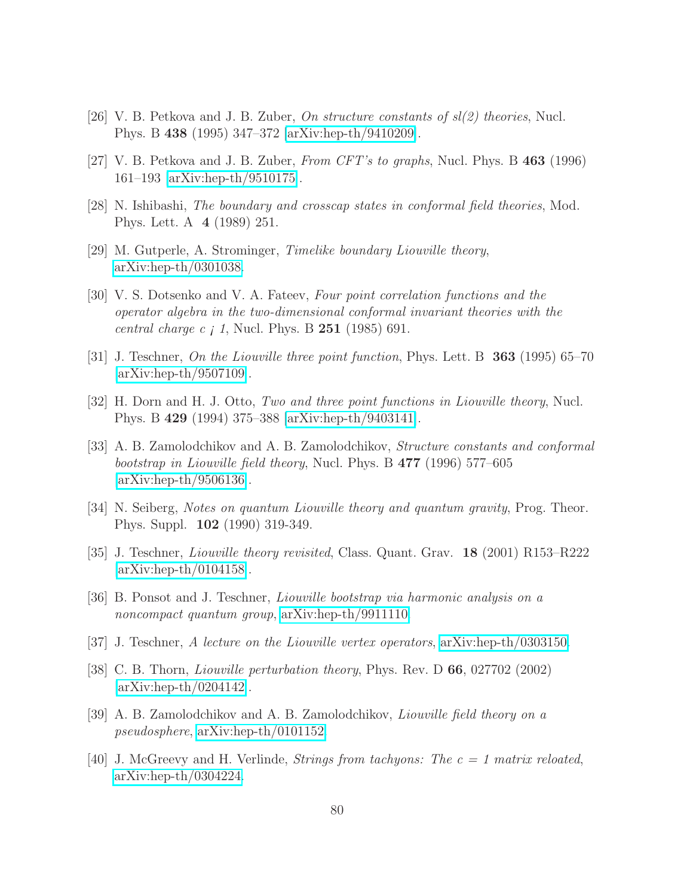- [26] V. B. Petkova and J. B. Zuber, *On structure constants of*  $sl(2)$  *theories*, Nucl. Phys. B 438 (1995) 347–372 [\[arXiv:hep-th/9410209\]](http://arxiv.org/abs/hep-th/9410209).
- [27] V. B. Petkova and J. B. Zuber, From CFT's to graphs, Nucl. Phys. B  $463$  (1996) 161–193 [\[arXiv:hep-th/9510175\]](http://arxiv.org/abs/hep-th/9510175).
- [28] N. Ishibashi, The boundary and crosscap states in conformal field theories, Mod. Phys. Lett. A 4 (1989) 251.
- <span id="page-80-1"></span>[29] M. Gutperle, A. Strominger, Timelike boundary Liouville theory, [arXiv:hep-th/0301038.](http://arxiv.org/abs/hep-th/0301038)
- [30] V. S. Dotsenko and V. A. Fateev, Four point correlation functions and the operator algebra in the two-dimensional conformal invariant theories with the *central charge c*  $\dot{\text{I}}$ *,* Nucl. Phys. B **251** (1985) 691.
- <span id="page-80-0"></span>[31] J. Teschner, On the Liouville three point function, Phys. Lett. B 363 (1995) 65–70 [\[arXiv:hep-th/9507109\]](http://arxiv.org/abs/hep-th/9507109).
- [32] H. Dorn and H. J. Otto, Two and three point functions in Liouville theory, Nucl. Phys. B 429 (1994) 375–388 [\[arXiv:hep-th/9403141\]](http://arxiv.org/abs/hep-th/9403141).
- [33] A. B. Zamolodchikov and A. B. Zamolodchikov, Structure constants and conformal bootstrap in Liouville field theory, Nucl. Phys. B 477 (1996) 577–605 [\[arXiv:hep-th/9506136\]](http://arxiv.org/abs/hep-th/9506136).
- [34] N. Seiberg, Notes on quantum Liouville theory and quantum gravity, Prog. Theor. Phys. Suppl. 102 (1990) 319-349.
- [35] J. Teschner, Liouville theory revisited, Class. Quant. Grav. 18 (2001) R153–R222 [\[arXiv:hep-th/0104158\]](http://arxiv.org/abs/hep-th/0104158).
- <span id="page-80-2"></span>[36] B. Ponsot and J. Teschner, Liouville bootstrap via harmonic analysis on a noncompact quantum group, [arXiv:hep-th/9911110.](http://arxiv.org/abs/hep-th/9911110)
- [37] J. Teschner, A lecture on the Liouville vertex operators, [arXiv:hep-th/0303150.](http://arxiv.org/abs/hep-th/0303150)
- [38] C. B. Thorn, Liouville perturbation theory, Phys. Rev. D 66, 027702 (2002) [\[arXiv:hep-th/0204142\]](http://arxiv.org/abs/hep-th/0204142).
- [39] A. B. Zamolodchikov and A. B. Zamolodchikov, Liouville field theory on a pseudosphere, [arXiv:hep-th/0101152.](http://arxiv.org/abs/hep-th/0101152)
- [40] J. McGreevy and H. Verlinde, *Strings from tachyons: The c = 1 matrix reloated*, [arXiv:hep-th/0304224.](http://arxiv.org/abs/hep-th/0304224)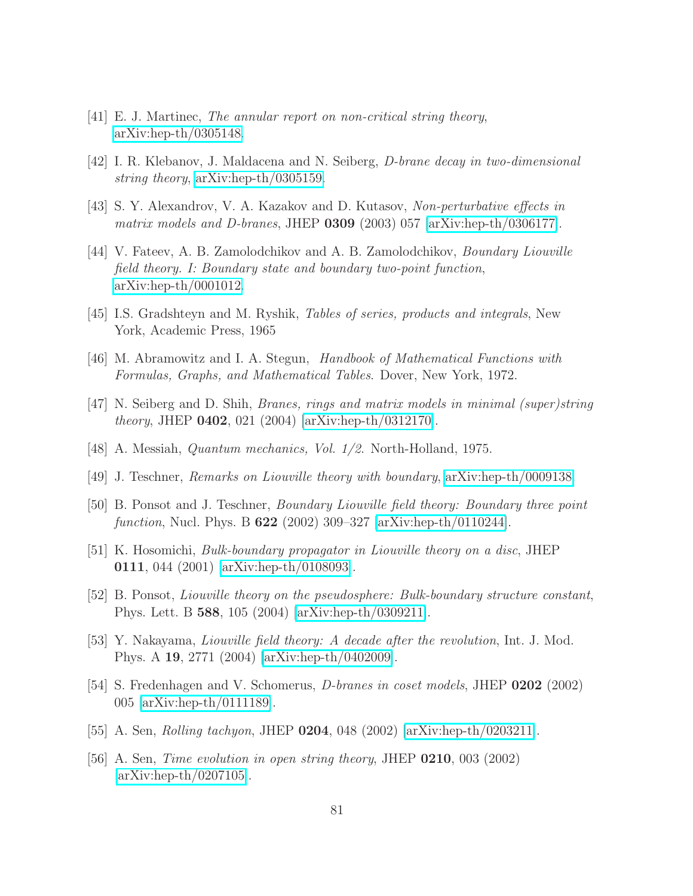- [41] E. J. Martinec, The annular report on non-critical string theory, [arXiv:hep-th/0305148.](http://arxiv.org/abs/hep-th/0305148)
- [42] I. R. Klebanov, J. Maldacena and N. Seiberg, D-brane decay in two-dimensional string theory, [arXiv:hep-th/0305159.](http://arxiv.org/abs/hep-th/0305159)
- [43] S. Y. Alexandrov, V. A. Kazakov and D. Kutasov, Non-perturbative effects in matrix models and D-branes, JHEP 0309 (2003) 057 [\[arXiv:hep-th/0306177\]](http://arxiv.org/abs/hep-th/0306177).
- [44] V. Fateev, A. B. Zamolodchikov and A. B. Zamolodchikov, Boundary Liouville field theory. I: Boundary state and boundary two-point function, [arXiv:hep-th/0001012.](http://arxiv.org/abs/hep-th/0001012)
- [45] I.S. Gradshteyn and M. Ryshik, Tables of series, products and integrals, New York, Academic Press, 1965
- [46] M. Abramowitz and I. A. Stegun, Handbook of Mathematical Functions with Formulas, Graphs, and Mathematical Tables. Dover, New York, 1972.
- [47] N. Seiberg and D. Shih, Branes, rings and matrix models in minimal (super)string theory, JHEP 0402, 021 (2004) [\[arXiv:hep-th/0312170\]](http://arxiv.org/abs/hep-th/0312170).
- [48] A. Messiah, Quantum mechanics, Vol. 1/2. North-Holland, 1975.
- [49] J. Teschner, Remarks on Liouville theory with boundary, [arXiv:hep-th/0009138.](http://arxiv.org/abs/hep-th/0009138)
- [50] B. Ponsot and J. Teschner, Boundary Liouville field theory: Boundary three point function, Nucl. Phys. B 622 (2002) 309–327 [\[arXiv:hep-th/0110244\]](http://arxiv.org/abs/hep-th/0110244).
- [51] K. Hosomichi, Bulk-boundary propagator in Liouville theory on a disc, JHEP 0111, 044 (2001) [\[arXiv:hep-th/0108093\]](http://arxiv.org/abs/hep-th/0108093).
- [52] B. Ponsot, Liouville theory on the pseudosphere: Bulk-boundary structure constant, Phys. Lett. B 588, 105 (2004) [\[arXiv:hep-th/0309211\]](http://arxiv.org/abs/hep-th/0309211).
- [53] Y. Nakayama, Liouville field theory: A decade after the revolution, Int. J. Mod. Phys. A 19, 2771 (2004) [\[arXiv:hep-th/0402009\]](http://arxiv.org/abs/hep-th/0402009).
- [54] S. Fredenhagen and V. Schomerus, D-branes in coset models, JHEP 0202 (2002) 005 [\[arXiv:hep-th/0111189\]](http://arxiv.org/abs/hep-th/0111189).
- [55] A. Sen, Rolling tachyon, JHEP 0204, 048 (2002) [\[arXiv:hep-th/0203211\]](http://arxiv.org/abs/hep-th/0203211).
- [56] A. Sen, Time evolution in open string theory, JHEP 0210, 003 (2002)  $\arXiv:hep-th/0207105$ .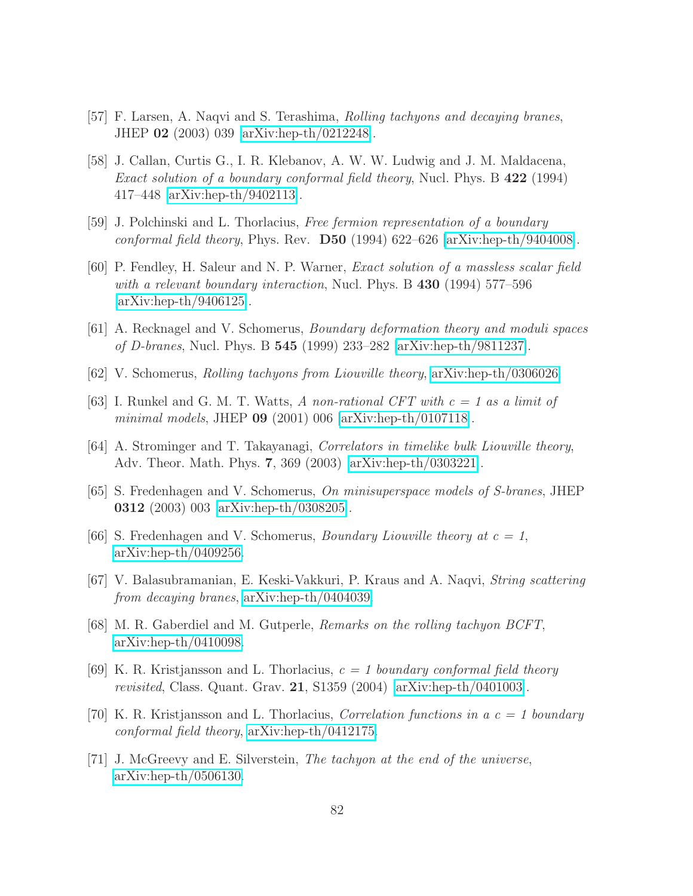- [57] F. Larsen, A. Naqvi and S. Terashima, Rolling tachyons and decaying branes, JHEP 02 (2003) 039 [\[arXiv:hep-th/0212248\]](http://arxiv.org/abs/hep-th/0212248).
- [58] J. Callan, Curtis G., I. R. Klebanov, A. W. W. Ludwig and J. M. Maldacena, Exact solution of a boundary conformal field theory, Nucl. Phys. B 422 (1994) 417–448 [\[arXiv:hep-th/9402113\]](http://arxiv.org/abs/hep-th/9402113).
- [59] J. Polchinski and L. Thorlacius, Free fermion representation of a boundary conformal field theory, Phys. Rev.  $\overline{D50}$  (1994) 622–626 [\[arXiv:hep-th/9404008\]](http://arxiv.org/abs/hep-th/9404008).
- [60] P. Fendley, H. Saleur and N. P. Warner, Exact solution of a massless scalar field with a relevant boundary interaction, Nucl. Phys. B 430 (1994) 577–596 [\[arXiv:hep-th/9406125\]](http://arxiv.org/abs/hep-th/9406125).
- [61] A. Recknagel and V. Schomerus, Boundary deformation theory and moduli spaces of D-branes, Nucl. Phys. B 545 (1999) 233–282 [\[arXiv:hep-th/9811237\]](http://arxiv.org/abs/hep-th/9811237).
- [62] V. Schomerus, Rolling tachyons from Liouville theory, [arXiv:hep-th/0306026.](http://arxiv.org/abs/hep-th/0306026)
- [63] I. Runkel and G. M. T. Watts, A non-rational CFT with  $c = 1$  as a limit of minimal models, JHEP 09 (2001) 006 [\[arXiv:hep-th/0107118\]](http://arxiv.org/abs/hep-th/0107118).
- [64] A. Strominger and T. Takayanagi, Correlators in timelike bulk Liouville theory, Adv. Theor. Math. Phys. 7, 369 (2003) [\[arXiv:hep-th/0303221\]](http://arxiv.org/abs/hep-th/0303221).
- [65] S. Fredenhagen and V. Schomerus, On minisuperspace models of S-branes, JHEP 0312 (2003) 003 [\[arXiv:hep-th/0308205\]](http://arxiv.org/abs/hep-th/0308205).
- [66] S. Fredenhagen and V. Schomerus, *Boundary Liouville theory at*  $c = 1$ , [arXiv:hep-th/0409256.](http://arxiv.org/abs/hep-th/0409256)
- [67] V. Balasubramanian, E. Keski-Vakkuri, P. Kraus and A. Naqvi, String scattering from decaying branes, [arXiv:hep-th/0404039.](http://arxiv.org/abs/hep-th/0404039)
- [68] M. R. Gaberdiel and M. Gutperle, Remarks on the rolling tachyon BCFT, [arXiv:hep-th/0410098.](http://arxiv.org/abs/hep-th/0410098)
- [69] K. R. Kristjansson and L. Thorlacius,  $c = 1$  boundary conformal field theory revisited, Class. Quant. Grav.  $21$ , S1359 (2004) [\[arXiv:hep-th/0401003\]](http://arxiv.org/abs/hep-th/0401003).
- [70] K. R. Kristjansson and L. Thorlacius, *Correlation functions in a c = 1 boundary* conformal field theory, [arXiv:hep-th/0412175.](http://arxiv.org/abs/hep-th/0412175)
- [71] J. McGreevy and E. Silverstein, The tachyon at the end of the universe, [arXiv:hep-th/0506130.](http://arxiv.org/abs/hep-th/0506130)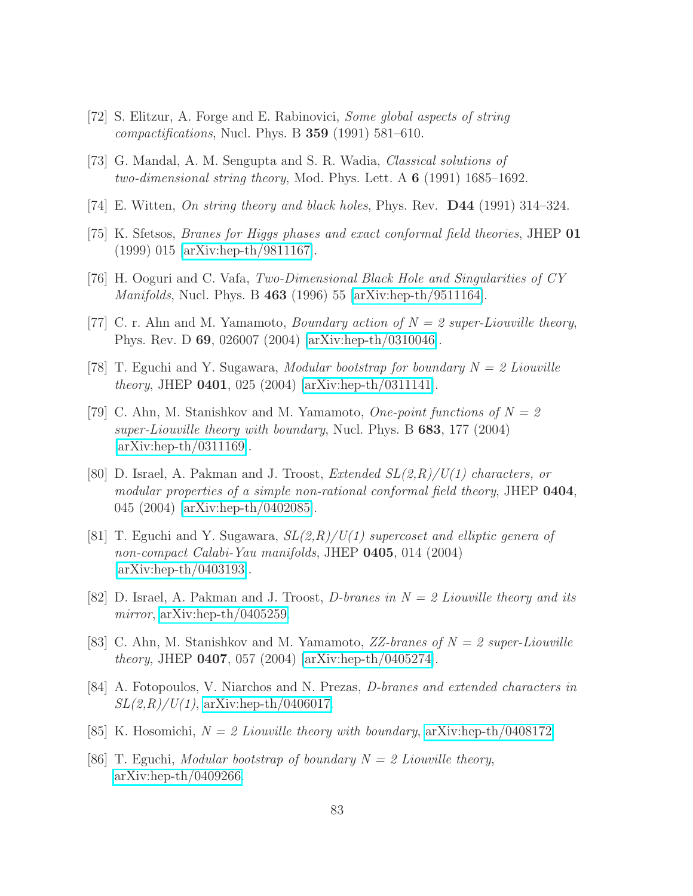- [72] S. Elitzur, A. Forge and E. Rabinovici, Some global aspects of string *compactifications*, Nucl. Phys. B  $359$  (1991) 581–610.
- [73] G. Mandal, A. M. Sengupta and S. R. Wadia, Classical solutions of two-dimensional string theory, Mod. Phys. Lett. A  $6$  (1991) 1685–1692.
- [74] E. Witten, On string theory and black holes, Phys. Rev.  $\mathbf{D44}$  (1991) 314–324.
- [75] K. Sfetsos, Branes for Higgs phases and exact conformal field theories, JHEP 01 (1999) 015 [\[arXiv:hep-th/9811167\]](http://arxiv.org/abs/hep-th/9811167).
- [76] H. Ooguri and C. Vafa, Two-Dimensional Black Hole and Singularities of CY Manifolds, Nucl. Phys. B 463 (1996) 55 [\[arXiv:hep-th/9511164\]](http://arxiv.org/abs/hep-th/9511164).
- [77] C. r. Ahn and M. Yamamoto, *Boundary action of*  $N = 2$  super-Liouville theory, Phys. Rev. D 69, 026007 (2004) [\[arXiv:hep-th/0310046\]](http://arxiv.org/abs/hep-th/0310046).
- [78] T. Eguchi and Y. Sugawara, *Modular bootstrap for boundary*  $N = 2$  Liouville theory, JHEP 0401, 025 (2004) [\[arXiv:hep-th/0311141\]](http://arxiv.org/abs/hep-th/0311141).
- [79] C. Ahn, M. Stanishkov and M. Yamamoto, One-point functions of  $N = 2$ super-Liouville theory with boundary, Nucl. Phys. B  $683$ , 177 (2004) [\[arXiv:hep-th/0311169\]](http://arxiv.org/abs/hep-th/0311169).
- [80] D. Israel, A. Pakman and J. Troost, *Extended*  $SL(2,R)/U(1)$  characters, or modular properties of a simple non-rational conformal field theory, JHEP 0404, 045 (2004) [\[arXiv:hep-th/0402085\]](http://arxiv.org/abs/hep-th/0402085).
- [81] T. Eguchi and Y. Sugawara,  $SL(2,R)/U(1)$  supercoset and elliptic genera of non-compact Calabi-Yau manifolds, JHEP 0405, 014 (2004) [\[arXiv:hep-th/0403193\]](http://arxiv.org/abs/hep-th/0403193).
- [82] D. Israel, A. Pakman and J. Troost, D-branes in  $N = 2$  Liouville theory and its mirror, [arXiv:hep-th/0405259.](http://arxiv.org/abs/hep-th/0405259)
- [83] C. Ahn, M. Stanishkov and M. Yamamoto,  $ZZ-branes$  of  $N = 2$  super-Liouville theory, JHEP 0407, 057 (2004) [\[arXiv:hep-th/0405274\]](http://arxiv.org/abs/hep-th/0405274).
- [84] A. Fotopoulos, V. Niarchos and N. Prezas, D-branes and extended characters in  $SL(2,R)/U(1)$ , [arXiv:hep-th/0406017.](http://arxiv.org/abs/hep-th/0406017)
- [85] K. Hosomichi,  $N = 2$  Liouville theory with boundary, [arXiv:hep-th/0408172.](http://arxiv.org/abs/hep-th/0408172)
- [86] T. Eguchi, Modular bootstrap of boundary  $N = 2$  Liouville theory, [arXiv:hep-th/0409266.](http://arxiv.org/abs/hep-th/0409266)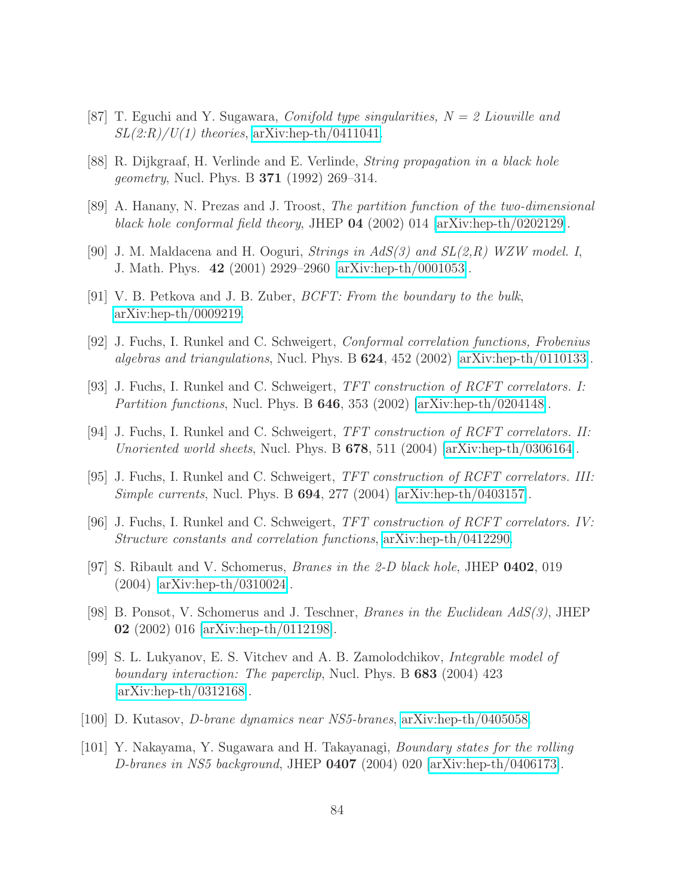- [87] T. Eguchi and Y. Sugawara, *Conifold type singularities*,  $N = 2$  *Liouville and*  $SL(2:R)/U(1)$  theories, [arXiv:hep-th/0411041.](http://arxiv.org/abs/hep-th/0411041)
- [88] R. Dijkgraaf, H. Verlinde and E. Verlinde, String propagation in a black hole *geometry*, Nucl. Phys. B **371** (1992) 269–314.
- [89] A. Hanany, N. Prezas and J. Troost, The partition function of the two-dimensional black hole conformal field theory, JHEP 04 (2002) 014 [\[arXiv:hep-th/0202129\]](http://arxiv.org/abs/hep-th/0202129).
- [90] J. M. Maldacena and H. Ooguri, *Strings in AdS(3)* and  $SL(2,R)$  WZW model. I, J. Math. Phys. 42 (2001) 2929–2960 [\[arXiv:hep-th/0001053\]](http://arxiv.org/abs/hep-th/0001053).
- [91] V. B. Petkova and J. B. Zuber, BCFT: From the boundary to the bulk, [arXiv:hep-th/0009219.](http://arxiv.org/abs/hep-th/0009219)
- [92] J. Fuchs, I. Runkel and C. Schweigert, Conformal correlation functions, Frobenius algebras and triangulations, Nucl. Phys. B  $624$ ,  $452$  (2002) [\[arXiv:hep-th/0110133\]](http://arxiv.org/abs/hep-th/0110133).
- [93] J. Fuchs, I. Runkel and C. Schweigert, TFT construction of RCFT correlators. I: Partition functions, Nucl. Phys. B 646, 353 (2002) [\[arXiv:hep-th/0204148\]](http://arxiv.org/abs/hep-th/0204148).
- [94] J. Fuchs, I. Runkel and C. Schweigert, TFT construction of RCFT correlators. II: Unoriented world sheets, Nucl. Phys. B  $678$ , 511 (2004) [\[arXiv:hep-th/0306164\]](http://arxiv.org/abs/hep-th/0306164).
- [95] J. Fuchs, I. Runkel and C. Schweigert, TFT construction of RCFT correlators. III: Simple currents, Nucl. Phys. B 694, 277 (2004) [\[arXiv:hep-th/0403157\]](http://arxiv.org/abs/hep-th/0403157).
- [96] J. Fuchs, I. Runkel and C. Schweigert, TFT construction of RCFT correlators. IV: Structure constants and correlation functions, [arXiv:hep-th/0412290.](http://arxiv.org/abs/hep-th/0412290)
- <span id="page-84-0"></span>[97] S. Ribault and V. Schomerus, Branes in the 2-D black hole, JHEP 0402, 019 (2004) [\[arXiv:hep-th/0310024\]](http://arxiv.org/abs/hep-th/0310024).
- [98] B. Ponsot, V. Schomerus and J. Teschner, Branes in the Euclidean AdS(3), JHEP 02 (2002) 016 [\[arXiv:hep-th/0112198\]](http://arxiv.org/abs/hep-th/0112198).
- [99] S. L. Lukyanov, E. S. Vitchev and A. B. Zamolodchikov, Integrable model of boundary interaction: The paperclip, Nucl. Phys. B 683 (2004) 423 [\[arXiv:hep-th/0312168\]](http://arxiv.org/abs/hep-th/0312168).
- [100] D. Kutasov, D-brane dynamics near NS5-branes, [arXiv:hep-th/0405058.](http://arxiv.org/abs/hep-th/0405058)
- [101] Y. Nakayama, Y. Sugawara and H. Takayanagi, Boundary states for the rolling D-branes in NS5 background, JHEP  $0407$  (2004) 020 [\[arXiv:hep-th/0406173\]](http://arxiv.org/abs/hep-th/0406173).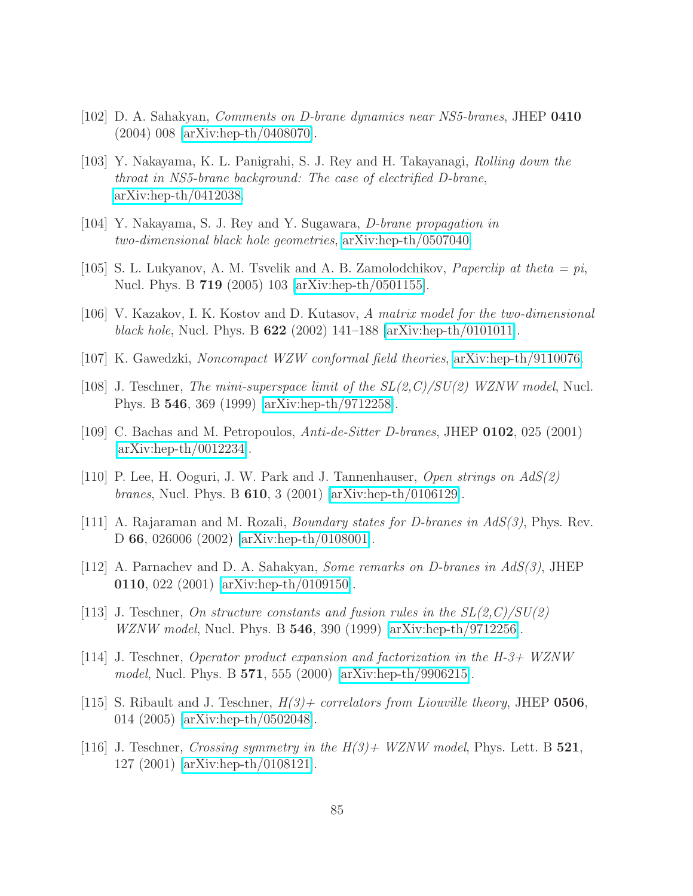- [102] D. A. Sahakyan, Comments on D-brane dynamics near NS5-branes, JHEP 0410 (2004) 008 [\[arXiv:hep-th/0408070\]](http://arxiv.org/abs/hep-th/0408070).
- [103] Y. Nakayama, K. L. Panigrahi, S. J. Rey and H. Takayanagi, Rolling down the throat in NS5-brane background: The case of electrified D-brane, [arXiv:hep-th/0412038.](http://arxiv.org/abs/hep-th/0412038)
- [104] Y. Nakayama, S. J. Rey and Y. Sugawara, D-brane propagation in two-dimensional black hole geometries, [arXiv:hep-th/0507040.](http://arxiv.org/abs/hep-th/0507040)
- [105] S. L. Lukyanov, A. M. Tsvelik and A. B. Zamolodchikov, *Paperclip at theta* = pi, Nucl. Phys. B 719 (2005) 103 [\[arXiv:hep-th/0501155\]](http://arxiv.org/abs/hep-th/0501155).
- <span id="page-85-1"></span>[106] V. Kazakov, I. K. Kostov and D. Kutasov, A matrix model for the two-dimensional black hole, Nucl. Phys. B  $622$  (2002) 141–188 [\[arXiv:hep-th/0101011\]](http://arxiv.org/abs/hep-th/0101011).
- <span id="page-85-2"></span>[107] K. Gawedzki, Noncompact WZW conformal field theories, [arXiv:hep-th/9110076.](http://arxiv.org/abs/hep-th/9110076)
- <span id="page-85-3"></span>[108] J. Teschner, *The mini-superspace limit of the*  $SL(2, C)/SU(2)$  *WZNW model*, Nucl. Phys. B 546, 369 (1999) [\[arXiv:hep-th/9712258\]](http://arxiv.org/abs/hep-th/9712258).
- <span id="page-85-4"></span>[109] C. Bachas and M. Petropoulos,  $Anti-de-Sitter\ D-branes$ , JHEP 0102, 025 (2001) [\[arXiv:hep-th/0012234\]](http://arxiv.org/abs/hep-th/0012234).
- [110] P. Lee, H. Ooguri, J. W. Park and J. Tannenhauser, *Open strings on*  $AdS(2)$ branes, Nucl. Phys. B 610, 3 (2001) [\[arXiv:hep-th/0106129\]](http://arxiv.org/abs/hep-th/0106129).
- <span id="page-85-6"></span><span id="page-85-5"></span>[111] A. Rajaraman and M. Rozali, *Boundary states for D-branes in*  $AdS(3)$ , Phys. Rev. D 66, 026006 (2002) [\[arXiv:hep-th/0108001\]](http://arxiv.org/abs/hep-th/0108001).
- <span id="page-85-0"></span>[112] A. Parnachev and D. A. Sahakyan, *Some remarks on D-branes in AdS(3)*, JHEP 0110, 022 (2001) [\[arXiv:hep-th/0109150\]](http://arxiv.org/abs/hep-th/0109150).
- <span id="page-85-7"></span>[113] J. Teschner, On structure constants and fusion rules in the  $SL(2, C)/SU(2)$ *WZNW model*, Nucl. Phys. B  $546$ , 390 (1999) [\[arXiv:hep-th/9712256\]](http://arxiv.org/abs/hep-th/9712256).
- <span id="page-85-8"></span>[114] J. Teschner, Operator product expansion and factorization in the  $H-3+$  WZNW model, Nucl. Phys. B 571, 555 (2000) [\[arXiv:hep-th/9906215\]](http://arxiv.org/abs/hep-th/9906215).
- [115] S. Ribault and J. Teschner,  $H(3)$  correlators from Liouville theory, JHEP 0506, 014 (2005) [\[arXiv:hep-th/0502048\]](http://arxiv.org/abs/hep-th/0502048).
- <span id="page-85-9"></span>[116] J. Teschner, Crossing symmetry in the  $H(3)+$  WZNW model, Phys. Lett. B 521, 127 (2001) [\[arXiv:hep-th/0108121\]](http://arxiv.org/abs/hep-th/0108121).